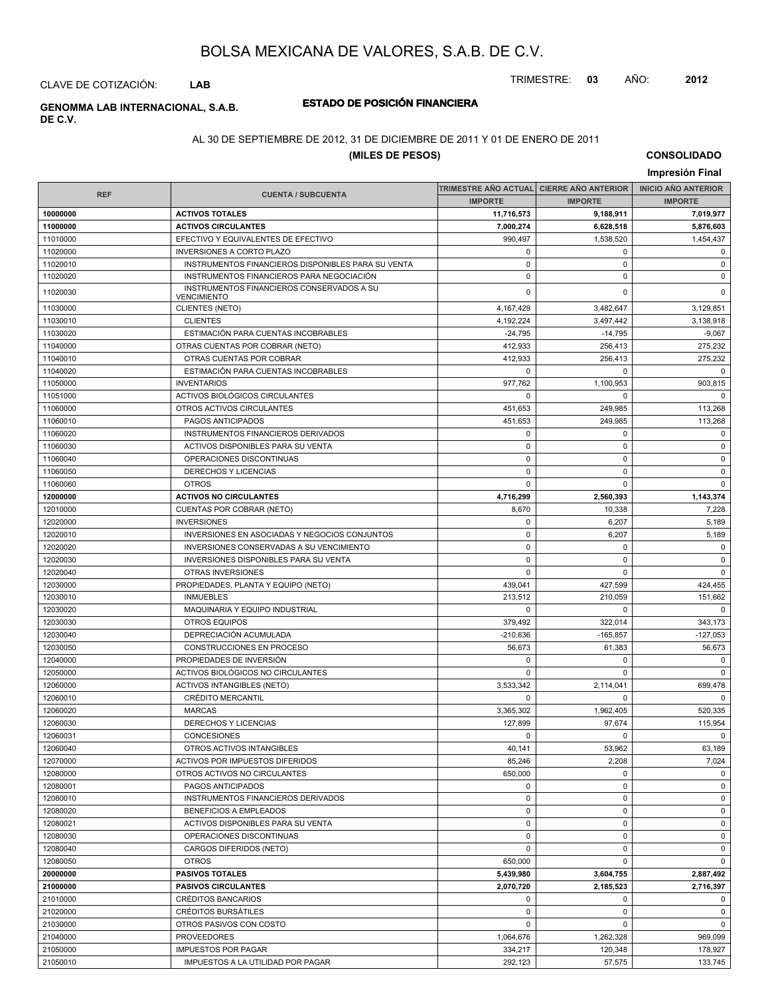TRIMESTRE: **03** AÑO: **2012**

CLAVE DE COTIZACIÓN: **LAB**

# **DE C.V.**

## **ESTADO DE POSICIÓN FINANCIERA GENOMMA LAB INTERNACIONAL, S.A.B.**

#### AL 30 DE SEPTIEMBRE DE 2012, 31 DE DICIEMBRE DE 2011 Y 01 DE ENERO DE 2011

#### **(MILES DE PESOS)**

**CONSOLIDADO**

|                      | Impresión Final                                    |                                          |                        |                            |  |  |  |
|----------------------|----------------------------------------------------|------------------------------------------|------------------------|----------------------------|--|--|--|
|                      |                                                    | TRIMESTRE AÑO ACTUAL CIERRE AÑO ANTERIOR |                        | <b>INICIO AÑO ANTERIOR</b> |  |  |  |
| <b>REF</b>           | <b>CUENTA / SUBCUENTA</b>                          | <b>IMPORTE</b>                           | <b>IMPORTE</b>         | <b>IMPORTE</b>             |  |  |  |
| 10000000             | <b>ACTIVOS TOTALES</b>                             | 11,716,573                               | 9,188,911              | 7,019,977                  |  |  |  |
| 11000000             | <b>ACTIVOS CIRCULANTES</b>                         | 7,000,274                                | 6,628,518              | 5,876,603                  |  |  |  |
| 11010000             | EFECTIVO Y EQUIVALENTES DE EFECTIVO                | 990,497                                  | 1.538.520              | 1,454,437                  |  |  |  |
| 11020000             | <b>INVERSIONES A CORTO PLAZO</b>                   | 0                                        | 0                      | $\mathbf 0$                |  |  |  |
| 11020010             | INSTRUMENTOS FINANCIEROS DISPONIBLES PARA SU VENTA | $\pmb{0}$                                | 0                      | $\mathbf 0$                |  |  |  |
| 11020020             | INSTRUMENTOS FINANCIEROS PARA NEGOCIACIÓN          | $\pmb{0}$                                | 0                      | 0                          |  |  |  |
| 11020030             | INSTRUMENTOS FINANCIEROS CONSERVADOS A SU          | 0                                        | 0                      | $\mathbf 0$                |  |  |  |
|                      | <b>VENCIMIENTO</b>                                 |                                          |                        |                            |  |  |  |
| 11030000<br>11030010 | <b>CLIENTES (NETO)</b><br><b>CLIENTES</b>          | 4,167,429<br>4,192,224                   | 3,482,647              | 3,129,851                  |  |  |  |
| 11030020             | ESTIMACIÓN PARA CUENTAS INCOBRABLES                | $-24,795$                                | 3,497,442<br>$-14,795$ | 3,138,918<br>$-9,067$      |  |  |  |
| 11040000             | OTRAS CUENTAS POR COBRAR (NETO)                    | 412,933                                  | 256,413                | 275.232                    |  |  |  |
| 11040010             | OTRAS CUENTAS POR COBRAR                           | 412,933                                  | 256,413                | 275,232                    |  |  |  |
| 11040020             | ESTIMACIÓN PARA CUENTAS INCOBRABLES                | 0                                        | $\mathbf 0$            | $\mathbf 0$                |  |  |  |
| 11050000             | <b>INVENTARIOS</b>                                 | 977,762                                  | 1,100,953              | 903,815                    |  |  |  |
| 11051000             | ACTIVOS BIOLÓGICOS CIRCULANTES                     | 0                                        | 0                      | $\mathbf 0$                |  |  |  |
| 11060000             | OTROS ACTIVOS CIRCULANTES                          | 451,653                                  | 249,985                | 113,268                    |  |  |  |
| 11060010             | PAGOS ANTICIPADOS                                  | 451,653                                  | 249,985                | 113,268                    |  |  |  |
| 11060020             | INSTRUMENTOS FINANCIEROS DERIVADOS                 | 0                                        | 0                      | 0                          |  |  |  |
| 11060030             | ACTIVOS DISPONIBLES PARA SU VENTA                  | $\pmb{0}$                                | 0                      | $\pmb{0}$                  |  |  |  |
| 11060040             | OPERACIONES DISCONTINUAS                           | $\pmb{0}$                                | $\mathbf 0$            | $\mathbf 0$                |  |  |  |
| 11060050             | <b>DERECHOS Y LICENCIAS</b>                        | 0                                        | 0                      | 0                          |  |  |  |
| 11060060             | <b>OTROS</b>                                       | 0                                        | 0                      | $\mathbf 0$                |  |  |  |
| 12000000             | <b>ACTIVOS NO CIRCULANTES</b>                      | 4,716,299                                | 2,560,393              | 1,143,374                  |  |  |  |
| 12010000             | CUENTAS POR COBRAR (NETO)                          | 8,670                                    | 10,338                 | 7,228                      |  |  |  |
| 12020000             | <b>INVERSIONES</b>                                 | 0                                        | 6,207                  | 5,189                      |  |  |  |
| 12020010             | INVERSIONES EN ASOCIADAS Y NEGOCIOS CONJUNTOS      | $\pmb{0}$                                | 6,207                  | 5,189                      |  |  |  |
| 12020020             | INVERSIONES CONSERVADAS A SU VENCIMIENTO           | 0                                        | 0                      | 0                          |  |  |  |
| 12020030             | <b>INVERSIONES DISPONIBLES PARA SU VENTA</b>       | $\pmb{0}$                                | 0                      | $\mathbf 0$                |  |  |  |
| 12020040             | OTRAS INVERSIONES                                  | 0                                        | $\mathbf 0$            | $\mathbf 0$                |  |  |  |
| 12030000             | PROPIEDADES, PLANTA Y EQUIPO (NETO)                | 439,041                                  | 427,599                | 424,455                    |  |  |  |
| 12030010             | <b>INMUEBLES</b>                                   | 213,512                                  | 210,059                | 151,662                    |  |  |  |
| 12030020             | MAQUINARIA Y EQUIPO INDUSTRIAL                     | 0                                        | 0                      | $\mathbf 0$                |  |  |  |
| 12030030             | <b>OTROS EQUIPOS</b>                               | 379,492                                  | 322,014                | 343,173                    |  |  |  |
| 12030040             | DEPRECIACIÓN ACUMULADA                             | $-210,636$                               | $-165,857$             | $-127,053$                 |  |  |  |
| 12030050             | CONSTRUCCIONES EN PROCESO                          | 56,673                                   | 61,383                 | 56,673                     |  |  |  |
| 12040000             | PROPIEDADES DE INVERSIÓN                           | 0                                        | 0                      | 0                          |  |  |  |
| 12050000             | ACTIVOS BIOLÓGICOS NO CIRCULANTES                  | $\pmb{0}$                                | 0                      | $\mathbf 0$                |  |  |  |
| 12060000             | <b>ACTIVOS INTANGIBLES (NETO)</b>                  | 3,533,342                                | 2,114,041              | 699,478                    |  |  |  |
| 12060010             | CRÉDITO MERCANTIL                                  | 0                                        | 0                      | $\mathbf 0$                |  |  |  |
| 12060020             | <b>MARCAS</b>                                      | 3,365,302                                | 1,962,405              | 520,335                    |  |  |  |
| 12060030             | DERECHOS Y LICENCIAS                               | 127,899                                  | 97,674                 | 115,954                    |  |  |  |
| 12060031             | <b>CONCESIONES</b>                                 | 0                                        | 0                      | $\mathbf 0$                |  |  |  |
| 12060040             | OTROS ACTIVOS INTANGIBLES                          | 40,141                                   | 53,962                 | 63,189                     |  |  |  |
| 12070000             | ACTIVOS POR IMPUESTOS DIFERIDOS                    | 85,246                                   | 2,208                  | 7,024                      |  |  |  |
| 12080000             | OTROS ACTIVOS NO CIRCULANTES                       | 650,000                                  | $\mathbf 0$            | $\mathbf 0$                |  |  |  |
| 12080001             | PAGOS ANTICIPADOS                                  | 0                                        | 0                      | 0                          |  |  |  |
| 12080010             | INSTRUMENTOS FINANCIEROS DERIVADOS                 | $\pmb{0}$                                | $\mathbf 0$            | $\mathbf 0$                |  |  |  |
| 12080020             | BENEFICIOS A EMPLEADOS                             | 0                                        | 0                      | 0                          |  |  |  |
| 12080021             | ACTIVOS DISPONIBLES PARA SU VENTA                  | 0                                        | 0                      | 0                          |  |  |  |
| 12080030             | OPERACIONES DISCONTINUAS                           | $\pmb{0}$                                | $\mathbf 0$            | $\mathbf 0$                |  |  |  |
| 12080040             | CARGOS DIFERIDOS (NETO)                            | 0                                        | 0                      | 0                          |  |  |  |
| 12080050             | <b>OTROS</b>                                       | 650,000                                  | $\mathbf 0$            | $\mathbf 0$                |  |  |  |
| 20000000             | <b>PASIVOS TOTALES</b>                             | 5,439,980                                | 3,604,755              | 2,887,492                  |  |  |  |
| 21000000             | <b>PASIVOS CIRCULANTES</b>                         | 2,070,720                                | 2,185,523              | 2,716,397                  |  |  |  |
| 21010000             | CRÉDITOS BANCARIOS                                 | 0                                        | 0                      | 0                          |  |  |  |
| 21020000             | CRÉDITOS BURSÁTILES                                | $\mathbf 0$                              | $\mathbf 0$            | $\mathbf 0$                |  |  |  |
| 21030000             | OTROS PASIVOS CON COSTO                            | 0                                        | 0                      | $\mathbf{0}$               |  |  |  |
| 21040000             | <b>PROVEEDORES</b>                                 | 1,064,676                                | 1,262,328              | 969,099                    |  |  |  |
| 21050000             | <b>IMPUESTOS POR PAGAR</b>                         | 334,217                                  | 120,348                | 178,927                    |  |  |  |
| 21050010             | IMPUESTOS A LA UTILIDAD POR PAGAR                  | 292,123                                  | 57,575                 | 133,745                    |  |  |  |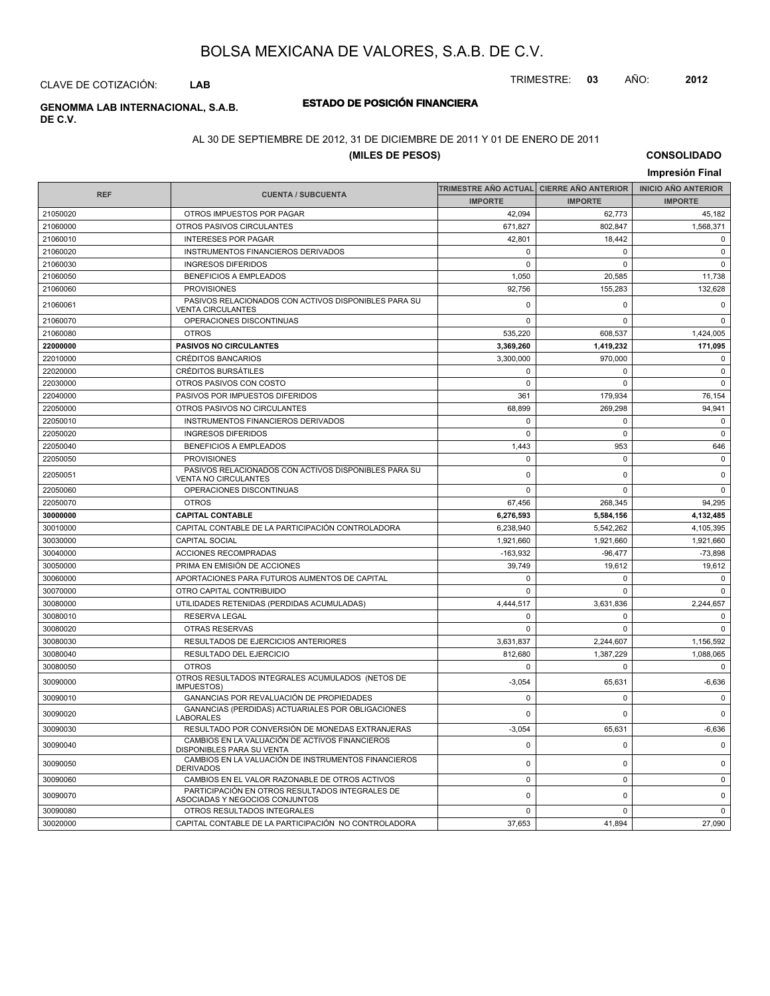TRIMESTRE: **03** AÑO: **2012**

#### CLAVE DE COTIZACIÓN: **LAB**

# **DE C.V.**

## **ESTADO DE POSICIÓN FINANCIERA GENOMMA LAB INTERNACIONAL, S.A.B.**

#### AL 30 DE SEPTIEMBRE DE 2012, 31 DE DICIEMBRE DE 2011 Y 01 DE ENERO DE 2011

#### **(MILES DE PESOS)**

**CONSOLIDADO Impresión Final**

| <b>REF</b> | <b>CUENTA / SUBCUENTA</b>                                                         | <b>IMPORTE</b> | TRIMESTRE AÑO ACTUAL│ CIERRE AÑO ANTERIOR<br><b>IMPORTE</b> | <b>INICIO ANO ANTERIOR</b><br><b>IMPORTE</b> |
|------------|-----------------------------------------------------------------------------------|----------------|-------------------------------------------------------------|----------------------------------------------|
| 21050020   | OTROS IMPUESTOS POR PAGAR                                                         | 42,094         | 62,773                                                      | 45,182                                       |
| 21060000   | OTROS PASIVOS CIRCULANTES                                                         | 671,827        | 802,847                                                     | 1,568,371                                    |
| 21060010   | <b>INTERESES POR PAGAR</b>                                                        | 42.801         | 18.442                                                      |                                              |
| 21060020   | INSTRUMENTOS FINANCIEROS DERIVADOS                                                | $\mathbf 0$    | 0                                                           | $\mathbf 0$<br>$\mathsf 0$                   |
|            |                                                                                   | $\mathbf 0$    | $\Omega$                                                    | $\mathbf 0$                                  |
| 21060030   | <b>INGRESOS DIFERIDOS</b>                                                         |                |                                                             |                                              |
| 21060050   | <b>BENEFICIOS A EMPLEADOS</b>                                                     | 1,050          | 20,585                                                      | 11,738                                       |
| 21060060   | <b>PROVISIONES</b><br>PASIVOS RELACIONADOS CON ACTIVOS DISPONIBLES PARA SU        | 92,756         | 155.283                                                     | 132,628                                      |
| 21060061   | <b>VENTA CIRCULANTES</b>                                                          | $\mathbf 0$    | 0                                                           | $\mathbf 0$                                  |
| 21060070   | OPERACIONES DISCONTINUAS                                                          | $\mathbf 0$    | $\mathbf 0$                                                 | $\mathsf 0$                                  |
| 21060080   | <b>OTROS</b>                                                                      | 535,220        | 608,537                                                     | 1,424,005                                    |
| 22000000   | <b>PASIVOS NO CIRCULANTES</b>                                                     | 3,369,260      | 1,419,232                                                   | 171,095                                      |
| 22010000   | <b>CRÉDITOS BANCARIOS</b>                                                         | 3,300,000      | 970.000                                                     | $\mathbf 0$                                  |
| 22020000   | <b>CRÉDITOS BURSÁTILES</b>                                                        | $\mathbf 0$    | $\Omega$                                                    | $\mathsf 0$                                  |
| 22030000   | OTROS PASIVOS CON COSTO                                                           | $\pmb{0}$      | $\mathbf 0$                                                 | $\mathbf 0$                                  |
| 22040000   | PASIVOS POR IMPUESTOS DIFERIDOS                                                   | 361            | 179,934                                                     | 76,154                                       |
| 22050000   | OTROS PASIVOS NO CIRCULANTES                                                      | 68,899         | 269,298                                                     | 94,941                                       |
| 22050010   | INSTRUMENTOS FINANCIEROS DERIVADOS                                                | $\mathbf 0$    | $\Omega$                                                    | $\pmb{0}$                                    |
| 22050020   | <b>INGRESOS DIFERIDOS</b>                                                         | $\mathbf 0$    | $\Omega$                                                    | $\mathbf 0$                                  |
| 22050040   | <b>BENEFICIOS A EMPLEADOS</b>                                                     | 1,443          | 953                                                         | 646                                          |
| 22050050   | <b>PROVISIONES</b>                                                                | $\mathbf 0$    | $\mathbf 0$                                                 | $\mathsf 0$                                  |
| 22050051   | PASIVOS RELACIONADOS CON ACTIVOS DISPONIBLES PARA SU<br>VENTA NO CIRCULANTES      | $\mathbf 0$    | $\Omega$                                                    | $\mathbf 0$                                  |
| 22050060   | OPERACIONES DISCONTINUAS                                                          | $\mathbf 0$    | $\Omega$                                                    | $\mathbf 0$                                  |
| 22050070   | <b>OTROS</b>                                                                      | 67,456         | 268,345                                                     | 94,295                                       |
| 30000000   | <b>CAPITAL CONTABLE</b>                                                           | 6,276,593      | 5,584,156                                                   | 4,132,485                                    |
| 30010000   | CAPITAL CONTABLE DE LA PARTICIPACIÓN CONTROLADORA                                 | 6,238,940      | 5,542,262                                                   | 4,105,395                                    |
| 30030000   | <b>CAPITAL SOCIAL</b>                                                             | 1,921,660      | 1,921,660                                                   | 1,921,660                                    |
| 30040000   | <b>ACCIONES RECOMPRADAS</b>                                                       | $-163,932$     | $-96,477$                                                   | $-73,898$                                    |
| 30050000   | PRIMA EN EMISIÓN DE ACCIONES                                                      | 39,749         | 19,612                                                      | 19,612                                       |
| 30060000   | APORTACIONES PARA FUTUROS AUMENTOS DE CAPITAL                                     | $\mathbf 0$    | $\mathbf 0$                                                 | $\mathbf 0$                                  |
| 30070000   | OTRO CAPITAL CONTRIBUIDO                                                          | $\Omega$       | $\Omega$                                                    | $\Omega$                                     |
| 30080000   | UTILIDADES RETENIDAS (PERDIDAS ACUMULADAS)                                        | 4,444,517      | 3,631,836                                                   | 2,244,657                                    |
| 30080010   | <b>RESERVA LEGAL</b>                                                              | 0              | $\Omega$                                                    | 0                                            |
| 30080020   | OTRAS RESERVAS                                                                    | $\mathbf{0}$   | $\Omega$                                                    | $\mathbf 0$                                  |
| 30080030   | RESULTADOS DE EJERCICIOS ANTERIORES                                               | 3,631,837      | 2,244,607                                                   | 1,156,592                                    |
| 30080040   | RESULTADO DEL EJERCICIO                                                           | 812,680        | 1,387,229                                                   | 1,088,065                                    |
| 30080050   | <b>OTROS</b>                                                                      | $\mathbf 0$    | 0                                                           | $\mathbf 0$                                  |
| 30090000   | OTROS RESULTADOS INTEGRALES ACUMULADOS (NETOS DE<br><b>IMPUESTOS)</b>             | $-3,054$       | 65,631                                                      | $-6,636$                                     |
| 30090010   | GANANCIAS POR REVALUACIÓN DE PROPIEDADES                                          | $\mathbf 0$    | $\mathbf 0$                                                 | $\mathsf 0$                                  |
| 30090020   | GANANCIAS (PERDIDAS) ACTUARIALES POR OBLIGACIONES<br><b>LABORALES</b>             | $\mathbf 0$    | $\Omega$                                                    | $\mathbf 0$                                  |
| 30090030   | RESULTADO POR CONVERSIÓN DE MONEDAS EXTRANJERAS                                   | $-3,054$       | 65,631                                                      | $-6,636$                                     |
| 30090040   | CAMBIOS EN LA VALUACIÓN DE ACTIVOS FINANCIEROS<br>DISPONIBLES PARA SU VENTA       | $\mathbf 0$    | $\mathbf 0$                                                 | $\Omega$                                     |
| 30090050   | CAMBIOS EN LA VALUACIÓN DE INSTRUMENTOS FINANCIEROS<br><b>DERIVADOS</b>           | $\mathbf 0$    | $\mathbf 0$                                                 | $\mathbf 0$                                  |
| 30090060   | CAMBIOS EN EL VALOR RAZONABLE DE OTROS ACTIVOS                                    | $\mathbf 0$    | $\mathbf 0$                                                 | $\mathbf 0$                                  |
| 30090070   | PARTICIPACIÓN EN OTROS RESULTADOS INTEGRALES DE<br>ASOCIADAS Y NEGOCIOS CONJUNTOS | $\mathbf 0$    | $\mathbf 0$                                                 | $\mathbf 0$                                  |
| 30090080   | OTROS RESULTADOS INTEGRALES                                                       | $\mathbf 0$    | $\Omega$                                                    | $\mathbf 0$                                  |
| 30020000   | CAPITAL CONTABLE DE LA PARTICIPACIÓN NO CONTROLADORA                              | 37,653         | 41,894                                                      | 27,090                                       |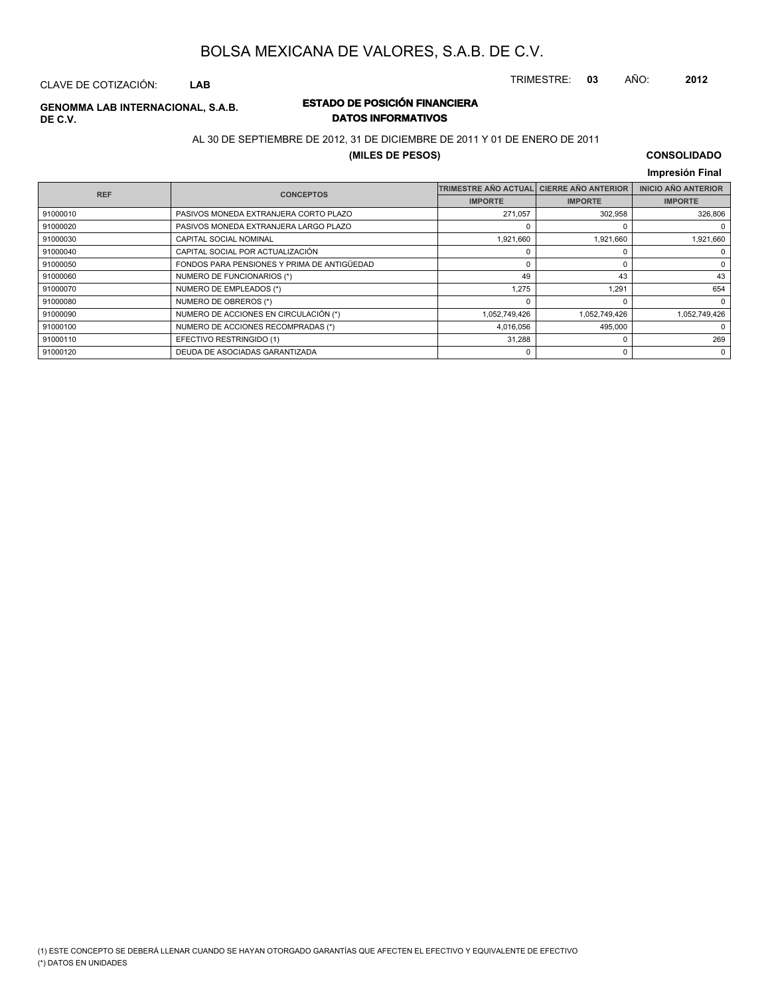TRIMESTRE: **03** AÑO: **2012**

#### CLAVE DE COTIZACIÓN: **LAB**

# **DE C.V.**

#### **ESTADO DE POSICIÓN FINANCIERA GENOMMA LAB INTERNACIONAL, S.A.B. DATOS INFORMATIVOS**

#### AL 30 DE SEPTIEMBRE DE 2012, 31 DE DICIEMBRE DE 2011 Y 01 DE ENERO DE 2011

#### **(MILES DE PESOS)**

#### **CONSOLIDADO Impresión Final**

| <b>REF</b> | <b>CONCEPTOS</b>                            | <b>TRIMESTRE AÑO ACTUAL</b> | <b>CIERRE AÑO ANTERIOR</b> | <b>INICIO AÑO ANTERIOR</b> |
|------------|---------------------------------------------|-----------------------------|----------------------------|----------------------------|
|            |                                             | <b>IMPORTE</b>              | <b>IMPORTE</b>             | <b>IMPORTE</b>             |
| 91000010   | PASIVOS MONEDA EXTRANJERA CORTO PLAZO       | 271.057                     | 302,958                    | 326,806                    |
| 91000020   | PASIVOS MONEDA EXTRANJERA LARGO PLAZO       |                             | $\Omega$                   |                            |
| 91000030   | <b>CAPITAL SOCIAL NOMINAL</b>               | 1,921,660                   | 1.921.660                  | 1,921,660                  |
| 91000040   | CAPITAL SOCIAL POR ACTUALIZACIÓN            |                             |                            | 0                          |
| 91000050   | FONDOS PARA PENSIONES Y PRIMA DE ANTIGÜEDAD |                             | 0                          | 0                          |
| 91000060   | NUMERO DE FUNCIONARIOS (*)                  | 49                          | 43                         | 43                         |
| 91000070   | NUMERO DE EMPLEADOS (*)                     | 1,275                       | 1.291                      | 654                        |
| 91000080   | NUMERO DE OBREROS (*)                       |                             | n                          | $\mathbf 0$                |
| 91000090   | NUMERO DE ACCIONES EN CIRCULACIÓN (*)       | 1,052,749,426               | 1,052,749,426              | 1,052,749,426              |
| 91000100   | NUMERO DE ACCIONES RECOMPRADAS (*)          | 4,016,056                   | 495,000                    | 0                          |
| 91000110   | EFECTIVO RESTRINGIDO (1)                    | 31,288                      | 0                          | 269                        |
| 91000120   | DEUDA DE ASOCIADAS GARANTIZADA              |                             | 0                          | 0                          |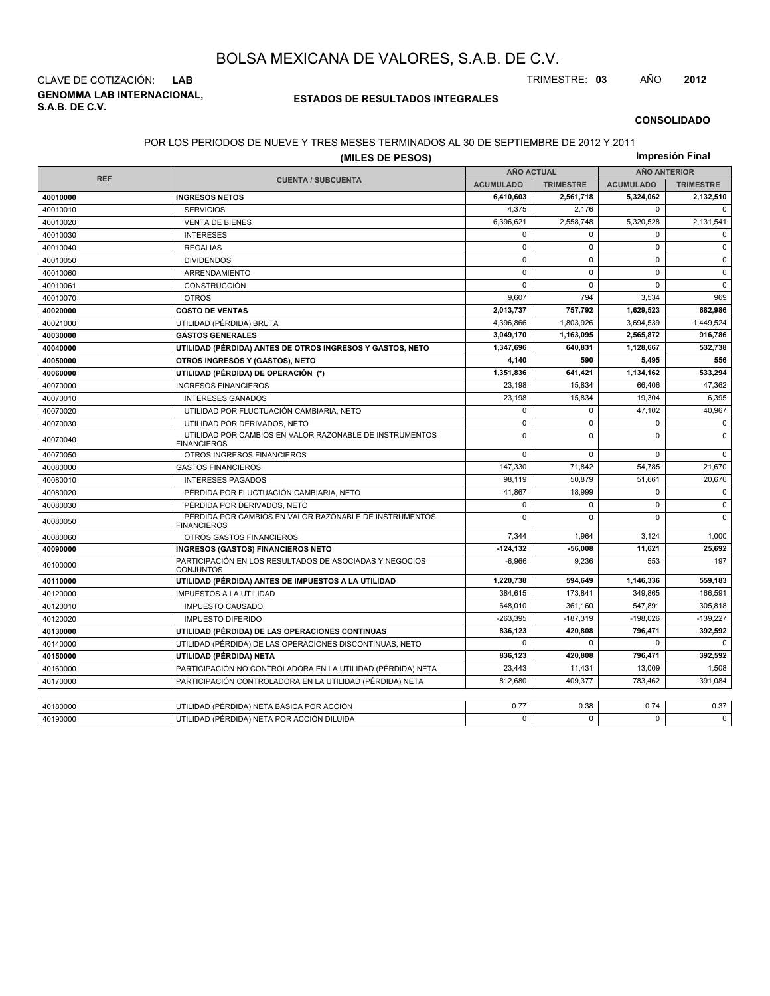**GENOMMA LAB INTERNACIONAL, S.A.B. DE C.V.** CLAVE DE COTIZACIÓN: **LAB** TRIMESTRE: **03** AÑO **2012**

#### **ESTADOS DE RESULTADOS INTEGRALES**

#### **CONSOLIDADO**

#### POR LOS PERIODOS DE NUEVE Y TRES MESES TERMINADOS AL 30 DE SEPTIEMBRE DE 2012 Y 2011

|            | (MILES DE PESOS)                                                              |                   |                  |                     | Impresión Final  |
|------------|-------------------------------------------------------------------------------|-------------------|------------------|---------------------|------------------|
|            |                                                                               | <b>AÑO ACTUAL</b> |                  | <b>AÑO ANTERIOR</b> |                  |
| <b>REF</b> | <b>CUENTA / SUBCUENTA</b>                                                     | <b>ACUMULADO</b>  | <b>TRIMESTRE</b> | <b>ACUMULADO</b>    | <b>TRIMESTRE</b> |
| 40010000   | <b>INGRESOS NETOS</b>                                                         | 6.410.603         | 2,561,718        | 5,324,062           | 2,132,510        |
| 40010010   | <b>SERVICIOS</b>                                                              | 4,375             | 2.176            | $\mathbf 0$         | $\Omega$         |
| 40010020   | <b>VENTA DE BIENES</b>                                                        | 6,396,621         | 2,558,748        | 5,320,528           | 2,131,541        |
| 40010030   | <b>INTERESES</b>                                                              | $\mathbf 0$       | $\Omega$         | $\Omega$            | $\Omega$         |
| 40010040   | <b>REGALIAS</b>                                                               | $\mathbf 0$       | $\mathbf 0$      | $\mathbf 0$         | $\mathbf 0$      |
| 40010050   | <b>DIVIDENDOS</b>                                                             | $\mathbf 0$       | $\mathbf 0$      | $\mathbf 0$         | $\mathbf 0$      |
| 40010060   | ARRENDAMIENTO                                                                 | $\pmb{0}$         | $\Omega$         | $\Omega$            | $\Omega$         |
| 40010061   | <b>CONSTRUCCIÓN</b>                                                           | $\mathbf 0$       | $\mathbf 0$      | $\mathbf 0$         | $\mathbf 0$      |
| 40010070   | <b>OTROS</b>                                                                  | 9,607             | 794              | 3,534               | 969              |
| 40020000   | <b>COSTO DE VENTAS</b>                                                        | 2,013,737         | 757,792          | 1,629,523           | 682,986          |
| 40021000   | UTILIDAD (PÉRDIDA) BRUTA                                                      | 4,396,866         | 1,803,926        | 3,694,539           | 1,449,524        |
| 40030000   | <b>GASTOS GENERALES</b>                                                       | 3,049,170         | 1,163,095        | 2,565,872           | 916,786          |
| 40040000   | UTILIDAD (PÉRDIDA) ANTES DE OTROS INGRESOS Y GASTOS, NETO                     | 1,347,696         | 640,831          | 1,128,667           | 532,738          |
| 40050000   | OTROS INGRESOS Y (GASTOS), NETO                                               | 4,140             | 590              | 5,495               | 556              |
| 40060000   | UTILIDAD (PÉRDIDA) DE OPERACIÓN (*)                                           | 1,351,836         | 641,421          | 1,134,162           | 533,294          |
| 40070000   | <b>INGRESOS FINANCIEROS</b>                                                   | 23,198            | 15,834           | 66,406              | 47,362           |
| 40070010   | <b>INTERESES GANADOS</b>                                                      | 23.198            | 15.834           | 19.304              | 6.395            |
| 40070020   | UTILIDAD POR FLUCTUACIÓN CAMBIARIA, NETO                                      | $\mathbf 0$       | $\mathbf 0$      | 47,102              | 40,967           |
| 40070030   | UTILIDAD POR DERIVADOS, NETO                                                  | $\mathsf 0$       | $\mathbf 0$      | $\mathbf 0$         | $\pmb{0}$        |
| 40070040   | UTILIDAD POR CAMBIOS EN VALOR RAZONABLE DE INSTRUMENTOS<br><b>FINANCIEROS</b> | $\mathbf 0$       | $\Omega$         | $\Omega$            | $\mathbf 0$      |
| 40070050   | OTROS INGRESOS FINANCIEROS                                                    | $\mathbf 0$       | $\Omega$         | $\Omega$            | $\Omega$         |
| 40080000   | <b>GASTOS FINANCIEROS</b>                                                     | 147,330           | 71,842           | 54,785              | 21,670           |
| 40080010   | <b>INTERESES PAGADOS</b>                                                      | 98,119            | 50,879           | 51,661              | 20,670           |
| 40080020   | PÉRDIDA POR FLUCTUACIÓN CAMBIARIA, NETO                                       | 41,867            | 18,999           | $\mathbf 0$         | $\mathbf 0$      |
| 40080030   | PÉRDIDA POR DERIVADOS, NETO                                                   | $\mathbf 0$       | $\mathbf 0$      | $\mathbf 0$         | $\mathbf 0$      |
| 40080050   | PÉRDIDA POR CAMBIOS EN VALOR RAZONABLE DE INSTRUMENTOS<br><b>FINANCIEROS</b>  | $\mathbf 0$       | $\mathbf 0$      | $\mathbf 0$         | $\mathbf 0$      |
| 40080060   | OTROS GASTOS FINANCIEROS                                                      | 7,344             | 1,964            | 3,124               | 1,000            |
| 40090000   | <b>INGRESOS (GASTOS) FINANCIEROS NETO</b>                                     | $-124, 132$       | -56.008          | 11.621              | 25,692           |
| 40100000   | PARTICIPACIÓN EN LOS RESULTADOS DE ASOCIADAS Y NEGOCIOS<br><b>CONJUNTOS</b>   | $-6,966$          | 9,236            | 553                 | 197              |
| 40110000   | UTILIDAD (PÉRDIDA) ANTES DE IMPUESTOS A LA UTILIDAD                           | 1,220,738         | 594,649          | 1,146,336           | 559,183          |
| 40120000   | <b>IMPUESTOS A LA UTILIDAD</b>                                                | 384,615           | 173,841          | 349,865             | 166,591          |
| 40120010   | <b>IMPUESTO CAUSADO</b>                                                       | 648,010           | 361,160          | 547,891             | 305,818          |
| 40120020   | <b>IMPUESTO DIFERIDO</b>                                                      | $-263,395$        | $-187,319$       | $-198,026$          | $-139,227$       |
| 40130000   | UTILIDAD (PÉRDIDA) DE LAS OPERACIONES CONTINUAS                               | 836,123           | 420,808          | 796,471             | 392,592          |
| 40140000   | UTILIDAD (PÉRDIDA) DE LAS OPERACIONES DISCONTINUAS, NETO                      | $\mathbf 0$       | $\Omega$         | $\mathbf 0$         | $\mathbf 0$      |
| 40150000   | UTILIDAD (PÉRDIDA) NETA                                                       | 836,123           | 420,808          | 796,471             | 392,592          |
| 40160000   | PARTICIPACIÓN NO CONTROLADORA EN LA UTILIDAD (PÉRDIDA) NETA                   | 23,443            | 11,431           | 13,009              | 1,508            |
| 40170000   | PARTICIPACIÓN CONTROLADORA EN LA UTILIDAD (PÉRDIDA) NETA                      | 812,680           | 409,377          | 783,462             | 391.084          |
|            |                                                                               |                   |                  |                     |                  |
| 40180000   | UTILIDAD (PÉRDIDA) NETA BÁSICA POR ACCIÓN                                     | 0.77              | 0.38             | 0.74                | 0.37             |
| 40190000   | UTILIDAD (PÉRDIDA) NETA POR ACCIÓN DILUIDA                                    | $\mathbf 0$       | $\Omega$         | $\mathbf 0$         | $\Omega$         |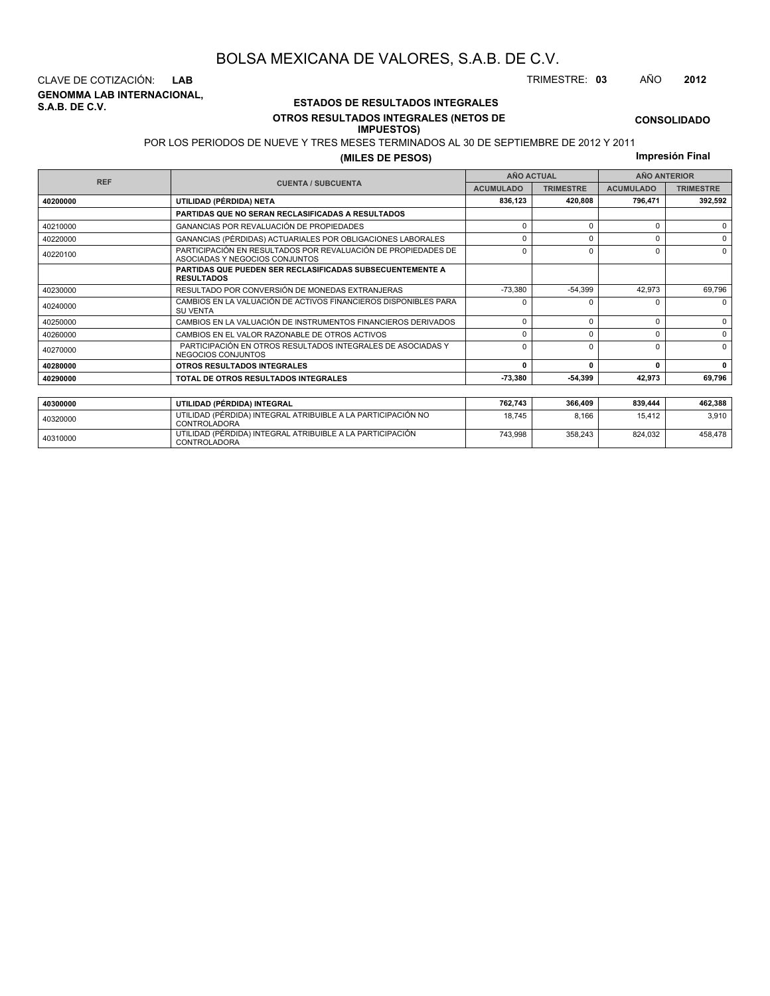**GENOMMA LAB INTERNACIONAL, S.A.B. DE C.V.** CLAVE DE COTIZACIÓN: **LAB** TRIMESTRE: **03** AÑO **2012**

<sup>40310000</sup> UTILIDAD (PÉRDIDA) INTEGRAL ATRIBUIBLE A LA PARTICIPACIÓN CONTROLADORA

#### **ESTADOS DE RESULTADOS INTEGRALES OTROS RESULTADOS INTEGRALES (NETOS DE**

#### **IMPUESTOS)**

POR LOS PERIODOS DE NUEVE Y TRES MESES TERMINADOS AL 30 DE SEPTIEMBRE DE 2012 Y 2011

**(MILES DE PESOS)**

**Impresión Final**

743,998 358,243 824,032 458,478

|            |                                                                                                 |                    | <b>AÑO ACTUAL</b> |                  | <b>AÑO ANTERIOR</b> |  |  |
|------------|-------------------------------------------------------------------------------------------------|--------------------|-------------------|------------------|---------------------|--|--|
| <b>REF</b> | <b>CUENTA / SUBCUENTA</b>                                                                       | <b>ACUMULADO</b>   | <b>TRIMESTRE</b>  | <b>ACUMULADO</b> | <b>TRIMESTRE</b>    |  |  |
| 40200000   | UTILIDAD (PÉRDIDA) NETA                                                                         | 420,808<br>836,123 |                   | 796,471          | 392,592             |  |  |
|            | PARTIDAS QUE NO SERAN RECLASIFICADAS A RESULTADOS                                               |                    |                   |                  |                     |  |  |
| 40210000   | <b>GANANCIAS POR REVALUACIÓN DE PROPIEDADES</b>                                                 | $\Omega$           | $\Omega$          | 0                | $\Omega$            |  |  |
| 40220000   | GANANCIAS (PÉRDIDAS) ACTUARIALES POR OBLIGACIONES LABORALES                                     | $\Omega$           | $\Omega$          | U                | $\Omega$            |  |  |
| 40220100   | PARTICIPACIÓN EN RESULTADOS POR REVALUACIÓN DE PROPIEDADES DE<br>ASOCIADAS Y NEGOCIOS CONJUNTOS |                    | 0                 | 0                | $\Omega$            |  |  |
|            | <b>PARTIDAS QUE PUEDEN SER RECLASIFICADAS SUBSECUENTEMENTE A</b><br><b>RESULTADOS</b>           |                    |                   |                  |                     |  |  |
| 40230000   | RESULTADO POR CONVERSIÓN DE MONEDAS EXTRANJERAS                                                 | $-73,380$          | $-54,399$         | 42,973           | 69,796              |  |  |
| 40240000   | CAMBIOS EN LA VALUACIÓN DE ACTIVOS FINANCIEROS DISPONIBLES PARA<br><b>SU VENTA</b>              | n                  |                   | U                | $\Omega$            |  |  |
| 40250000   | CAMBIOS EN LA VALUACIÓN DE INSTRUMENTOS FINANCIEROS DERIVADOS                                   | $\Omega$           | $\Omega$          | 0                | $\Omega$            |  |  |
| 40260000   | CAMBIOS EN EL VALOR RAZONABLE DE OTROS ACTIVOS                                                  | $\Omega$           | $\Omega$          | 0                | $\Omega$            |  |  |
| 40270000   | PARTICIPACIÓN EN OTROS RESULTADOS INTEGRALES DE ASOCIADAS Y<br>NEGOCIOS CONJUNTOS               |                    | $\Omega$          | U                | $\Omega$            |  |  |
| 40280000   | OTROS RESULTADOS INTEGRALES                                                                     | $\Omega$           | O                 | 0                | 0                   |  |  |
| 40290000   | TOTAL DE OTROS RESULTADOS INTEGRALES                                                            | $-73,380$          | -54,399           | 42,973           | 69,796              |  |  |
|            |                                                                                                 |                    |                   |                  |                     |  |  |
| 40300000   | UTILIDAD (PÉRDIDA) INTEGRAL                                                                     | 762,743            | 366,409           | 839,444          | 462,388             |  |  |
| 40320000   | UTILIDAD (PÉRDIDA) INTEGRAL ATRIBUIBLE A LA PARTICIPACIÓN NO<br>CONTROL ADORA                   | 18.745             | 8,166             | 15.412           | 3.910               |  |  |

**CONSOLIDADO**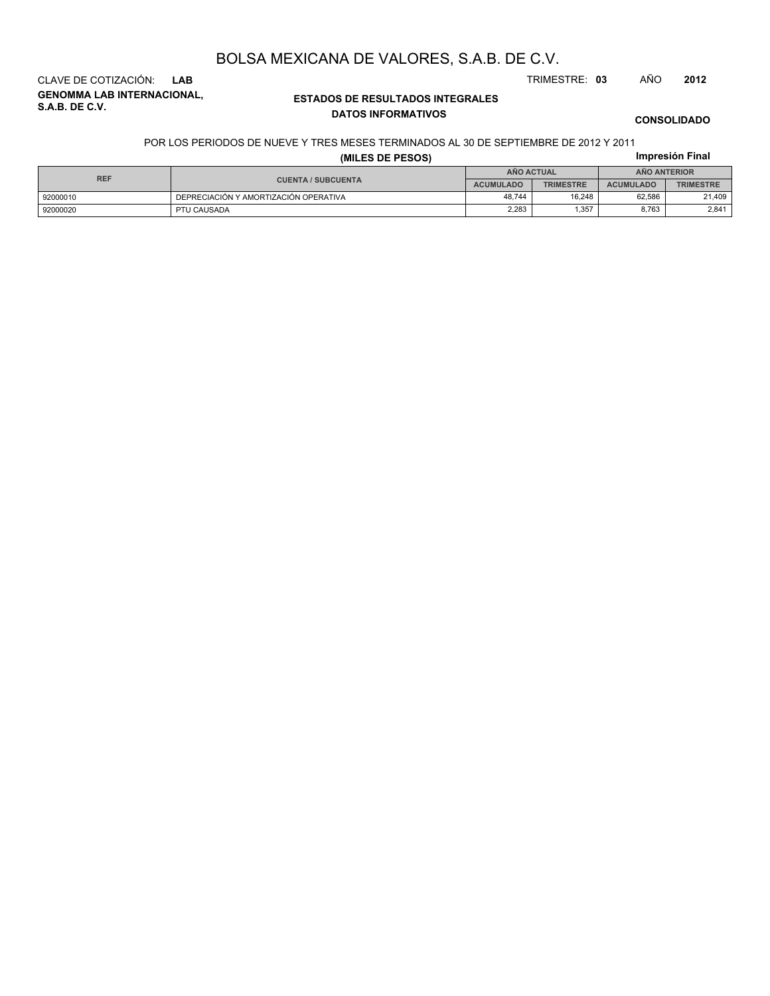**GENOMMA LAB INTERNACIONAL, S.A.B. DE C.V.** CLAVE DE COTIZACIÓN: **LAB** TRIMESTRE: **03** AÑO **2012**

#### **ESTADOS DE RESULTADOS INTEGRALES DATOS INFORMATIVOS**

**CONSOLIDADO**

**Impresión Final**

#### POR LOS PERIODOS DE NUEVE Y TRES MESES TERMINADOS AL 30 DE SEPTIEMBRE DE 2012 Y 2011

|  |  |  | (MILES DE PESOS) |  |
|--|--|--|------------------|--|
|--|--|--|------------------|--|

|          |                                         | AÑO ACTUAL |                  | <b>ANO ANTERIOR</b> |                  |  |
|----------|-----------------------------------------|------------|------------------|---------------------|------------------|--|
|          | <b>REF</b><br><b>CUENTA / SUBCUENTA</b> |            | <b>TRIMESTRE</b> | <b>ACUMULADO</b>    | <b>TRIMESTRE</b> |  |
| 92000010 | DEPRECIACIÓN Y AMORTIZACIÓN OPERATIVA   | 48.744     | 16.248           | 62,586              | 21,409           |  |
| 92000020 | PTU CAUSADA                             | 2.283      | 1.357            | 8.763               | 2.841            |  |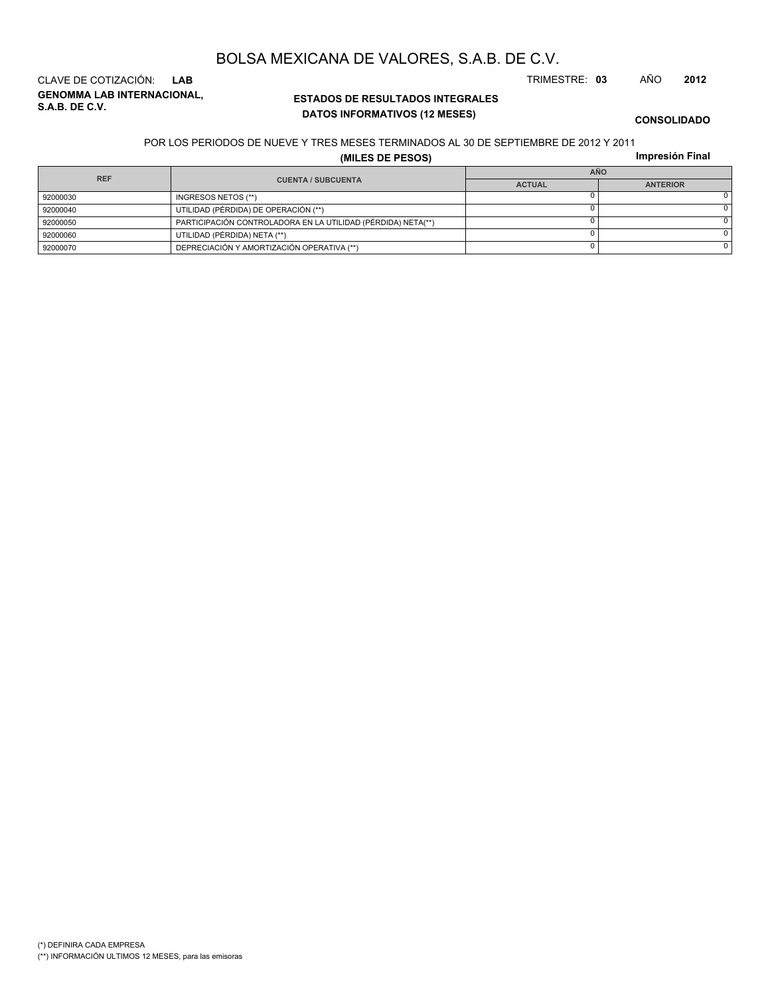# (\*) DEFINIRA CADA EMPRESA

(\*\*) INFORMACIÓN ULTIMOS 12 MESES, para las emisoras

**ESTADOS DE RESULTADOS INTEGRALES** CLAVE DE COTIZACIÓN: **LAB** TRIMESTRE: **03** AÑO **2012**

**GENOMMA LAB INTERNACIONAL, S.A.B. DE C.V.**

# **DATOS INFORMATIVOS (12 MESES)**

#### POR LOS PERIODOS DE NUEVE Y TRES MESES TERMINADOS AL 30 DE SEPTIEMBRE DE 2012 Y 2011

**(MILES DE PESOS)**

**Impresión Final**

| <b>REF</b> |                                                              | <b>AÑO</b>    |                 |  |
|------------|--------------------------------------------------------------|---------------|-----------------|--|
|            | <b>CUENTA / SUBCUENTA</b>                                    | <b>ACTUAL</b> | <b>ANTERIOR</b> |  |
| 92000030   | INGRESOS NETOS (**)                                          |               |                 |  |
| 92000040   | UTILIDAD (PÉRDIDA) DE OPERACIÓN (**)                         |               |                 |  |
| 92000050   | PARTICIPACIÓN CONTROLADORA EN LA UTILIDAD (PÉRDIDA) NETA(**) |               |                 |  |
| 92000060   | UTILIDAD (PÉRDIDA) NETA (**)                                 |               |                 |  |
| 92000070   | DEPRECIACIÓN Y AMORTIZACIÓN OPERATIVA (**)                   |               |                 |  |

## BOLSA MEXICANA DE VALORES, S.A.B. DE C.V.

**CONSOLIDADO**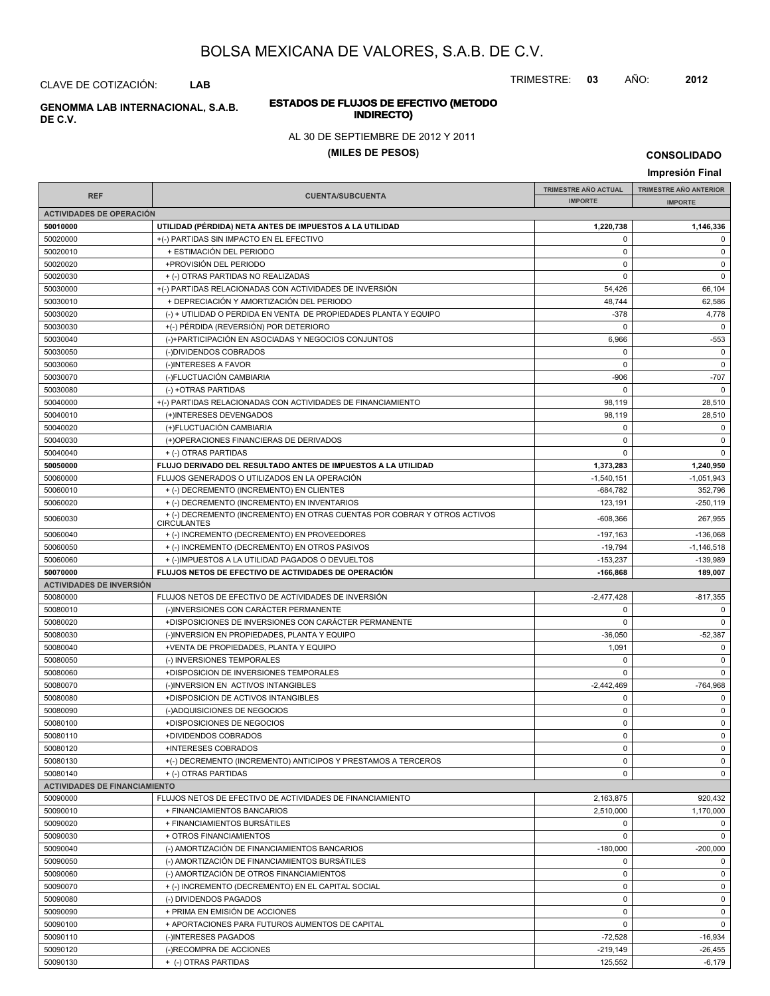TRIMESTRE: **03** AÑO: **2012**

#### **ESTADOS DE FLUJOS DE EFECTIVO (METODO INDIRECTO) GENOMMA LAB INTERNACIONAL, S.A.B.**

#### AL 30 DE SEPTIEMBRE DE 2012 Y 2011

#### **(MILES DE PESOS)**

**CONSOLIDADO**

**Impresión Final IMPRESIÓN FINAL AND SUBCUENTA**<br> **IMPORTE TRIMESTRE AÑO ACTUAL IMPORTE IMPORTE REF TRIMESTRE AÑO ANTERIOR IMPORTE ACTIVIDADES DE OPERACIÓN 50010000 UTILIDAD (PÉRDIDA) NETA ANTES DE IMPUESTOS A LA UTILIDAD 1,220,738 1,146,336** 50020000 +(-) PARTIDAS SIN IMPACTO EN EL EFECTIVO 0 0 50020010 + ESTIMACIÓN DEL PERIODO 0 0 50020020 +PROVISIÓN DEL PERIODO 0 0 50020030 + (-) OTRAS PARTIDAS NO REALIZADAS 0 0 50030000 + (-) PARTIDAS RELACIONADAS CON ACTIVIDADES DE INVERSIÓN 54,426 56,104 50030010 + DEPRECIACIÓN Y AMORTIZACIÓN DEL PERIODO 48,744 (48,744 ) 62,586 50030020 (-) + UTILIDAD O PERDIDA EN VENTA DE PROPIEDADES PLANTA Y EQUIPO -378 4,778 50030030 +(-) PÉRDIDA (REVERSIÓN) POR DETERIORO 0 0 50030040 (-)+PARTICIPACIÓN EN ASOCIADAS Y NEGOCIOS CONJUNTOS 6 (966 - 6,966 - 553 50030050 (-)DIVIDENDOS COBRADOS 0 0 50030060 (-)INTERESES A FAVOR 0 0 50030070 (-)FLUCTUACIÓN CAMBIARIA -906 -707 50030080 (-) +OTRAS PARTIDAS 0 0 50040000 + +(-) PARTIDAS RELACIONADAS CON ACTIVIDADES DE FINANCIAMIENTO 98,119 98,119 28,510 50040010 (+)INTERESES DEVENGADOS 98,119 28,510 50040020 (+)FLUCTUACIÓN CAMBIARIA 0 0 50040030 (+)OPERACIONES FINANCIERAS DE DERIVADOS 0 0 50040040 + (-) OTRAS PARTIDAS 0 0 **50050000 FLUJO DERIVADO DEL RESULTADO ANTES DE IMPUESTOS A LA UTILIDAD 1,373,283 1,240,950** 50060000 FLUJOS GENERADOS O UTILIZADOS EN LA OPERACIÓN -1,051,943 -1,540,151 -1,540,151 -1,051,943 50060010 + (-) DECREMENTO (INCREMENTO) EN CLIENTES -684,782 352,796 50060020 + (-) DECREMENTO (INCREMENTO) EN INVENTARIOS 123.191 123.191 - 250.119  $+(-)$ DECREMENTO (INCREMENTO) EN OTRAS CUENTAS POR COBRAR Y OTROS ACTIVOS 40000030 4608,366 467,955 **CIRCULANTES** 50060040 + (-) INCREMENTO (DECREMENTO) EN PROVEEDORES -197,163 -197,163 -197,163 -197,163 -197,163 -136,068 50060050 + (-) INCREMENTO (DECREMENTO) EN OTROS PASIVOS + 1,146,518 50060060 + (-)IMPUESTOS A LA UTILIDAD PAGADOS O DEVUELTOS + + (-)IMPUESTOS A LA UTILIDAD PAGADOS O DEVUELTOS + 153,237 + (-)IMPUESTOS A LA UTILIDAD PAGADOS O DEVUELTOS **50070000 FLUJOS NETOS DE EFECTIVO DE ACTIVIDADES DE OPERACIÓN -166,868 189,007 ACTIVIDADES DE INVERSIÓN** 50080000 FLUJOS NETOS DE EFECTIVO DE ACTIVIDADES DE INVERSIÓN CONTRADO EN EL EL EL EL EL EL EL ESTIVIDADES DE 50080010 (-)INVERSIONES CON CARÁCTER PERMANENTE 0 0 50080020 +DISPOSICIONES DE INVERSIONES CON CARÁCTER PERMANENTE 0 0 50080030 (-)INVERSION EN PROPIEDADES, PLANTA Y EQUIPO -36,050 -36,050 -52,387 50080040 +VENTA DE PROPIEDADES, PLANTA Y EQUIPO 1,091 0 50080050 (-) INVERSIONES TEMPORALES 0 0 50080060 +DISPOSICION DE INVERSIONES TEMPORALES 0 0 50080070 (-)INVERSION EN ACTIVOS INTANGIBLES -2,442,469 -764,968 50080080 +DISPOSICION DE ACTIVOS INTANGIBLES 0 0 50080090 (-)ADQUISICIONES DE NEGOCIOS 0 0 50080100 +DISPOSICIONES DE NEGOCIOS 0 0 50080110 +DIVIDENDOS COBRADOS 0 0 50080120 +INTERESES COBRADOS 0 0 50080130 +(-) DECREMENTO (INCREMENTO) ANTICIPOS Y PRESTAMOS A TERCEROS 0 0 50080140 + (-) OTRAS PARTIDAS 0 0 **ACTIVIDADES DE FINANCIAMIENTO** 50090000 FLUJOS NETOS DE EFECTIVO DE ACTIVIDADES DE FINANCIAMIENTO 2,163,875 920,432 50090010 + FINANCIAMIENTOS BANCARIOS 2,510,000 1,170,000 50090020 + FINANCIAMIENTOS BURSÁTILES 0 0 50090030 + OTROS FINANCIAMIENTOS 0 0 50090040 (-) AMORTIZACIÓN DE FINANCIAMIENTOS BANCARIOS -180,000 -200,000 50090050 (-) AMORTIZACIÓN DE FINANCIAMIENTOS BURSÁTILES 0 0 50090060 (-) AMORTIZACIÓN DE OTROS FINANCIAMIENTOS 0 0 50090070 + (-) INCREMENTO (DECREMENTO) EN EL CAPITAL SOCIAL 0 0 50090080 (-) DIVIDENDOS PAGADOS 0 0 50090090 + PRIMA EN EMISIÓN DE ACCIONES de la componentación de la componentación de la componentación de la c 50090100 + APORTACIONES PARA FUTUROS AUMENTOS DE CAPITAL 0 0 50090110 | (-)INTERESES PAGADOS -72,528 | -16,934 50090120 (-)RECOMPRA DE ACCIONES -219,149 -26,455

50090130 + (-) OTRAS PARTIDAS 125,552 -6,179

CLAVE DE COTIZACIÓN: **LAB**

**DE C.V.**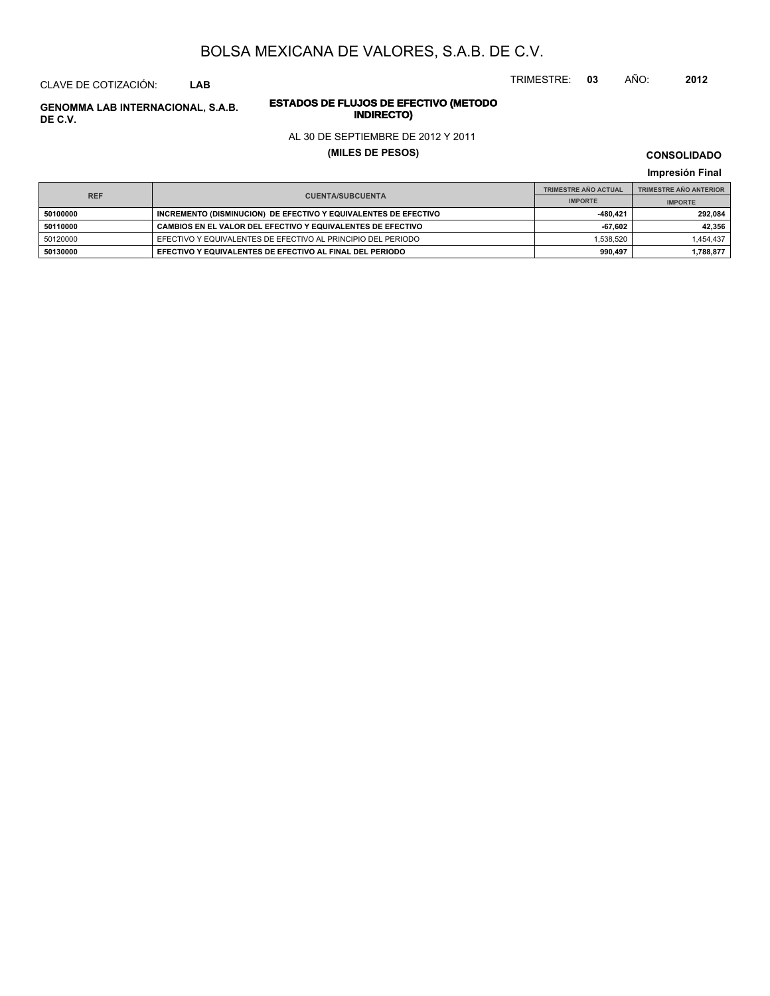TRIMESTRE: **03** AÑO: **2012**

#### CLAVE DE COTIZACIÓN: **LAB**

# **ESTADOS DE FLUJOS DE EFECTIVO (METODO**

#### AL 30 DE SEPTIEMBRE DE 2012 Y 2011

#### **(MILES DE PESOS)**

**CONSOLIDADO**

**Impresión Final**

|            |                                                                 | <b>TRIMESTRE AÑO ACTUAL</b> | <b>TRIMESTRE AÑO ANTERIOR</b> |
|------------|-----------------------------------------------------------------|-----------------------------|-------------------------------|
| <b>REF</b> | <b>CUENTA/SUBCUENTA</b>                                         | <b>IMPORTE</b>              | <b>IMPORTE</b>                |
| 50100000   | INCREMENTO (DISMINUCION) DE EFECTIVO Y EQUIVALENTES DE EFECTIVO | -480.421                    | 292.084                       |
| 50110000   | CAMBIOS EN EL VALOR DEL EFECTIVO Y EQUIVALENTES DE EFECTIVO     | -67.602                     | 42.356                        |
| 50120000   | EFECTIVO Y EQUIVALENTES DE EFECTIVO AL PRINCIPIO DEL PERIODO    | 1.538.520                   | 1,454,437                     |
| 50130000   | EFECTIVO Y EQUIVALENTES DE EFECTIVO AL FINAL DEL PERIODO        | 990.497                     | 1,788,877                     |

**INDIRECTO) GENOMMA LAB INTERNACIONAL, S.A.B. DE C.V.**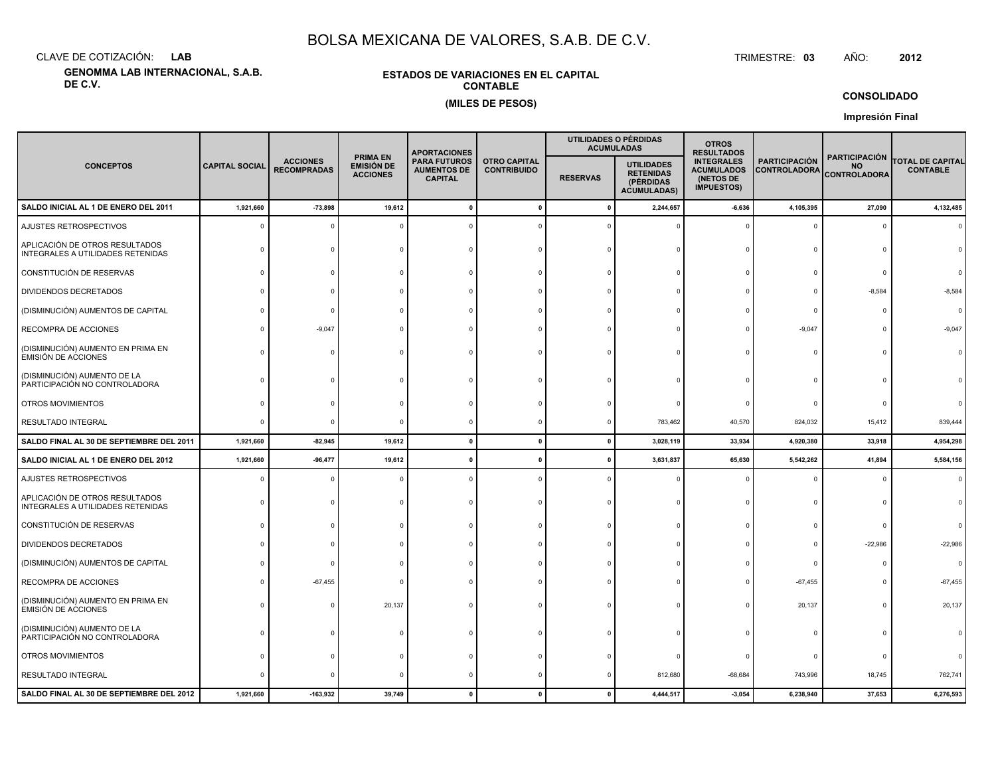CLAVE DE COTIZACIÓN:**LAB**

**GENOMMA LAB INTERNACIONAL, S.A.B. DE C.V.**

#### **ESTADOS DE VARIACIONES EN EL CAPITALCONTABLE(MILES DE PESOS)**

 TRIMESTRE:TRIMESTRE: 03 AÑO: **<sup>2012</sup>**

**CONSOLIDADO**

**Impresión Final**

|                                                                     |                       |                                       |                                                         | <b>APORTACIONES</b>                                                                                      |             |                 | UTILIDADES O PÉRDIDAS<br><b>ACUMULADAS</b>                               | <b>OTROS</b><br><b>RESULTADOS</b>                                                                                       |              |                                                          |                                            |  |
|---------------------------------------------------------------------|-----------------------|---------------------------------------|---------------------------------------------------------|----------------------------------------------------------------------------------------------------------|-------------|-----------------|--------------------------------------------------------------------------|-------------------------------------------------------------------------------------------------------------------------|--------------|----------------------------------------------------------|--------------------------------------------|--|
| <b>CONCEPTOS</b>                                                    | <b>CAPITAL SOCIAL</b> | <b>ACCIONES</b><br><b>RECOMPRADAS</b> | <b>PRIMA EN</b><br><b>EMISIÓN DE</b><br><b>ACCIONES</b> | <b>PARA FUTUROS</b><br><b>OTRO CAPITAL</b><br><b>AUMENTOS DE</b><br><b>CONTRIBUIDO</b><br><b>CAPITAL</b> |             | <b>RESERVAS</b> | <b>UTILIDADES</b><br><b>RETENIDAS</b><br>(PÉRDIDAS<br><b>ACUMULADAS)</b> | <b>INTEGRALES</b><br><b>PARTICIPACIÓN</b><br><b>ACUMULADOS</b><br><b>CONTROLADORA</b><br>(NETOS DE<br><b>IMPUESTOS)</b> |              | <b>PARTICIPACIÓN</b><br><b>NO</b><br><b>CONTROLADORA</b> | <b>TOTAL DE CAPITAL</b><br><b>CONTABLE</b> |  |
| SALDO INICIAL AL 1 DE ENERO DEL 2011                                | 1,921,660             | $-73,898$                             | 19,612                                                  |                                                                                                          | $\mathbf 0$ | 0               | 2,244,657                                                                | $-6,636$                                                                                                                | 4,105,395    | 27,090                                                   | 4,132,485                                  |  |
| AJUSTES RETROSPECTIVOS                                              |                       |                                       |                                                         |                                                                                                          |             |                 |                                                                          |                                                                                                                         | $\mathbf 0$  | 0                                                        |                                            |  |
| APLICACIÓN DE OTROS RESULTADOS<br>INTEGRALES A UTILIDADES RETENIDAS |                       |                                       |                                                         |                                                                                                          |             |                 |                                                                          |                                                                                                                         | $\Omega$     |                                                          |                                            |  |
| CONSTITUCIÓN DE RESERVAS                                            |                       |                                       |                                                         |                                                                                                          |             |                 |                                                                          |                                                                                                                         | $\Omega$     | O                                                        |                                            |  |
| <b>DIVIDENDOS DECRETADOS</b>                                        |                       |                                       |                                                         |                                                                                                          |             |                 |                                                                          |                                                                                                                         | $\Omega$     | $-8,584$                                                 | $-8,584$                                   |  |
| (DISMINUCIÓN) AUMENTOS DE CAPITAL                                   |                       |                                       |                                                         |                                                                                                          |             |                 |                                                                          |                                                                                                                         | $\Omega$     | $\Omega$                                                 | $\Omega$                                   |  |
| RECOMPRA DE ACCIONES                                                |                       | $-9,047$                              |                                                         |                                                                                                          |             |                 |                                                                          |                                                                                                                         | $-9,047$     | $\Omega$                                                 | $-9,047$                                   |  |
| (DISMINUCIÓN) AUMENTO EN PRIMA EN<br><b>EMISIÓN DE ACCIONES</b>     |                       |                                       |                                                         |                                                                                                          |             |                 |                                                                          |                                                                                                                         | $\Omega$     | $\Omega$                                                 |                                            |  |
| (DISMINUCIÓN) AUMENTO DE LA<br>PARTICIPACIÓN NO CONTROLADORA        |                       |                                       |                                                         |                                                                                                          |             |                 |                                                                          |                                                                                                                         |              |                                                          |                                            |  |
| OTROS MOVIMIENTOS                                                   |                       |                                       |                                                         |                                                                                                          |             |                 |                                                                          |                                                                                                                         | 0            | $\Omega$                                                 |                                            |  |
| RESULTADO INTEGRAL                                                  |                       |                                       |                                                         |                                                                                                          |             |                 | 783,462                                                                  | 40,570                                                                                                                  | 824,032      | 15,412                                                   | 839,444                                    |  |
| SALDO FINAL AL 30 DE SEPTIEMBRE DEL 2011                            | 1,921,660             | $-82,945$                             | 19,612                                                  |                                                                                                          | $\Omega$    | $\mathbf{0}$    | 3,028,119                                                                | 33,934                                                                                                                  | 4,920,380    | 33,918                                                   | 4,954,298                                  |  |
| SALDO INICIAL AL 1 DE ENERO DEL 2012                                | 1,921,660             | $-96,477$                             | 19,612                                                  |                                                                                                          |             | 0               | 3,631,837                                                                | 65,630                                                                                                                  | 5,542,262    | 41,894                                                   | 5,584,156                                  |  |
| AJUSTES RETROSPECTIVOS                                              |                       |                                       |                                                         |                                                                                                          |             |                 |                                                                          |                                                                                                                         | $\Omega$     | $\Omega$                                                 | $\Omega$                                   |  |
| APLICACIÓN DE OTROS RESULTADOS<br>INTEGRALES A UTILIDADES RETENIDAS |                       |                                       |                                                         |                                                                                                          |             |                 |                                                                          |                                                                                                                         | $\Omega$     | $\Omega$                                                 |                                            |  |
| CONSTITUCIÓN DE RESERVAS                                            |                       |                                       |                                                         |                                                                                                          |             |                 |                                                                          |                                                                                                                         | $\Omega$     | $\mathbf 0$                                              |                                            |  |
| <b>DIVIDENDOS DECRETADOS</b>                                        |                       |                                       |                                                         |                                                                                                          |             |                 |                                                                          |                                                                                                                         | $\mathbf{0}$ | $-22,986$                                                | $-22,986$                                  |  |
| (DISMINUCIÓN) AUMENTOS DE CAPITAL                                   |                       |                                       |                                                         |                                                                                                          |             |                 |                                                                          |                                                                                                                         | $\mathbf{0}$ | $\Omega$                                                 | $\Omega$                                   |  |
| RECOMPRA DE ACCIONES                                                |                       | $-67,455$                             |                                                         |                                                                                                          |             |                 |                                                                          |                                                                                                                         | $-67,455$    | $\Omega$                                                 | $-67,455$                                  |  |
| (DISMINUCIÓN) AUMENTO EN PRIMA EN<br><b>EMISIÓN DE ACCIONES</b>     |                       |                                       | 20,137                                                  |                                                                                                          |             |                 |                                                                          | $\Omega$                                                                                                                | 20,137       | $\Omega$                                                 | 20,137                                     |  |
| (DISMINUCIÓN) AUMENTO DE LA<br>PARTICIPACIÓN NO CONTROLADORA        |                       |                                       |                                                         |                                                                                                          |             |                 |                                                                          |                                                                                                                         | $\Omega$     | $\Omega$                                                 |                                            |  |
| OTROS MOVIMIENTOS                                                   |                       |                                       |                                                         |                                                                                                          |             |                 |                                                                          |                                                                                                                         | 0            | O                                                        |                                            |  |
| RESULTADO INTEGRAL                                                  |                       |                                       |                                                         |                                                                                                          |             |                 | 812,680                                                                  | $-68,684$                                                                                                               | 743,996      | 18,745                                                   | 762,741                                    |  |
| SALDO FINAL AL 30 DE SEPTIEMBRE DEL 2012                            | 1,921,660             | $-163,932$                            | 39,749                                                  |                                                                                                          |             |                 | 4,444,517                                                                | $-3,054$                                                                                                                | 6,238,940    | 37,653                                                   | 6,276,593                                  |  |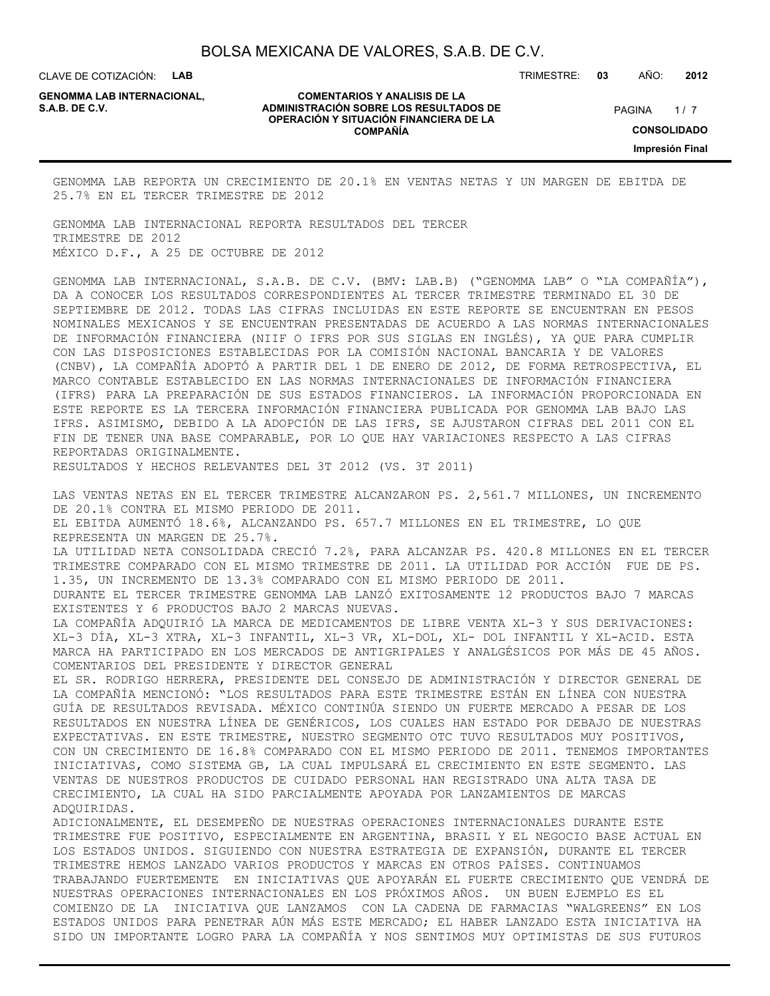CLAVE DE COTIZACIÓN: **LAB**

**GENOMMA LAB INTERNACIONAL,**

#### **COMENTARIOS Y ANALISIS DE LA ADMINISTRACIÓN SOBRE LOS RESULTADOS DE PAGINA 1/7 OPERACIÓN Y SITUACIÓN FINANCIERA DE LA COMPAÑÍA**

 $1/7$ **CONSOLIDADO Impresión Final**

GENOMMA LAB REPORTA UN CRECIMIENTO DE 20.1% EN VENTAS NETAS Y UN MARGEN DE EBITDA DE 25.7% EN EL TERCER TRIMESTRE DE 2012

GENOMMA LAB INTERNACIONAL REPORTA RESULTADOS DEL TERCER TRIMESTRE DE 2012 MÉXICO D.F., A 25 DE OCTUBRE DE 2012

GENOMMA LAB INTERNACIONAL, S.A.B. DE C.V. (BMV: LAB.B) ("GENOMMA LAB" O "LA COMPAÑÍA"), DA A CONOCER LOS RESULTADOS CORRESPONDIENTES AL TERCER TRIMESTRE TERMINADO EL 30 DE SEPTIEMBRE DE 2012. TODAS LAS CIFRAS INCLUIDAS EN ESTE REPORTE SE ENCUENTRAN EN PESOS NOMINALES MEXICANOS Y SE ENCUENTRAN PRESENTADAS DE ACUERDO A LAS NORMAS INTERNACIONALES DE INFORMACIÓN FINANCIERA (NIIF O IFRS POR SUS SIGLAS EN INGLÉS), YA QUE PARA CUMPLIR CON LAS DISPOSICIONES ESTABLECIDAS POR LA COMISIÓN NACIONAL BANCARIA Y DE VALORES (CNBV), LA COMPAÑÍA ADOPTÓ A PARTIR DEL 1 DE ENERO DE 2012, DE FORMA RETROSPECTIVA, EL MARCO CONTABLE ESTABLECIDO EN LAS NORMAS INTERNACIONALES DE INFORMACIÓN FINANCIERA (IFRS) PARA LA PREPARACIÓN DE SUS ESTADOS FINANCIEROS. LA INFORMACIÓN PROPORCIONADA EN ESTE REPORTE ES LA TERCERA INFORMACIÓN FINANCIERA PUBLICADA POR GENOMMA LAB BAJO LAS IFRS. ASIMISMO, DEBIDO A LA ADOPCIÓN DE LAS IFRS, SE AJUSTARON CIFRAS DEL 2011 CON EL FIN DE TENER UNA BASE COMPARABLE, POR LO QUE HAY VARIACIONES RESPECTO A LAS CIFRAS REPORTADAS ORIGINALMENTE.

LAS VENTAS NETAS EN EL TERCER TRIMESTRE ALCANZARON PS. 2,561.7 MILLONES, UN INCREMENTO

RESULTADOS Y HECHOS RELEVANTES DEL 3T 2012 (VS. 3T 2011)

DE 20.1% CONTRA EL MISMO PERIODO DE 2011. EL EBITDA AUMENTÓ 18.6%, ALCANZANDO PS. 657.7 MILLONES EN EL TRIMESTRE, LO QUE REPRESENTA UN MARGEN DE 25.7%. LA UTILIDAD NETA CONSOLIDADA CRECIÓ 7.2%, PARA ALCANZAR PS. 420.8 MILLONES EN EL TERCER TRIMESTRE COMPARADO CON EL MISMO TRIMESTRE DE 2011. LA UTILIDAD POR ACCIÓN FUE DE PS. 1.35, UN INCREMENTO DE 13.3% COMPARADO CON EL MISMO PERIODO DE 2011. DURANTE EL TERCER TRIMESTRE GENOMMA LAB LANZÓ EXITOSAMENTE 12 PRODUCTOS BAJO 7 MARCAS EXISTENTES Y 6 PRODUCTOS BAJO 2 MARCAS NUEVAS. LA COMPAÑÍA ADQUIRIÓ LA MARCA DE MEDICAMENTOS DE LIBRE VENTA XL-3 Y SUS DERIVACIONES: XL-3 DÍA, XL-3 XTRA, XL-3 INFANTIL, XL-3 VR, XL-DOL, XL- DOL INFANTIL Y XL-ACID. ESTA MARCA HA PARTICIPADO EN LOS MERCADOS DE ANTIGRIPALES Y ANALGÉSICOS POR MÁS DE 45 AÑOS. COMENTARIOS DEL PRESIDENTE Y DIRECTOR GENERAL EL SR. RODRIGO HERRERA, PRESIDENTE DEL CONSEJO DE ADMINISTRACIÓN Y DIRECTOR GENERAL DE LA COMPAÑÍA MENCIONÓ: "LOS RESULTADOS PARA ESTE TRIMESTRE ESTÁN EN LÍNEA CON NUESTRA GUÍA DE RESULTADOS REVISADA. MÉXICO CONTINÚA SIENDO UN FUERTE MERCADO A PESAR DE LOS RESULTADOS EN NUESTRA LÍNEA DE GENÉRICOS, LOS CUALES HAN ESTADO POR DEBAJO DE NUESTRAS EXPECTATIVAS. EN ESTE TRIMESTRE, NUESTRO SEGMENTO OTC TUVO RESULTADOS MUY POSITIVOS, CON UN CRECIMIENTO DE 16.8% COMPARADO CON EL MISMO PERIODO DE 2011. TENEMOS IMPORTANTES INICIATIVAS, COMO SISTEMA GB, LA CUAL IMPULSARÁ EL CRECIMIENTO EN ESTE SEGMENTO. LAS VENTAS DE NUESTROS PRODUCTOS DE CUIDADO PERSONAL HAN REGISTRADO UNA ALTA TASA DE CRECIMIENTO, LA CUAL HA SIDO PARCIALMENTE APOYADA POR LANZAMIENTOS DE MARCAS ADQUIRIDAS. ADICIONALMENTE, EL DESEMPEÑO DE NUESTRAS OPERACIONES INTERNACIONALES DURANTE ESTE TRIMESTRE FUE POSITIVO, ESPECIALMENTE EN ARGENTINA, BRASIL Y EL NEGOCIO BASE ACTUAL EN LOS ESTADOS UNIDOS. SIGUIENDO CON NUESTRA ESTRATEGIA DE EXPANSIÓN, DURANTE EL TERCER TRIMESTRE HEMOS LANZADO VARIOS PRODUCTOS Y MARCAS EN OTROS PAÍSES. CONTINUAMOS TRABAJANDO FUERTEMENTE EN INICIATIVAS QUE APOYARÁN EL FUERTE CRECIMIENTO QUE VENDRÁ DE NUESTRAS OPERACIONES INTERNACIONALES EN LOS PRÓXIMOS AÑOS. UN BUEN EJEMPLO ES EL COMIENZO DE LA INICIATIVA QUE LANZAMOS CON LA CADENA DE FARMACIAS "WALGREENS" EN LOS ESTADOS UNIDOS PARA PENETRAR AÚN MÁS ESTE MERCADO; EL HABER LANZADO ESTA INICIATIVA HA

SIDO UN IMPORTANTE LOGRO PARA LA COMPAÑÍA Y NOS SENTIMOS MUY OPTIMISTAS DE SUS FUTUROS

TRIMESTRE: **03** AÑO: **2012**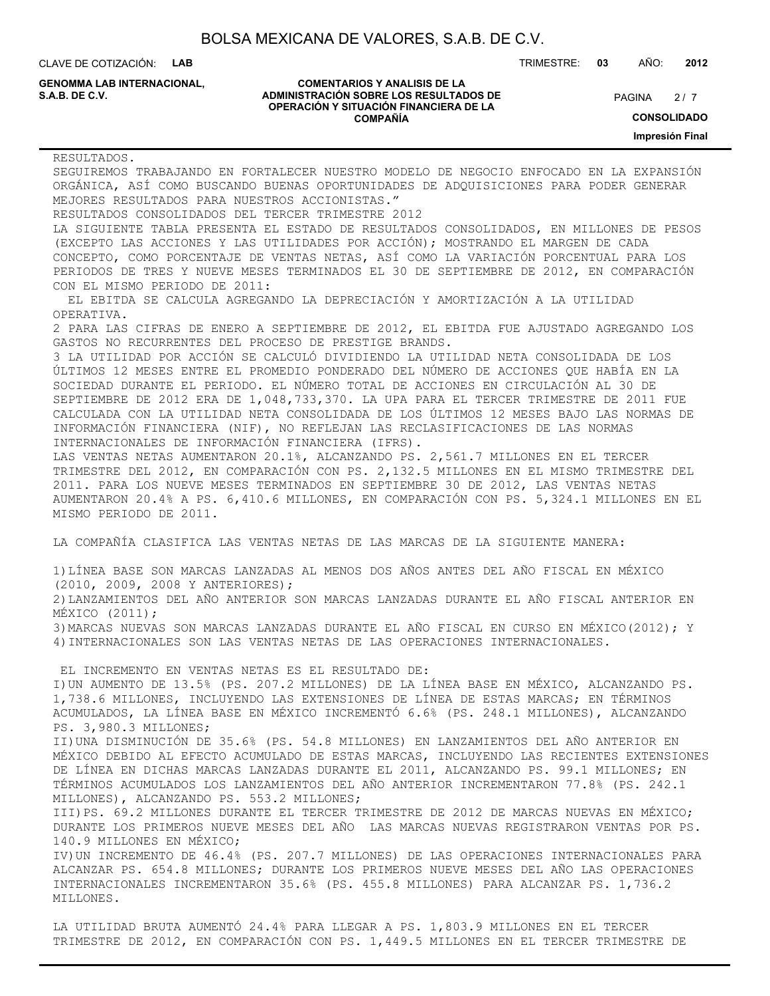| BOLSA MEXICANA DE VALORES, S.A.B. DE C.V. |  |  |  |
|-------------------------------------------|--|--|--|
|-------------------------------------------|--|--|--|

CLAVE DE COTIZACIÓN: **LAB**

**GENOMMA LAB INTERNACIONAL,**

#### **COMENTARIOS Y ANALISIS DE LA ADMINISTRACIÓN SOBRE LOS RESULTADOS DE PAGINA 2/7 PAGINA 2/7 OPERACIÓN Y SITUACIÓN FINANCIERA DE LA COMPAÑÍA**

TRIMESTRE: **03** AÑO: **2012**

 $2/7$ 

**CONSOLIDADO**

**Impresión Final**

| RESULTADOS.                                                                                                                                                                                                                                                                                                                                                                                                                                                                                                                                                                          |
|--------------------------------------------------------------------------------------------------------------------------------------------------------------------------------------------------------------------------------------------------------------------------------------------------------------------------------------------------------------------------------------------------------------------------------------------------------------------------------------------------------------------------------------------------------------------------------------|
| SEGUIREMOS TRABAJANDO EN FORTALECER NUESTRO MODELO DE NEGOCIO ENFOCADO EN LA EXPANSIÓN<br>ORGÁNICA, ASÍ COMO BUSCANDO BUENAS OPORTUNIDADES DE ADQUISICIONES PARA PODER GENERAR                                                                                                                                                                                                                                                                                                                                                                                                       |
| MEJORES RESULTADOS PARA NUESTROS ACCIONISTAS."                                                                                                                                                                                                                                                                                                                                                                                                                                                                                                                                       |
| RESULTADOS CONSOLIDADOS DEL TERCER TRIMESTRE 2012                                                                                                                                                                                                                                                                                                                                                                                                                                                                                                                                    |
| LA SIGUIENTE TABLA PRESENTA EL ESTADO DE RESULTADOS CONSOLIDADOS, EN MILLONES DE PESOS                                                                                                                                                                                                                                                                                                                                                                                                                                                                                               |
| (EXCEPTO LAS ACCIONES Y LAS UTILIDADES POR ACCIÓN); MOSTRANDO EL MARGEN DE CADA                                                                                                                                                                                                                                                                                                                                                                                                                                                                                                      |
| CONCEPTO, COMO PORCENTAJE DE VENTAS NETAS, ASÍ COMO LA VARIACIÓN PORCENTUAL PARA LOS                                                                                                                                                                                                                                                                                                                                                                                                                                                                                                 |
| PERIODOS DE TRES Y NUEVE MESES TERMINADOS EL 30 DE SEPTIEMBRE DE 2012, EN COMPARACIÓN                                                                                                                                                                                                                                                                                                                                                                                                                                                                                                |
| CON EL MISMO PERIODO DE 2011:                                                                                                                                                                                                                                                                                                                                                                                                                                                                                                                                                        |
| EL EBITDA SE CALCULA AGREGANDO LA DEPRECIACIÓN Y AMORTIZACIÓN A LA UTILIDAD<br>OPERATIVA.                                                                                                                                                                                                                                                                                                                                                                                                                                                                                            |
| 2 PARA LAS CIFRAS DE ENERO A SEPTIEMBRE DE 2012, EL EBITDA FUE AJUSTADO AGREGANDO LOS                                                                                                                                                                                                                                                                                                                                                                                                                                                                                                |
| GASTOS NO RECURRENTES DEL PROCESO DE PRESTIGE BRANDS.                                                                                                                                                                                                                                                                                                                                                                                                                                                                                                                                |
| 3 LA UTILIDAD POR ACCIÓN SE CALCULÓ DIVIDIENDO LA UTILIDAD NETA CONSOLIDADA DE LOS<br>ÚLTIMOS 12 MESES ENTRE EL PROMEDIO PONDERADO DEL NÚMERO DE ACCIONES QUE HABÍA EN LA<br>SOCIEDAD DURANTE EL PERIODO. EL NÚMERO TOTAL DE ACCIONES EN CIRCULACIÓN AL 30 DE<br>SEPTIEMBRE DE 2012 ERA DE 1,048,733,370. LA UPA PARA EL TERCER TRIMESTRE DE 2011 FUE<br>CALCULADA CON LA UTILIDAD NETA CONSOLIDADA DE LOS ÚLTIMOS 12 MESES BAJO LAS NORMAS DE<br>INFORMACIÓN FINANCIERA (NIF), NO REFLEJAN LAS RECLASIFICACIONES DE LAS NORMAS<br>INTERNACIONALES DE INFORMACIÓN FINANCIERA (IFRS). |
| LAS VENTAS NETAS AUMENTARON 20.1%, ALCANZANDO PS. 2,561.7 MILLONES EN EL TERCER<br>TRIMESTRE DEL 2012, EN COMPARACIÓN CON PS. 2,132.5 MILLONES EN EL MISMO TRIMESTRE DEL<br>2011. PARA LOS NUEVE MESES TERMINADOS EN SEPTIEMBRE 30 DE 2012, LAS VENTAS NETAS<br>AUMENTARON 20.4% A PS. 6,410.6 MILLONES, EN COMPARACIÓN CON PS. 5,324.1 MILLONES EN EL<br>MISMO PERIODO DE 2011.                                                                                                                                                                                                     |
| LA COMPAÑÍA CLASIFICA LAS VENTAS NETAS DE LAS MARCAS DE LA SIGUIENTE MANERA:                                                                                                                                                                                                                                                                                                                                                                                                                                                                                                         |
| 1) LÍNEA BASE SON MARCAS LANZADAS AL MENOS DOS AÑOS ANTES DEL AÑO FISCAL EN MÉXICO<br>(2010, 2009, 2008 Y ANTERIORES);<br>2) LANZAMIENTOS DEL AÑO ANTERIOR SON MARCAS LANZADAS DURANTE EL AÑO FISCAL ANTERIOR EN<br>MÉXICO $(2011)$ ;<br>3) MARCAS NUEVAS SON MARCAS LANZADAS DURANTE EL AÑO FISCAL EN CURSO EN MÉXICO(2012); Y<br>4) INTERNACIONALES SON LAS VENTAS NETAS DE LAS OPERACIONES INTERNACIONALES.                                                                                                                                                                       |
|                                                                                                                                                                                                                                                                                                                                                                                                                                                                                                                                                                                      |
| EL INCREMENTO EN VENTAS NETAS ES EL RESULTADO DE:<br>I) UN AUMENTO DE 13.5% (PS. 207.2 MILLONES) DE LA LÍNEA BASE EN MÉXICO, ALCANZANDO PS.<br>1,738.6 MILLONES, INCLUYENDO LAS EXTENSIONES DE LÍNEA DE ESTAS MARCAS; EN TÉRMINOS<br>ACUMULADOS, LA LÍNEA BASE EN MÉXICO INCREMENTÓ 6.6% (PS. 248.1 MILLONES), ALCANZANDO<br>PS. 3,980.3 MILLONES;                                                                                                                                                                                                                                   |
| II) UNA DISMINUCIÓN DE 35.6% (PS. 54.8 MILLONES) EN LANZAMIENTOS DEL AÑO ANTERIOR EN<br>MÉXICO DEBIDO AL EFECTO ACUMULADO DE ESTAS MARCAS, INCLUYENDO LAS RECIENTES EXTENSIONES<br>DE LÍNEA EN DICHAS MARCAS LANZADAS DURANTE EL 2011, ALCANZANDO PS. 99.1 MILLONES; EN<br>TÉRMINOS ACUMULADOS LOS LANZAMIENTOS DEL AÑO ANTERIOR INCREMENTARON 77.8% (PS. 242.1                                                                                                                                                                                                                      |
| MILLONES), ALCANZANDO PS. 553.2 MILLONES;<br>III) PS. 69.2 MILLONES DURANTE EL TERCER TRIMESTRE DE 2012 DE MARCAS NUEVAS EN MÉXICO;<br>DURANTE LOS PRIMEROS NUEVE MESES DEL AÑO LAS MARCAS NUEVAS REGISTRARON VENTAS POR PS.                                                                                                                                                                                                                                                                                                                                                         |
| 140.9 MILLONES EN MÉXICO;<br>IV) UN INCREMENTO DE 46.4% (PS. 207.7 MILLONES) DE LAS OPERACIONES INTERNACIONALES PARA<br>ALCANZAR PS. 654.8 MILLONES; DURANTE LOS PRIMEROS NUEVE MESES DEL AÑO LAS OPERACIONES<br>INTERNACIONALES INCREMENTARON 35.6% (PS. 455.8 MILLONES) PARA ALCANZAR PS. 1,736.2<br>MILLONES.                                                                                                                                                                                                                                                                     |
|                                                                                                                                                                                                                                                                                                                                                                                                                                                                                                                                                                                      |
| LA UTILIDAD BRUTA AUMENTÓ 24.4% PARA LLEGAR A PS. 1,803.9 MILLONES EN EL TERCER                                                                                                                                                                                                                                                                                                                                                                                                                                                                                                      |

TRIMESTRE DE 2012, EN COMPARACIÓN CON PS. 1,449.5 MILLONES EN EL TERCER TRIMESTRE DE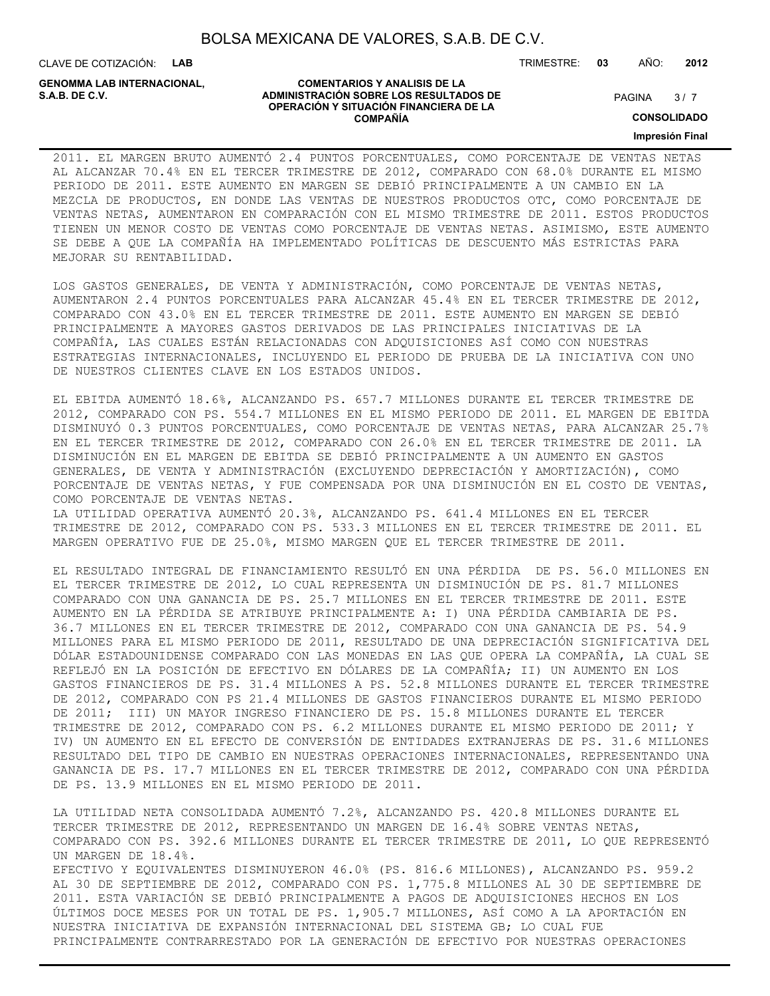CLAVE DE COTIZACIÓN: **LAB**

**GENOMMA LAB INTERNACIONAL,**

#### **COMENTARIOS Y ANALISIS DE LA ADMINISTRACIÓN SOBRE LOS RESULTADOS DE S.A.B. DE C.V.** PAGINA / 7 **OPERACIÓN Y SITUACIÓN FINANCIERA DE LA COMPAÑÍA**

 $3/7$ 

**CONSOLIDADO**

#### **Impresión Final**

2011. EL MARGEN BRUTO AUMENTÓ 2.4 PUNTOS PORCENTUALES, COMO PORCENTAJE DE VENTAS NETAS AL ALCANZAR 70.4% EN EL TERCER TRIMESTRE DE 2012, COMPARADO CON 68.0% DURANTE EL MISMO PERIODO DE 2011. ESTE AUMENTO EN MARGEN SE DEBIÓ PRINCIPALMENTE A UN CAMBIO EN LA MEZCLA DE PRODUCTOS, EN DONDE LAS VENTAS DE NUESTROS PRODUCTOS OTC, COMO PORCENTAJE DE VENTAS NETAS, AUMENTARON EN COMPARACIÓN CON EL MISMO TRIMESTRE DE 2011. ESTOS PRODUCTOS TIENEN UN MENOR COSTO DE VENTAS COMO PORCENTAJE DE VENTAS NETAS. ASIMISMO, ESTE AUMENTO SE DEBE A QUE LA COMPAÑÍA HA IMPLEMENTADO POLÍTICAS DE DESCUENTO MÁS ESTRICTAS PARA MEJORAR SU RENTABILIDAD.

LOS GASTOS GENERALES, DE VENTA Y ADMINISTRACIÓN, COMO PORCENTAJE DE VENTAS NETAS, AUMENTARON 2.4 PUNTOS PORCENTUALES PARA ALCANZAR 45.4% EN EL TERCER TRIMESTRE DE 2012, COMPARADO CON 43.0% EN EL TERCER TRIMESTRE DE 2011. ESTE AUMENTO EN MARGEN SE DEBIÓ PRINCIPALMENTE A MAYORES GASTOS DERIVADOS DE LAS PRINCIPALES INICIATIVAS DE LA COMPAÑÍA, LAS CUALES ESTÁN RELACIONADAS CON ADQUISICIONES ASÍ COMO CON NUESTRAS ESTRATEGIAS INTERNACIONALES, INCLUYENDO EL PERIODO DE PRUEBA DE LA INICIATIVA CON UNO DE NUESTROS CLIENTES CLAVE EN LOS ESTADOS UNIDOS.

EL EBITDA AUMENTÓ 18.6%, ALCANZANDO PS. 657.7 MILLONES DURANTE EL TERCER TRIMESTRE DE 2012, COMPARADO CON PS. 554.7 MILLONES EN EL MISMO PERIODO DE 2011. EL MARGEN DE EBITDA DISMINUYÓ 0.3 PUNTOS PORCENTUALES, COMO PORCENTAJE DE VENTAS NETAS, PARA ALCANZAR 25.7% EN EL TERCER TRIMESTRE DE 2012, COMPARADO CON 26.0% EN EL TERCER TRIMESTRE DE 2011. LA DISMINUCIÓN EN EL MARGEN DE EBITDA SE DEBIÓ PRINCIPALMENTE A UN AUMENTO EN GASTOS GENERALES, DE VENTA Y ADMINISTRACIÓN (EXCLUYENDO DEPRECIACIÓN Y AMORTIZACIÓN), COMO PORCENTAJE DE VENTAS NETAS, Y FUE COMPENSADA POR UNA DISMINUCIÓN EN EL COSTO DE VENTAS, COMO PORCENTAJE DE VENTAS NETAS.

LA UTILIDAD OPERATIVA AUMENTÓ 20.3%, ALCANZANDO PS. 641.4 MILLONES EN EL TERCER TRIMESTRE DE 2012, COMPARADO CON PS. 533.3 MILLONES EN EL TERCER TRIMESTRE DE 2011. EL MARGEN OPERATIVO FUE DE 25.0%, MISMO MARGEN QUE EL TERCER TRIMESTRE DE 2011.

EL RESULTADO INTEGRAL DE FINANCIAMIENTO RESULTÓ EN UNA PÉRDIDA DE PS. 56.0 MILLONES EN EL TERCER TRIMESTRE DE 2012, LO CUAL REPRESENTA UN DISMINUCIÓN DE PS. 81.7 MILLONES COMPARADO CON UNA GANANCIA DE PS. 25.7 MILLONES EN EL TERCER TRIMESTRE DE 2011. ESTE AUMENTO EN LA PÉRDIDA SE ATRIBUYE PRINCIPALMENTE A: I) UNA PÉRDIDA CAMBIARIA DE PS. 36.7 MILLONES EN EL TERCER TRIMESTRE DE 2012, COMPARADO CON UNA GANANCIA DE PS. 54.9 MILLONES PARA EL MISMO PERIODO DE 2011, RESULTADO DE UNA DEPRECIACIÓN SIGNIFICATIVA DEL DÓLAR ESTADOUNIDENSE COMPARADO CON LAS MONEDAS EN LAS QUE OPERA LA COMPAÑÍA, LA CUAL SE REFLEJÓ EN LA POSICIÓN DE EFECTIVO EN DÓLARES DE LA COMPAÑÍA; II) UN AUMENTO EN LOS GASTOS FINANCIEROS DE PS. 31.4 MILLONES A PS. 52.8 MILLONES DURANTE EL TERCER TRIMESTRE DE 2012, COMPARADO CON PS 21.4 MILLONES DE GASTOS FINANCIEROS DURANTE EL MISMO PERIODO DE 2011; III) UN MAYOR INGRESO FINANCIERO DE PS. 15.8 MILLONES DURANTE EL TERCER TRIMESTRE DE 2012, COMPARADO CON PS. 6.2 MILLONES DURANTE EL MISMO PERIODO DE 2011; Y IV) UN AUMENTO EN EL EFECTO DE CONVERSIÓN DE ENTIDADES EXTRANJERAS DE PS. 31.6 MILLONES RESULTADO DEL TIPO DE CAMBIO EN NUESTRAS OPERACIONES INTERNACIONALES, REPRESENTANDO UNA GANANCIA DE PS. 17.7 MILLONES EN EL TERCER TRIMESTRE DE 2012, COMPARADO CON UNA PÉRDIDA DE PS. 13.9 MILLONES EN EL MISMO PERIODO DE 2011.

LA UTILIDAD NETA CONSOLIDADA AUMENTÓ 7.2%, ALCANZANDO PS. 420.8 MILLONES DURANTE EL TERCER TRIMESTRE DE 2012, REPRESENTANDO UN MARGEN DE 16.4% SOBRE VENTAS NETAS, COMPARADO CON PS. 392.6 MILLONES DURANTE EL TERCER TRIMESTRE DE 2011, LO QUE REPRESENTÓ UN MARGEN DE 18.4%. EFECTIVO Y EQUIVALENTES DISMINUYERON 46.0% (PS. 816.6 MILLONES), ALCANZANDO PS. 959.2 AL 30 DE SEPTIEMBRE DE 2012, COMPARADO CON PS. 1,775.8 MILLONES AL 30 DE SEPTIEMBRE DE 2011. ESTA VARIACIÓN SE DEBIÓ PRINCIPALMENTE A PAGOS DE ADQUISICIONES HECHOS EN LOS ÚLTIMOS DOCE MESES POR UN TOTAL DE PS. 1,905.7 MILLONES, ASÍ COMO A LA APORTACIÓN EN NUESTRA INICIATIVA DE EXPANSIÓN INTERNACIONAL DEL SISTEMA GB; LO CUAL FUE PRINCIPALMENTE CONTRARRESTADO POR LA GENERACIÓN DE EFECTIVO POR NUESTRAS OPERACIONES

#### TRIMESTRE: **03** AÑO: **2012**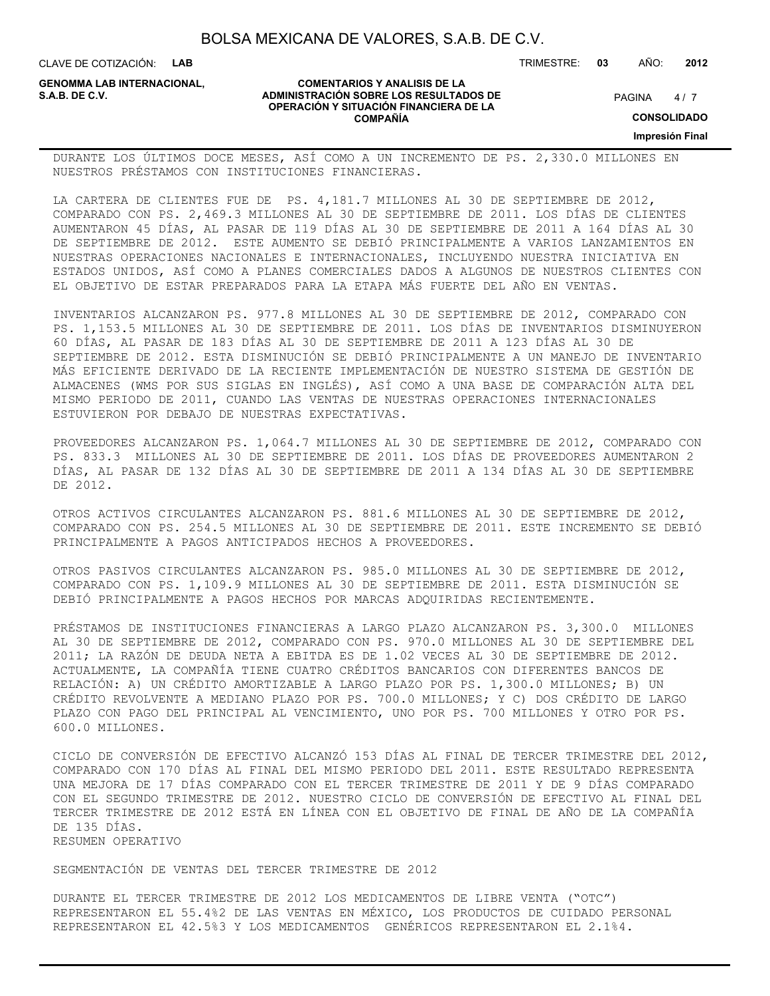**COMENTARIOS Y ANALISIS DE LA**

**OPERACIÓN Y SITUACIÓN FINANCIERA DE LA COMPAÑÍA**

CLAVE DE COTIZACIÓN: **LAB**

**ADMINISTRACIÓN SOBRE LOS RESULTADOS DE PAGINA 1997 E PAGINA 2018 GENOMMA LAB INTERNACIONAL,**

#### TRIMESTRE: **03** AÑO: **2012**

 $4/7$ 

**CONSOLIDADO**

**Impresión Final**

#### DURANTE LOS ÚLTIMOS DOCE MESES, ASÍ COMO A UN INCREMENTO DE PS. 2,330.0 MILLONES EN NUESTROS PRÉSTAMOS CON INSTITUCIONES FINANCIERAS.

LA CARTERA DE CLIENTES FUE DE PS. 4,181.7 MILLONES AL 30 DE SEPTIEMBRE DE 2012, COMPARADO CON PS. 2,469.3 MILLONES AL 30 DE SEPTIEMBRE DE 2011. LOS DÍAS DE CLIENTES AUMENTARON 45 DÍAS, AL PASAR DE 119 DÍAS AL 30 DE SEPTIEMBRE DE 2011 A 164 DÍAS AL 30 DE SEPTIEMBRE DE 2012. ESTE AUMENTO SE DEBIÓ PRINCIPALMENTE A VARIOS LANZAMIENTOS EN NUESTRAS OPERACIONES NACIONALES E INTERNACIONALES, INCLUYENDO NUESTRA INICIATIVA EN ESTADOS UNIDOS, ASÍ COMO A PLANES COMERCIALES DADOS A ALGUNOS DE NUESTROS CLIENTES CON EL OBJETIVO DE ESTAR PREPARADOS PARA LA ETAPA MÁS FUERTE DEL AÑO EN VENTAS.

INVENTARIOS ALCANZARON PS. 977.8 MILLONES AL 30 DE SEPTIEMBRE DE 2012, COMPARADO CON PS. 1,153.5 MILLONES AL 30 DE SEPTIEMBRE DE 2011. LOS DÍAS DE INVENTARIOS DISMINUYERON 60 DÍAS, AL PASAR DE 183 DÍAS AL 30 DE SEPTIEMBRE DE 2011 A 123 DÍAS AL 30 DE SEPTIEMBRE DE 2012. ESTA DISMINUCIÓN SE DEBIÓ PRINCIPALMENTE A UN MANEJO DE INVENTARIO MÁS EFICIENTE DERIVADO DE LA RECIENTE IMPLEMENTACIÓN DE NUESTRO SISTEMA DE GESTIÓN DE ALMACENES (WMS POR SUS SIGLAS EN INGLÉS), ASÍ COMO A UNA BASE DE COMPARACIÓN ALTA DEL MISMO PERIODO DE 2011, CUANDO LAS VENTAS DE NUESTRAS OPERACIONES INTERNACIONALES ESTUVIERON POR DEBAJO DE NUESTRAS EXPECTATIVAS.

PROVEEDORES ALCANZARON PS. 1,064.7 MILLONES AL 30 DE SEPTIEMBRE DE 2012, COMPARADO CON PS. 833.3 MILLONES AL 30 DE SEPTIEMBRE DE 2011. LOS DÍAS DE PROVEEDORES AUMENTARON 2 DÍAS, AL PASAR DE 132 DÍAS AL 30 DE SEPTIEMBRE DE 2011 A 134 DÍAS AL 30 DE SEPTIEMBRE DE 2012.

OTROS ACTIVOS CIRCULANTES ALCANZARON PS. 881.6 MILLONES AL 30 DE SEPTIEMBRE DE 2012, COMPARADO CON PS. 254.5 MILLONES AL 30 DE SEPTIEMBRE DE 2011. ESTE INCREMENTO SE DEBIÓ PRINCIPALMENTE A PAGOS ANTICIPADOS HECHOS A PROVEEDORES.

OTROS PASIVOS CIRCULANTES ALCANZARON PS. 985.0 MILLONES AL 30 DE SEPTIEMBRE DE 2012, COMPARADO CON PS. 1,109.9 MILLONES AL 30 DE SEPTIEMBRE DE 2011. ESTA DISMINUCIÓN SE DEBIÓ PRINCIPALMENTE A PAGOS HECHOS POR MARCAS ADQUIRIDAS RECIENTEMENTE.

PRÉSTAMOS DE INSTITUCIONES FINANCIERAS A LARGO PLAZO ALCANZARON PS. 3,300.0 MILLONES AL 30 DE SEPTIEMBRE DE 2012, COMPARADO CON PS. 970.0 MILLONES AL 30 DE SEPTIEMBRE DEL 2011; LA RAZÓN DE DEUDA NETA A EBITDA ES DE 1.02 VECES AL 30 DE SEPTIEMBRE DE 2012. ACTUALMENTE, LA COMPAÑÍA TIENE CUATRO CRÉDITOS BANCARIOS CON DIFERENTES BANCOS DE RELACIÓN: A) UN CRÉDITO AMORTIZABLE A LARGO PLAZO POR PS. 1,300.0 MILLONES; B) UN CRÉDITO REVOLVENTE A MEDIANO PLAZO POR PS. 700.0 MILLONES; Y C) DOS CRÉDITO DE LARGO PLAZO CON PAGO DEL PRINCIPAL AL VENCIMIENTO, UNO POR PS. 700 MILLONES Y OTRO POR PS. 600.0 MILLONES.

CICLO DE CONVERSIÓN DE EFECTIVO ALCANZÓ 153 DÍAS AL FINAL DE TERCER TRIMESTRE DEL 2012, COMPARADO CON 170 DÍAS AL FINAL DEL MISMO PERIODO DEL 2011. ESTE RESULTADO REPRESENTA UNA MEJORA DE 17 DÍAS COMPARADO CON EL TERCER TRIMESTRE DE 2011 Y DE 9 DÍAS COMPARADO CON EL SEGUNDO TRIMESTRE DE 2012. NUESTRO CICLO DE CONVERSIÓN DE EFECTIVO AL FINAL DEL TERCER TRIMESTRE DE 2012 ESTÁ EN LÍNEA CON EL OBJETIVO DE FINAL DE AÑO DE LA COMPAÑÍA DE 135 DÍAS. RESUMEN OPERATIVO

SEGMENTACIÓN DE VENTAS DEL TERCER TRIMESTRE DE 2012

DURANTE EL TERCER TRIMESTRE DE 2012 LOS MEDICAMENTOS DE LIBRE VENTA ("OTC") REPRESENTARON EL 55.4%2 DE LAS VENTAS EN MÉXICO, LOS PRODUCTOS DE CUIDADO PERSONAL REPRESENTARON EL 42.5%3 Y LOS MEDICAMENTOS GENÉRICOS REPRESENTARON EL 2.1%4.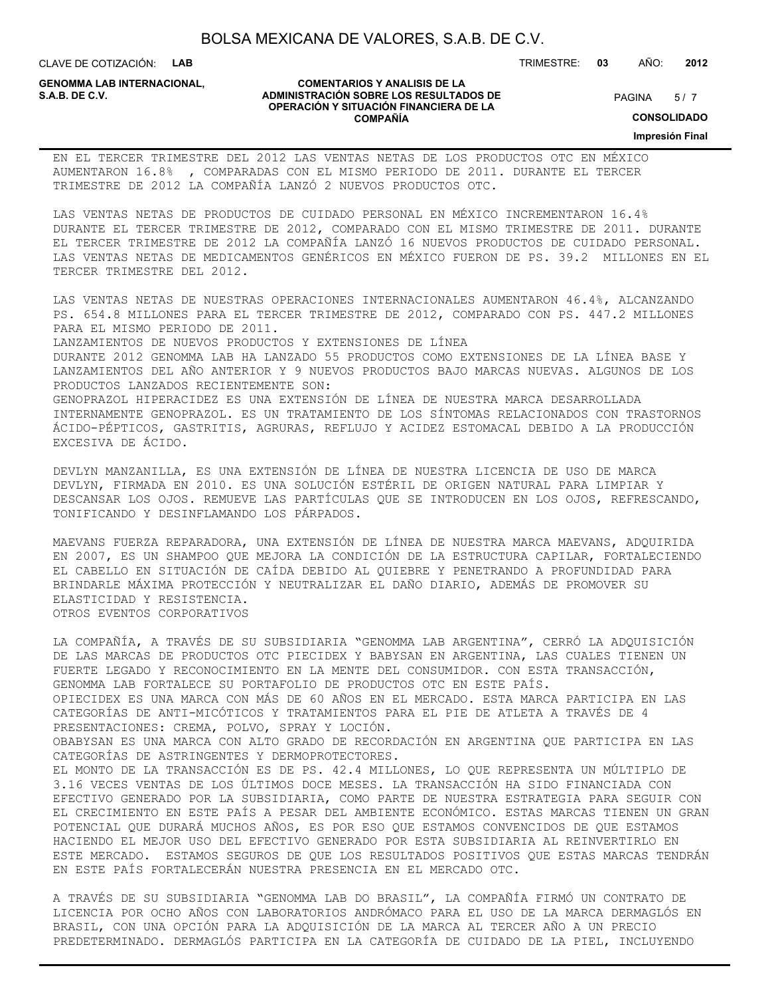CLAVE DE COTIZACIÓN: **LAB**

**GENOMMA LAB INTERNACIONAL,**

#### **COMENTARIOS Y ANALISIS DE LA ADMINISTRACIÓN SOBRE LOS RESULTADOS DE S.A.B. DE C.V.** PAGINA / 7 **OPERACIÓN Y SITUACIÓN FINANCIERA DE LA COMPAÑÍA**

 $5/7$ 

TRIMESTRE: **03** AÑO: **2012**

**CONSOLIDADO**

**Impresión Final**

EN EL TERCER TRIMESTRE DEL 2012 LAS VENTAS NETAS DE LOS PRODUCTOS OTC EN MÉXICO AUMENTARON 16.8% , COMPARADAS CON EL MISMO PERIODO DE 2011. DURANTE EL TERCER TRIMESTRE DE 2012 LA COMPAÑÍA LANZÓ 2 NUEVOS PRODUCTOS OTC.

LAS VENTAS NETAS DE PRODUCTOS DE CUIDADO PERSONAL EN MÉXICO INCREMENTARON 16.4% DURANTE EL TERCER TRIMESTRE DE 2012, COMPARADO CON EL MISMO TRIMESTRE DE 2011. DURANTE EL TERCER TRIMESTRE DE 2012 LA COMPAÑÍA LANZÓ 16 NUEVOS PRODUCTOS DE CUIDADO PERSONAL. LAS VENTAS NETAS DE MEDICAMENTOS GENÉRICOS EN MÉXICO FUERON DE PS. 39.2 MILLONES EN EL TERCER TRIMESTRE DEL 2012.

LAS VENTAS NETAS DE NUESTRAS OPERACIONES INTERNACIONALES AUMENTARON 46.4%, ALCANZANDO PS. 654.8 MILLONES PARA EL TERCER TRIMESTRE DE 2012, COMPARADO CON PS. 447.2 MILLONES PARA EL MISMO PERIODO DE 2011. LANZAMIENTOS DE NUEVOS PRODUCTOS Y EXTENSIONES DE LÍNEA DURANTE 2012 GENOMMA LAB HA LANZADO 55 PRODUCTOS COMO EXTENSIONES DE LA LÍNEA BASE Y LANZAMIENTOS DEL AÑO ANTERIOR Y 9 NUEVOS PRODUCTOS BAJO MARCAS NUEVAS. ALGUNOS DE LOS PRODUCTOS LANZADOS RECIENTEMENTE SON: GENOPRAZOL HIPERACIDEZ ES UNA EXTENSIÓN DE LÍNEA DE NUESTRA MARCA DESARROLLADA INTERNAMENTE GENOPRAZOL. ES UN TRATAMIENTO DE LOS SÍNTOMAS RELACIONADOS CON TRASTORNOS ÁCIDO-PÉPTICOS, GASTRITIS, AGRURAS, REFLUJO Y ACIDEZ ESTOMACAL DEBIDO A LA PRODUCCIÓN EXCESIVA DE ÁCIDO.

DEVLYN MANZANILLA, ES UNA EXTENSIÓN DE LÍNEA DE NUESTRA LICENCIA DE USO DE MARCA DEVLYN, FIRMADA EN 2010. ES UNA SOLUCIÓN ESTÉRIL DE ORIGEN NATURAL PARA LIMPIAR Y DESCANSAR LOS OJOS. REMUEVE LAS PARTÍCULAS QUE SE INTRODUCEN EN LOS OJOS, REFRESCANDO, TONIFICANDO Y DESINFLAMANDO LOS PÁRPADOS.

MAEVANS FUERZA REPARADORA, UNA EXTENSIÓN DE LÍNEA DE NUESTRA MARCA MAEVANS, ADQUIRIDA EN 2007, ES UN SHAMPOO QUE MEJORA LA CONDICIÓN DE LA ESTRUCTURA CAPILAR, FORTALECIENDO EL CABELLO EN SITUACIÓN DE CAÍDA DEBIDO AL QUIEBRE Y PENETRANDO A PROFUNDIDAD PARA BRINDARLE MÁXIMA PROTECCIÓN Y NEUTRALIZAR EL DAÑO DIARIO, ADEMÁS DE PROMOVER SU ELASTICIDAD Y RESISTENCIA. OTROS EVENTOS CORPORATIVOS

LA COMPAÑÍA, A TRAVÉS DE SU SUBSIDIARIA "GENOMMA LAB ARGENTINA", CERRÓ LA ADQUISICIÓN DE LAS MARCAS DE PRODUCTOS OTC PIECIDEX Y BABYSAN EN ARGENTINA, LAS CUALES TIENEN UN FUERTE LEGADO Y RECONOCIMIENTO EN LA MENTE DEL CONSUMIDOR. CON ESTA TRANSACCIÓN, GENOMMA LAB FORTALECE SU PORTAFOLIO DE PRODUCTOS OTC EN ESTE PAÍS. OPIECIDEX ES UNA MARCA CON MÁS DE 60 AÑOS EN EL MERCADO. ESTA MARCA PARTICIPA EN LAS CATEGORÍAS DE ANTI-MICÓTICOS Y TRATAMIENTOS PARA EL PIE DE ATLETA A TRAVÉS DE 4 PRESENTACIONES: CREMA, POLVO, SPRAY Y LOCIÓN. OBABYSAN ES UNA MARCA CON ALTO GRADO DE RECORDACIÓN EN ARGENTINA QUE PARTICIPA EN LAS CATEGORÍAS DE ASTRINGENTES Y DERMOPROTECTORES. EL MONTO DE LA TRANSACCIÓN ES DE PS. 42.4 MILLONES, LO QUE REPRESENTA UN MÚLTIPLO DE 3.16 VECES VENTAS DE LOS ÚLTIMOS DOCE MESES. LA TRANSACCIÓN HA SIDO FINANCIADA CON EFECTIVO GENERADO POR LA SUBSIDIARIA, COMO PARTE DE NUESTRA ESTRATEGIA PARA SEGUIR CON EL CRECIMIENTO EN ESTE PAÍS A PESAR DEL AMBIENTE ECONÓMICO. ESTAS MARCAS TIENEN UN GRAN POTENCIAL QUE DURARÁ MUCHOS AÑOS, ES POR ESO QUE ESTAMOS CONVENCIDOS DE QUE ESTAMOS HACIENDO EL MEJOR USO DEL EFECTIVO GENERADO POR ESTA SUBSIDIARIA AL REINVERTIRLO EN ESTE MERCADO. ESTAMOS SEGUROS DE QUE LOS RESULTADOS POSITIVOS QUE ESTAS MARCAS TENDRÁN EN ESTE PAÍS FORTALECERÁN NUESTRA PRESENCIA EN EL MERCADO OTC.

A TRAVÉS DE SU SUBSIDIARIA "GENOMMA LAB DO BRASIL", LA COMPAÑÍA FIRMÓ UN CONTRATO DE LICENCIA POR OCHO AÑOS CON LABORATORIOS ANDRÓMACO PARA EL USO DE LA MARCA DERMAGLÓS EN BRASIL, CON UNA OPCIÓN PARA LA ADQUISICIÓN DE LA MARCA AL TERCER AÑO A UN PRECIO PREDETERMINADO. DERMAGLÓS PARTICIPA EN LA CATEGORÍA DE CUIDADO DE LA PIEL, INCLUYENDO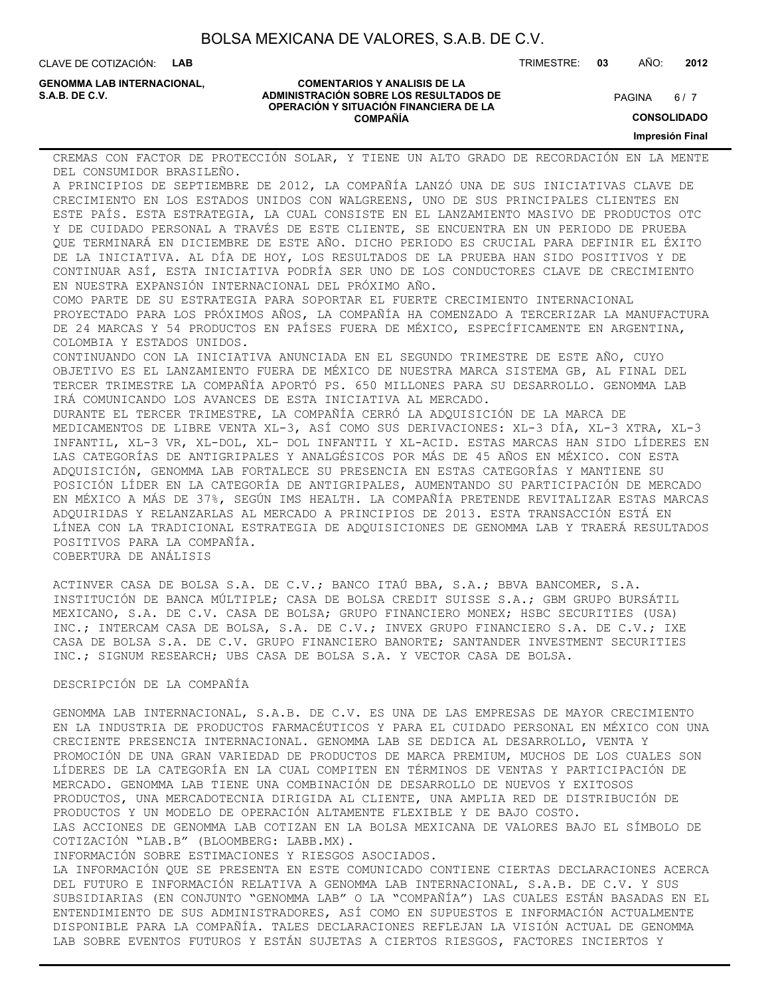CLAVE DE COTIZACIÓN: **LAB**

**GENOMMA LAB INTERNACIONAL,**

#### **COMENTARIOS Y ANALISIS DE LA ADMINISTRACIÓN SOBRE LOS RESULTADOS DE S.A.B. DE C.V.** PAGINA / 7 **OPERACIÓN Y SITUACIÓN FINANCIERA DE LA COMPAÑÍA**

 $6/7$ 

TRIMESTRE: **03** AÑO: **2012**

**CONSOLIDADO**

**Impresión Final**

CREMAS CON FACTOR DE PROTECCIÓN SOLAR, Y TIENE UN ALTO GRADO DE RECORDACIÓN EN LA MENTE DEL CONSUMIDOR BRASILEÑO.

A PRINCIPIOS DE SEPTIEMBRE DE 2012, LA COMPAÑÍA LANZÓ UNA DE SUS INICIATIVAS CLAVE DE CRECIMIENTO EN LOS ESTADOS UNIDOS CON WALGREENS, UNO DE SUS PRINCIPALES CLIENTES EN ESTE PAÍS. ESTA ESTRATEGIA, LA CUAL CONSISTE EN EL LANZAMIENTO MASIVO DE PRODUCTOS OTC Y DE CUIDADO PERSONAL A TRAVÉS DE ESTE CLIENTE, SE ENCUENTRA EN UN PERIODO DE PRUEBA QUE TERMINARÁ EN DICIEMBRE DE ESTE AÑO. DICHO PERIODO ES CRUCIAL PARA DEFINIR EL ÉXITO DE LA INICIATIVA. AL DÍA DE HOY, LOS RESULTADOS DE LA PRUEBA HAN SIDO POSITIVOS Y DE CONTINUAR ASÍ, ESTA INICIATIVA PODRÍA SER UNO DE LOS CONDUCTORES CLAVE DE CRECIMIENTO EN NUESTRA EXPANSIÓN INTERNACIONAL DEL PRÓXIMO AÑO. COMO PARTE DE SU ESTRATEGIA PARA SOPORTAR EL FUERTE CRECIMIENTO INTERNACIONAL PROYECTADO PARA LOS PRÓXIMOS AÑOS, LA COMPAÑÍA HA COMENZADO A TERCERIZAR LA MANUFACTURA DE 24 MARCAS Y 54 PRODUCTOS EN PAÍSES FUERA DE MÉXICO, ESPECÍFICAMENTE EN ARGENTINA, COLOMBIA Y ESTADOS UNIDOS. CONTINUANDO CON LA INICIATIVA ANUNCIADA EN EL SEGUNDO TRIMESTRE DE ESTE AÑO, CUYO OBJETIVO ES EL LANZAMIENTO FUERA DE MÉXICO DE NUESTRA MARCA SISTEMA GB, AL FINAL DEL TERCER TRIMESTRE LA COMPAÑÍA APORTÓ PS. 650 MILLONES PARA SU DESARROLLO. GENOMMA LAB IRÁ COMUNICANDO LOS AVANCES DE ESTA INICIATIVA AL MERCADO. DURANTE EL TERCER TRIMESTRE, LA COMPAÑÍA CERRÓ LA ADQUISICIÓN DE LA MARCA DE MEDICAMENTOS DE LIBRE VENTA XL-3, ASÍ COMO SUS DERIVACIONES: XL-3 DÍA, XL-3 XTRA, XL-3 INFANTIL, XL-3 VR, XL-DOL, XL- DOL INFANTIL Y XL-ACID. ESTAS MARCAS HAN SIDO LÍDERES EN LAS CATEGORÍAS DE ANTIGRIPALES Y ANALGÉSICOS POR MÁS DE 45 AÑOS EN MÉXICO. CON ESTA ADQUISICIÓN, GENOMMA LAB FORTALECE SU PRESENCIA EN ESTAS CATEGORÍAS Y MANTIENE SU POSICIÓN LÍDER EN LA CATEGORÍA DE ANTIGRIPALES, AUMENTANDO SU PARTICIPACIÓN DE MERCADO EN MÉXICO A MÁS DE 37%, SEGÚN IMS HEALTH. LA COMPAÑÍA PRETENDE REVITALIZAR ESTAS MARCAS

LÍNEA CON LA TRADICIONAL ESTRATEGIA DE ADQUISICIONES DE GENOMMA LAB Y TRAERÁ RESULTADOS POSITIVOS PARA LA COMPAÑÍA. COBERTURA DE ANÁLISIS

ACTINVER CASA DE BOLSA S.A. DE C.V.; BANCO ITAÚ BBA, S.A.; BBVA BANCOMER, S.A. INSTITUCIÓN DE BANCA MÚLTIPLE; CASA DE BOLSA CREDIT SUISSE S.A.; GBM GRUPO BURSÁTIL MEXICANO, S.A. DE C.V. CASA DE BOLSA; GRUPO FINANCIERO MONEX; HSBC SECURITIES (USA) INC.; INTERCAM CASA DE BOLSA, S.A. DE C.V.; INVEX GRUPO FINANCIERO S.A. DE C.V.; IXE CASA DE BOLSA S.A. DE C.V. GRUPO FINANCIERO BANORTE; SANTANDER INVESTMENT SECURITIES INC.; SIGNUM RESEARCH; UBS CASA DE BOLSA S.A. Y VECTOR CASA DE BOLSA.

ADQUIRIDAS Y RELANZARLAS AL MERCADO A PRINCIPIOS DE 2013. ESTA TRANSACCIÓN ESTÁ EN

#### DESCRIPCIÓN DE LA COMPAÑÍA

GENOMMA LAB INTERNACIONAL, S.A.B. DE C.V. ES UNA DE LAS EMPRESAS DE MAYOR CRECIMIENTO EN LA INDUSTRIA DE PRODUCTOS FARMACÉUTICOS Y PARA EL CUIDADO PERSONAL EN MÉXICO CON UNA CRECIENTE PRESENCIA INTERNACIONAL. GENOMMA LAB SE DEDICA AL DESARROLLO, VENTA Y PROMOCIÓN DE UNA GRAN VARIEDAD DE PRODUCTOS DE MARCA PREMIUM, MUCHOS DE LOS CUALES SON LÍDERES DE LA CATEGORÍA EN LA CUAL COMPITEN EN TÉRMINOS DE VENTAS Y PARTICIPACIÓN DE MERCADO. GENOMMA LAB TIENE UNA COMBINACIÓN DE DESARROLLO DE NUEVOS Y EXITOSOS PRODUCTOS, UNA MERCADOTECNIA DIRIGIDA AL CLIENTE, UNA AMPLIA RED DE DISTRIBUCIÓN DE PRODUCTOS Y UN MODELO DE OPERACIÓN ALTAMENTE FLEXIBLE Y DE BAJO COSTO. LAS ACCIONES DE GENOMMA LAB COTIZAN EN LA BOLSA MEXICANA DE VALORES BAJO EL SÍMBOLO DE COTIZACIÓN "LAB.B" (BLOOMBERG: LABB.MX).

INFORMACIÓN SOBRE ESTIMACIONES Y RIESGOS ASOCIADOS.

LA INFORMACIÓN QUE SE PRESENTA EN ESTE COMUNICADO CONTIENE CIERTAS DECLARACIONES ACERCA DEL FUTURO E INFORMACIÓN RELATIVA A GENOMMA LAB INTERNACIONAL, S.A.B. DE C.V. Y SUS SUBSIDIARIAS (EN CONJUNTO "GENOMMA LAB" O LA "COMPAÑÍA") LAS CUALES ESTÁN BASADAS EN EL ENTENDIMIENTO DE SUS ADMINISTRADORES, ASÍ COMO EN SUPUESTOS E INFORMACIÓN ACTUALMENTE DISPONIBLE PARA LA COMPAÑÍA. TALES DECLARACIONES REFLEJAN LA VISIÓN ACTUAL DE GENOMMA LAB SOBRE EVENTOS FUTUROS Y ESTÁN SUJETAS A CIERTOS RIESGOS, FACTORES INCIERTOS Y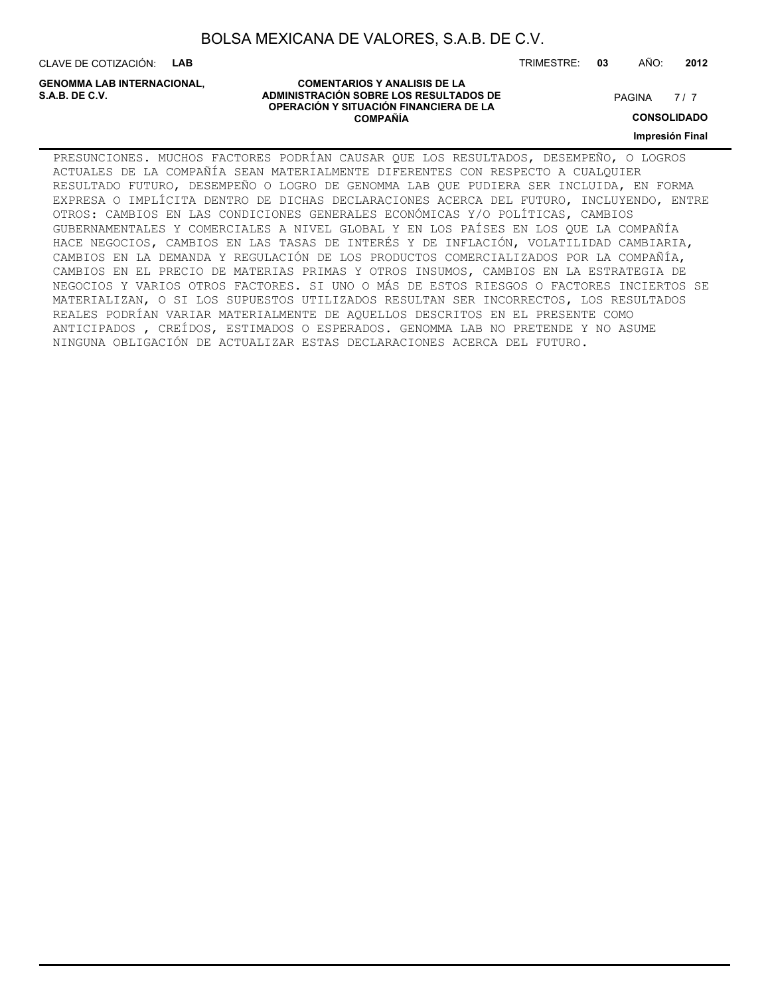CLAVE DE COTIZACIÓN: **LAB**

**GENOMMA LAB INTERNACIONAL,**

#### **COMENTARIOS Y ANALISIS DE LA ADMINISTRACIÓN SOBRE LOS RESULTADOS DE PAGINA 1997 EN 1998 EL CONTRACIÓN SOBRE LOS RESULTADOS DE OPERACIÓN Y SITUACIÓN FINANCIERA DE LA COMPAÑÍA**

 $7/7$ 

**CONSOLIDADO**

**Impresión Final**

PRESUNCIONES. MUCHOS FACTORES PODRÍAN CAUSAR QUE LOS RESULTADOS, DESEMPEÑO, O LOGROS ACTUALES DE LA COMPAÑÍA SEAN MATERIALMENTE DIFERENTES CON RESPECTO A CUALQUIER RESULTADO FUTURO, DESEMPEÑO O LOGRO DE GENOMMA LAB QUE PUDIERA SER INCLUIDA, EN FORMA EXPRESA O IMPLÍCITA DENTRO DE DICHAS DECLARACIONES ACERCA DEL FUTURO, INCLUYENDO, ENTRE OTROS: CAMBIOS EN LAS CONDICIONES GENERALES ECONÓMICAS Y/O POLÍTICAS, CAMBIOS GUBERNAMENTALES Y COMERCIALES A NIVEL GLOBAL Y EN LOS PAÍSES EN LOS QUE LA COMPAÑÍA HACE NEGOCIOS, CAMBIOS EN LAS TASAS DE INTERÉS Y DE INFLACIÓN, VOLATILIDAD CAMBIARIA, CAMBIOS EN LA DEMANDA Y REGULACIÓN DE LOS PRODUCTOS COMERCIALIZADOS POR LA COMPAÑÍA, CAMBIOS EN EL PRECIO DE MATERIAS PRIMAS Y OTROS INSUMOS, CAMBIOS EN LA ESTRATEGIA DE NEGOCIOS Y VARIOS OTROS FACTORES. SI UNO O MÁS DE ESTOS RIESGOS O FACTORES INCIERTOS SE MATERIALIZAN, O SI LOS SUPUESTOS UTILIZADOS RESULTAN SER INCORRECTOS, LOS RESULTADOS REALES PODRÍAN VARIAR MATERIALMENTE DE AQUELLOS DESCRITOS EN EL PRESENTE COMO ANTICIPADOS , CREÍDOS, ESTIMADOS O ESPERADOS. GENOMMA LAB NO PRETENDE Y NO ASUME NINGUNA OBLIGACIÓN DE ACTUALIZAR ESTAS DECLARACIONES ACERCA DEL FUTURO.

TRIMESTRE: **03** AÑO: **2012**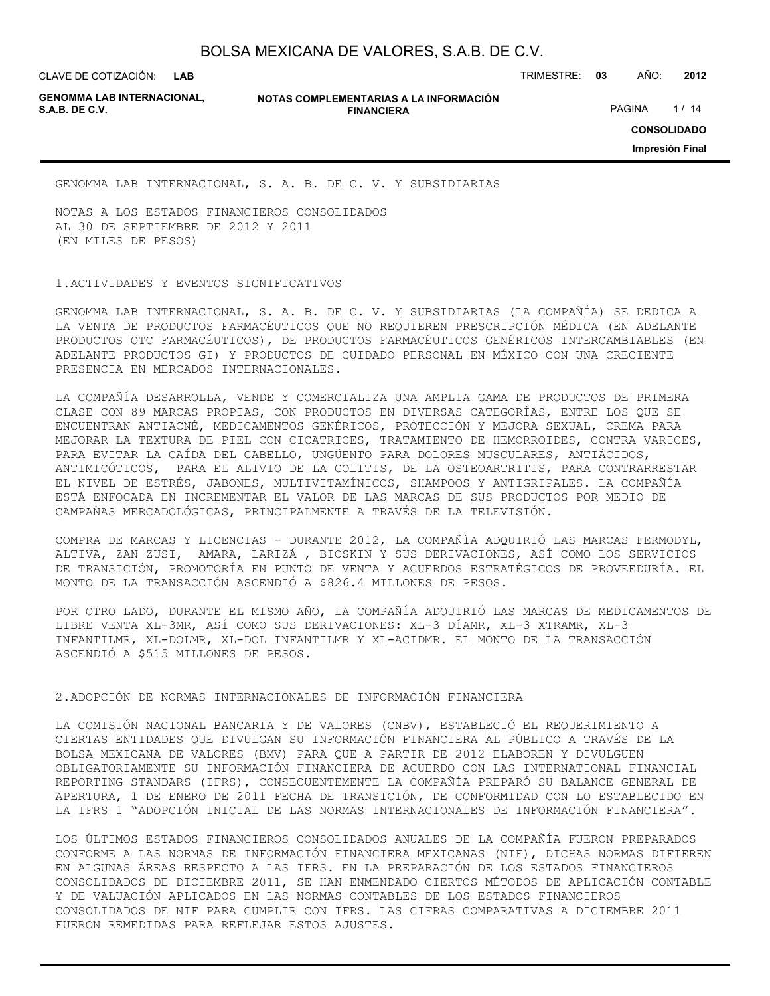CLAVE DE COTIZACIÓN: TRIMESTRE: **03** AÑO: **2012**

**GENOMMA LAB INTERNACIONAL,**

#### **NOTAS COMPLEMENTARIAS A LA INFORMACIÓN FINANCIERA S.A.B. DE C.V.** PAGINA 1/14

**CONSOLIDADO**

**Impresión Final**

GENOMMA LAB INTERNACIONAL, S. A. B. DE C. V. Y SUBSIDIARIAS

NOTAS A LOS ESTADOS FINANCIEROS CONSOLIDADOS AL 30 DE SEPTIEMBRE DE 2012 Y 2011 (EN MILES DE PESOS)

#### 1.ACTIVIDADES Y EVENTOS SIGNIFICATIVOS

GENOMMA LAB INTERNACIONAL, S. A. B. DE C. V. Y SUBSIDIARIAS (LA COMPAÑÍA) SE DEDICA A LA VENTA DE PRODUCTOS FARMACÉUTICOS QUE NO REQUIEREN PRESCRIPCIÓN MÉDICA (EN ADELANTE PRODUCTOS OTC FARMACÉUTICOS), DE PRODUCTOS FARMACÉUTICOS GENÉRICOS INTERCAMBIABLES (EN ADELANTE PRODUCTOS GI) Y PRODUCTOS DE CUIDADO PERSONAL EN MÉXICO CON UNA CRECIENTE PRESENCIA EN MERCADOS INTERNACIONALES.

LA COMPAÑÍA DESARROLLA, VENDE Y COMERCIALIZA UNA AMPLIA GAMA DE PRODUCTOS DE PRIMERA CLASE CON 89 MARCAS PROPIAS, CON PRODUCTOS EN DIVERSAS CATEGORÍAS, ENTRE LOS QUE SE ENCUENTRAN ANTIACNÉ, MEDICAMENTOS GENÉRICOS, PROTECCIÓN Y MEJORA SEXUAL, CREMA PARA MEJORAR LA TEXTURA DE PIEL CON CICATRICES, TRATAMIENTO DE HEMORROIDES, CONTRA VARICES, PARA EVITAR LA CAÍDA DEL CABELLO, UNGÜENTO PARA DOLORES MUSCULARES, ANTIÁCIDOS, ANTIMICÓTICOS, PARA EL ALIVIO DE LA COLITIS, DE LA OSTEOARTRITIS, PARA CONTRARRESTAR EL NIVEL DE ESTRÉS, JABONES, MULTIVITAMÍNICOS, SHAMPOOS Y ANTIGRIPALES. LA COMPAÑÍA ESTÁ ENFOCADA EN INCREMENTAR EL VALOR DE LAS MARCAS DE SUS PRODUCTOS POR MEDIO DE CAMPAÑAS MERCADOLÓGICAS, PRINCIPALMENTE A TRAVÉS DE LA TELEVISIÓN.

COMPRA DE MARCAS Y LICENCIAS - DURANTE 2012, LA COMPAÑÍA ADQUIRIÓ LAS MARCAS FERMODYL, ALTIVA, ZAN ZUSI, AMARA, LARIZÁ , BIOSKIN Y SUS DERIVACIONES, ASÍ COMO LOS SERVICIOS DE TRANSICIÓN, PROMOTORÍA EN PUNTO DE VENTA Y ACUERDOS ESTRATÉGICOS DE PROVEEDURÍA. EL MONTO DE LA TRANSACCIÓN ASCENDIÓ A \$826.4 MILLONES DE PESOS.

POR OTRO LADO, DURANTE EL MISMO AÑO, LA COMPAÑÍA ADQUIRIÓ LAS MARCAS DE MEDICAMENTOS DE LIBRE VENTA XL-3MR, ASÍ COMO SUS DERIVACIONES: XL-3 DÍAMR, XL-3 XTRAMR, XL-3 INFANTILMR, XL-DOLMR, XL-DOL INFANTILMR Y XL-ACIDMR. EL MONTO DE LA TRANSACCIÓN ASCENDIÓ A \$515 MILLONES DE PESOS.

#### 2.ADOPCIÓN DE NORMAS INTERNACIONALES DE INFORMACIÓN FINANCIERA

LA COMISIÓN NACIONAL BANCARIA Y DE VALORES (CNBV), ESTABLECIÓ EL REQUERIMIENTO A CIERTAS ENTIDADES QUE DIVULGAN SU INFORMACIÓN FINANCIERA AL PÚBLICO A TRAVÉS DE LA BOLSA MEXICANA DE VALORES (BMV) PARA QUE A PARTIR DE 2012 ELABOREN Y DIVULGUEN OBLIGATORIAMENTE SU INFORMACIÓN FINANCIERA DE ACUERDO CON LAS INTERNATIONAL FINANCIAL REPORTING STANDARS (IFRS), CONSECUENTEMENTE LA COMPAÑÍA PREPARÓ SU BALANCE GENERAL DE APERTURA, 1 DE ENERO DE 2011 FECHA DE TRANSICIÓN, DE CONFORMIDAD CON LO ESTABLECIDO EN LA IFRS 1 "ADOPCIÓN INICIAL DE LAS NORMAS INTERNACIONALES DE INFORMACIÓN FINANCIERA".

LOS ÚLTIMOS ESTADOS FINANCIEROS CONSOLIDADOS ANUALES DE LA COMPAÑÍA FUERON PREPARADOS CONFORME A LAS NORMAS DE INFORMACIÓN FINANCIERA MEXICANAS (NIF), DICHAS NORMAS DIFIEREN EN ALGUNAS ÁREAS RESPECTO A LAS IFRS. EN LA PREPARACIÓN DE LOS ESTADOS FINANCIEROS CONSOLIDADOS DE DICIEMBRE 2011, SE HAN ENMENDADO CIERTOS MÉTODOS DE APLICACIÓN CONTABLE Y DE VALUACIÓN APLICADOS EN LAS NORMAS CONTABLES DE LOS ESTADOS FINANCIEROS CONSOLIDADOS DE NIF PARA CUMPLIR CON IFRS. LAS CIFRAS COMPARATIVAS A DICIEMBRE 2011 FUERON REMEDIDAS PARA REFLEJAR ESTOS AJUSTES.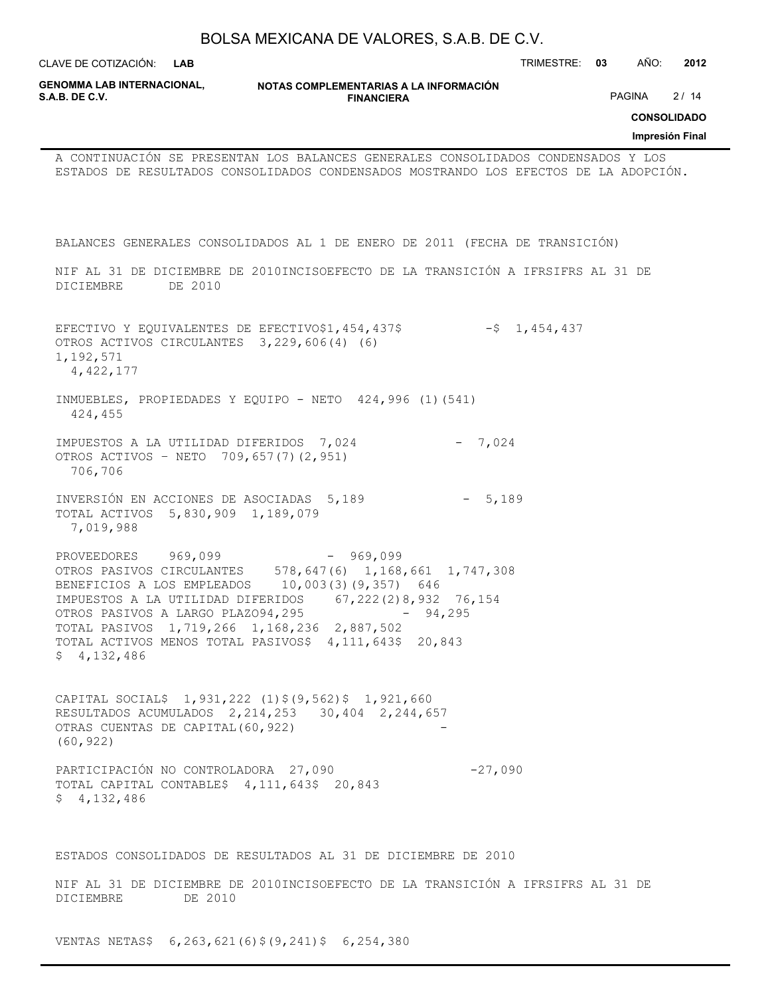|                                                                                                                                                                                                                                                                                                                       | BOLSA MEXICANA DE VALORES, S.A.B. DE C.V.                   |                                         |                                                      |
|-----------------------------------------------------------------------------------------------------------------------------------------------------------------------------------------------------------------------------------------------------------------------------------------------------------------------|-------------------------------------------------------------|-----------------------------------------|------------------------------------------------------|
| CLAVE DE COTIZACIÓN: L <b>AB</b>                                                                                                                                                                                                                                                                                      |                                                             |                                         | AÑO:<br>2012<br>TRIMESTRE: 03                        |
| <b>GENOMMA LAB INTERNACIONAL,</b><br>S.A.B. DE C.V.                                                                                                                                                                                                                                                                   | NOTAS COMPLEMENTARIAS A LA INFORMACIÓN<br><b>FINANCIERA</b> |                                         | PAGINA 2/14<br><b>CONSOLIDADO</b><br>Impresión Final |
| A CONTINUACIÓN SE PRESENTAN LOS BALANCES GENERALES CONSOLIDADOS CONDENSADOS Y LOS<br>ESTADOS DE RESULTADOS CONSOLIDADOS CONDENSADOS MOSTRANDO LOS EFECTOS DE LA ADOPCIÓN.                                                                                                                                             |                                                             |                                         |                                                      |
| BALANCES GENERALES CONSOLIDADOS AL 1 DE ENERO DE 2011 (FECHA DE TRANSICIÓN)                                                                                                                                                                                                                                           |                                                             |                                         |                                                      |
| NIF AL 31 DE DICIEMBRE DE 2010INCISOEFECTO DE LA TRANSICIÓN A IFRSIFRS AL 31 DE<br>DE 2010<br>DICIEMBRE                                                                                                                                                                                                               |                                                             |                                         |                                                      |
| EFECTIVO Y EQUIVALENTES DE EFECTIVO\$1,454,437\$<br>OTROS ACTIVOS CIRCULANTES 3, 229, 606(4) (6)<br>1,192,571<br>4, 422, 177                                                                                                                                                                                          |                                                             | $-5$ 1,454,437                          |                                                      |
| INMUEBLES, PROPIEDADES Y EQUIPO - NETO 424,996 (1) (541)<br>424,455                                                                                                                                                                                                                                                   |                                                             |                                         |                                                      |
| IMPUESTOS A LA UTILIDAD DIFERIDOS 7,024<br>OTROS ACTIVOS - NETO 709, 657 (7) (2, 951)<br>706,706                                                                                                                                                                                                                      |                                                             | $-7,024$                                |                                                      |
| INVERSIÓN EN ACCIONES DE ASOCIADAS 5,189<br>TOTAL ACTIVOS 5,830,909 1,189,079<br>7,019,988                                                                                                                                                                                                                            |                                                             | $-5,189$                                |                                                      |
| PROVEEDORES 969,099<br>OTROS PASIVOS CIRCULANTES 578, 647 (6) 1, 168, 661 1, 747, 308<br>BENEFICIOS A LOS EMPLEADOS<br>IMPUESTOS A LA UTILIDAD DIFERIDOS<br>OTROS PASIVOS A LARGO PLAZO94,295<br>TOTAL PASIVOS 1,719,266 1,168,236 2,887,502<br>TOTAL ACTIVOS MENOS TOTAL PASIVOS\$ 4,111,643\$ 20,843<br>\$4,132,486 | $-969,099$<br>10,003(3)(9,357) 646                          | 67, 222 (2) 8, 932 76, 154<br>$-94,295$ |                                                      |
| CAPITAL SOCIAL\$ 1,931,222 (1)\$(9,562)\$ 1,921,660<br>RESULTADOS ACUMULADOS 2, 214, 253 30, 404 2, 244, 657<br>OTRAS CUENTAS DE CAPITAL (60, 922)<br>(60, 922)                                                                                                                                                       |                                                             |                                         |                                                      |
| PARTICIPACIÓN NO CONTROLADORA 27,090<br>TOTAL CAPITAL CONTABLE\$ 4,111,643\$ 20,843<br>\$4,132,486                                                                                                                                                                                                                    |                                                             | $-27,090$                               |                                                      |
| ESTADOS CONSOLIDADOS DE RESULTADOS AL 31 DE DICIEMBRE DE 2010                                                                                                                                                                                                                                                         |                                                             |                                         |                                                      |
| NIF AL 31 DE DICIEMBRE DE 2010INCISOEFECTO DE LA TRANSICIÓN A IFRSIFRS AL 31 DE<br>DICIEMBRE<br>DE 2010                                                                                                                                                                                                               |                                                             |                                         |                                                      |

VENTAS NETAS\$ 6,263,621(6)\$(9,241)\$ 6,254,380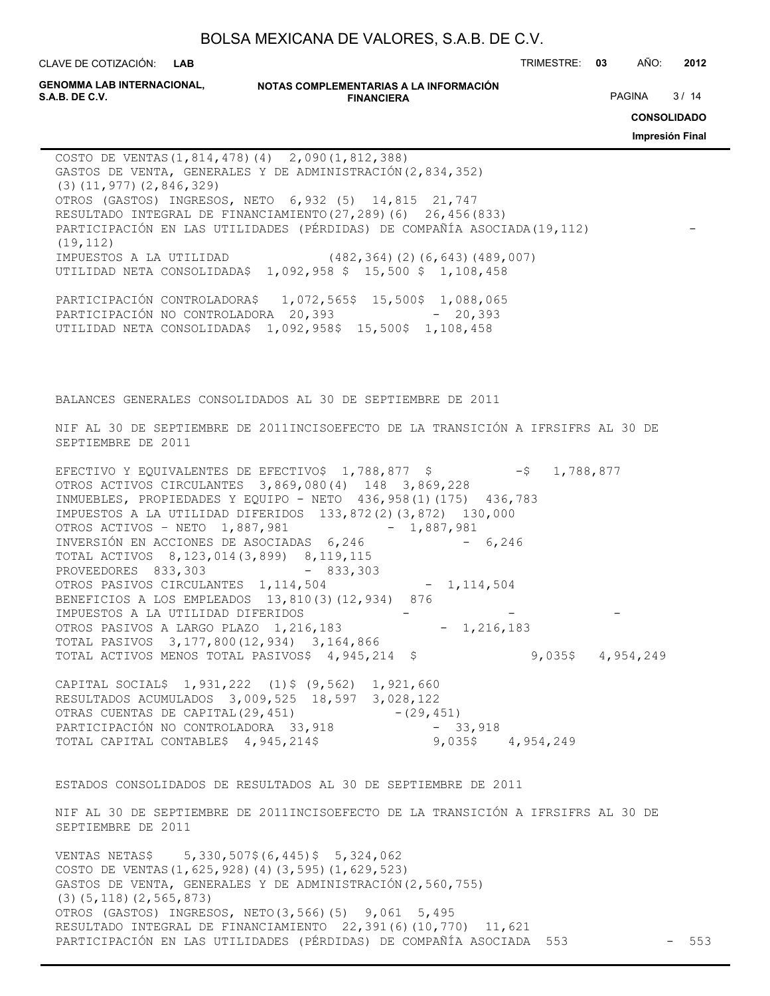**LAB**

CLAVE DE COTIZACIÓN: TRIMESTRE: **03** AÑO: **2012**

**GENOMMA LAB INTERNACIONAL,**

```
NOTAS COMPLEMENTARIAS A LA INFORMACIÓN
                        FINANCIERA
S.A.B. DE C.V. PAGINA 8 / 14
```
**CONSOLIDADO**

**Impresión Final**

COSTO DE VENTAS(1,814,478)(4) 2,090(1,812,388) GASTOS DE VENTA, GENERALES Y DE ADMINISTRACIÓN(2,834,352) (3)(11,977)(2,846,329) OTROS (GASTOS) INGRESOS, NETO 6,932 (5) 14,815 21,747 RESULTADO INTEGRAL DE FINANCIAMIENTO(27,289)(6) 26,456(833) PARTICIPACIÓN EN LAS UTILIDADES (PÉRDIDAS) DE COMPAÑÍA ASOCIADA(19,112) (19,112) IMPUESTOS A LA UTILIDAD (482,364)(2)(6,643)(489,007) UTILIDAD NETA CONSOLIDADA\$ 1,092,958 \$ 15,500 \$ 1,108,458 PARTICIPACIÓN CONTROLADORA\$ 1,072,565\$ 15,500\$ 1,088,065 PARTICIPACIÓN NO CONTROLADORA 20,393 - 20,393

BALANCES GENERALES CONSOLIDADOS AL 30 DE SEPTIEMBRE DE 2011

UTILIDAD NETA CONSOLIDADA\$ 1,092,958\$ 15,500\$ 1,108,458

NIF AL 30 DE SEPTIEMBRE DE 2011INCISOEFECTO DE LA TRANSICIÓN A IFRSIFRS AL 30 DE SEPTIEMBRE DE 2011

EFECTIVO Y EQUIVALENTES DE EFECTIVO\$  $1,788,877$  \$ -\$ 1,788,877 OTROS ACTIVOS CIRCULANTES 3,869,080(4) 148 3,869,228 INMUEBLES, PROPIEDADES Y EQUIPO - NETO 436,958(1)(175) 436,783 IMPUESTOS A LA UTILIDAD DIFERIDOS 133,872(2)(3,872) 130,000 OTROS ACTIVOS – NETO 1,887,981 - 1,887,981 INVERSIÓN EN ACCIONES DE ASOCIADAS 6,246 - 6,246 TOTAL ACTIVOS 8,123,014(3,899) 8,119,115 PROVEEDORES 833,303 - 833,303 OTROS PASIVOS CIRCULANTES 1, 114, 504 - 1, 114, 504 BENEFICIOS A LOS EMPLEADOS 13,810(3)(12,934) 876 IMPUESTOS A LA UTILIDAD DIFERIDOS -OTROS PASIVOS A LARGO PLAZO 1,216,183 - 1,216,183 TOTAL PASIVOS 3,177,800(12,934) 3,164,866 TOTAL ACTIVOS MENOS TOTAL PASIVOS\$ 4,945,214 \$ 9,035\$ 4,954,249

CAPITAL SOCIAL\$ 1,931,222 (1)\$ (9,562) 1,921,660 RESULTADOS ACUMULADOS 3,009,525 18,597 3,028,122 OTRAS CUENTAS DE CAPITAL(29,451) - (29,451) PARTICIPACIÓN NO CONTROLADORA 33,918 - 33,918 TOTAL CAPITAL CONTABLE\$ 4,945,214\$ 9,035\$ 4,954,249

ESTADOS CONSOLIDADOS DE RESULTADOS AL 30 DE SEPTIEMBRE DE 2011

NIF AL 30 DE SEPTIEMBRE DE 2011INCISOEFECTO DE LA TRANSICIÓN A IFRSIFRS AL 30 DE SEPTIEMBRE DE 2011

VENTAS NETAS\$ 5,330,507\$(6,445)\$ 5,324,062 COSTO DE VENTAS(1,625,928)(4)(3,595)(1,629,523) GASTOS DE VENTA, GENERALES Y DE ADMINISTRACIÓN(2,560,755) (3)(5,118)(2,565,873) OTROS (GASTOS) INGRESOS, NETO(3,566)(5) 9,061 5,495 RESULTADO INTEGRAL DE FINANCIAMIENTO 22,391(6)(10,770) 11,621 PARTICIPACIÓN EN LAS UTILIDADES (PÉRDIDAS) DE COMPAÑÍA ASOCIADA 553 - 553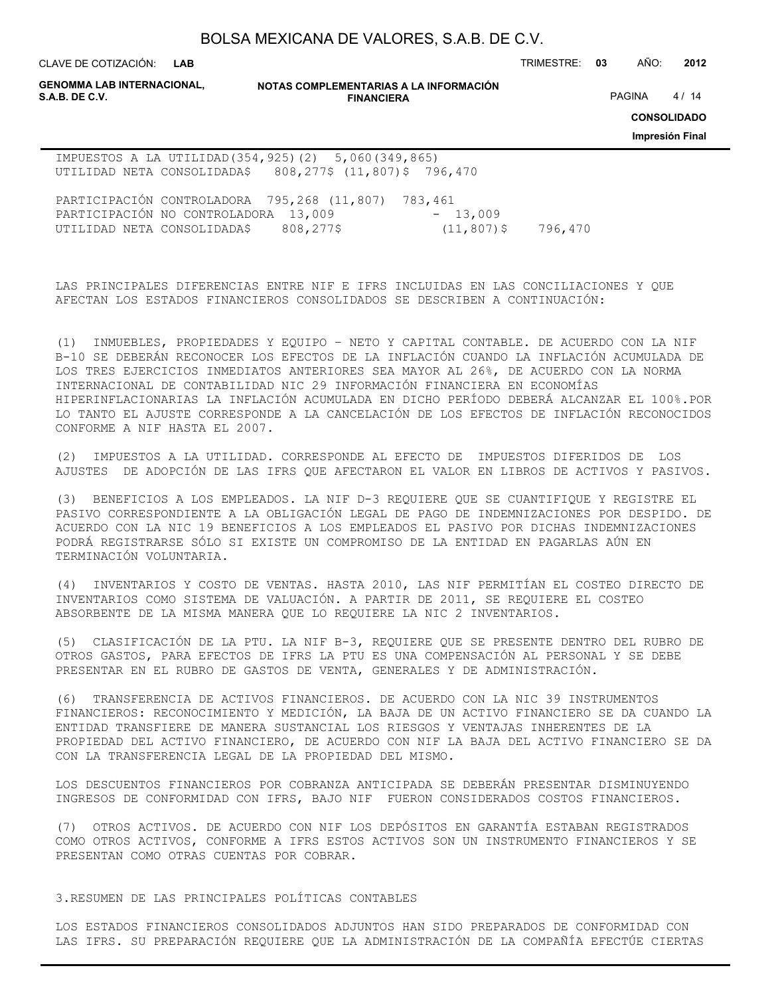**LAB**

CLAVE DE COTIZACIÓN: TRIMESTRE: **03** AÑO: **2012**

| <b>GENOMMA LAB INTERNACIONAL,</b><br>S.A.B. DE C.V.                                                                      |                     | NOTAS COMPLEMENTARIAS A LA INFORMACIÓN<br><b>FINANCIERA</b> |         |  |                                       |  |  |  |  |
|--------------------------------------------------------------------------------------------------------------------------|---------------------|-------------------------------------------------------------|---------|--|---------------------------------------|--|--|--|--|
|                                                                                                                          |                     |                                                             |         |  | <b>CONSOLIDADO</b><br>Impresión Final |  |  |  |  |
| IMPUESTOS A LA UTILIDAD (354, 925) (2) 5, 060 (349, 865)<br>UTILIDAD NETA CONSOLIDADA\$ 808,277\$ $(11, 807)$ \$ 796,470 |                     |                                                             |         |  |                                       |  |  |  |  |
| PARTICIPACIÓN CONTROLADORA 795,268 (11,807)<br>PARTICIPACIÓN NO CONTROLADORA<br>UTILIDAD NETA CONSOLIDADA\$              | 13,009<br>808,277\$ | 783,461<br>$-13,009$<br>$(11, 807)$ \$                      | 796,470 |  |                                       |  |  |  |  |

LAS PRINCIPALES DIFERENCIAS ENTRE NIF E IFRS INCLUIDAS EN LAS CONCILIACIONES Y QUE AFECTAN LOS ESTADOS FINANCIEROS CONSOLIDADOS SE DESCRIBEN A CONTINUACIÓN:

(1) INMUEBLES, PROPIEDADES Y EQUIPO – NETO Y CAPITAL CONTABLE. DE ACUERDO CON LA NIF B-10 SE DEBERÁN RECONOCER LOS EFECTOS DE LA INFLACIÓN CUANDO LA INFLACIÓN ACUMULADA DE LOS TRES EJERCICIOS INMEDIATOS ANTERIORES SEA MAYOR AL 26%, DE ACUERDO CON LA NORMA INTERNACIONAL DE CONTABILIDAD NIC 29 INFORMACIÓN FINANCIERA EN ECONOMÍAS HIPERINFLACIONARIAS LA INFLACIÓN ACUMULADA EN DICHO PERÍODO DEBERÁ ALCANZAR EL 100%.POR LO TANTO EL AJUSTE CORRESPONDE A LA CANCELACIÓN DE LOS EFECTOS DE INFLACIÓN RECONOCIDOS CONFORME A NIF HASTA EL 2007.

(2) IMPUESTOS A LA UTILIDAD. CORRESPONDE AL EFECTO DE IMPUESTOS DIFERIDOS DE LOS AJUSTES DE ADOPCIÓN DE LAS IFRS QUE AFECTARON EL VALOR EN LIBROS DE ACTIVOS Y PASIVOS.

(3) BENEFICIOS A LOS EMPLEADOS. LA NIF D-3 REQUIERE QUE SE CUANTIFIQUE Y REGISTRE EL PASIVO CORRESPONDIENTE A LA OBLIGACIÓN LEGAL DE PAGO DE INDEMNIZACIONES POR DESPIDO. DE ACUERDO CON LA NIC 19 BENEFICIOS A LOS EMPLEADOS EL PASIVO POR DICHAS INDEMNIZACIONES PODRÁ REGISTRARSE SÓLO SI EXISTE UN COMPROMISO DE LA ENTIDAD EN PAGARLAS AÚN EN TERMINACIÓN VOLUNTARIA.

(4) INVENTARIOS Y COSTO DE VENTAS. HASTA 2010, LAS NIF PERMITÍAN EL COSTEO DIRECTO DE INVENTARIOS COMO SISTEMA DE VALUACIÓN. A PARTIR DE 2011, SE REQUIERE EL COSTEO ABSORBENTE DE LA MISMA MANERA QUE LO REQUIERE LA NIC 2 INVENTARIOS.

(5) CLASIFICACIÓN DE LA PTU. LA NIF B-3, REQUIERE QUE SE PRESENTE DENTRO DEL RUBRO DE OTROS GASTOS, PARA EFECTOS DE IFRS LA PTU ES UNA COMPENSACIÓN AL PERSONAL Y SE DEBE PRESENTAR EN EL RUBRO DE GASTOS DE VENTA, GENERALES Y DE ADMINISTRACIÓN.

(6) TRANSFERENCIA DE ACTIVOS FINANCIEROS. DE ACUERDO CON LA NIC 39 INSTRUMENTOS FINANCIEROS: RECONOCIMIENTO Y MEDICIÓN, LA BAJA DE UN ACTIVO FINANCIERO SE DA CUANDO LA ENTIDAD TRANSFIERE DE MANERA SUSTANCIAL LOS RIESGOS Y VENTAJAS INHERENTES DE LA PROPIEDAD DEL ACTIVO FINANCIERO, DE ACUERDO CON NIF LA BAJA DEL ACTIVO FINANCIERO SE DA CON LA TRANSFERENCIA LEGAL DE LA PROPIEDAD DEL MISMO.

LOS DESCUENTOS FINANCIEROS POR COBRANZA ANTICIPADA SE DEBERÁN PRESENTAR DISMINUYENDO INGRESOS DE CONFORMIDAD CON IFRS, BAJO NIF FUERON CONSIDERADOS COSTOS FINANCIEROS.

(7) OTROS ACTIVOS. DE ACUERDO CON NIF LOS DEPÓSITOS EN GARANTÍA ESTABAN REGISTRADOS COMO OTROS ACTIVOS, CONFORME A IFRS ESTOS ACTIVOS SON UN INSTRUMENTO FINANCIEROS Y SE PRESENTAN COMO OTRAS CUENTAS POR COBRAR.

#### 3.RESUMEN DE LAS PRINCIPALES POLÍTICAS CONTABLES

LOS ESTADOS FINANCIEROS CONSOLIDADOS ADJUNTOS HAN SIDO PREPARADOS DE CONFORMIDAD CON LAS IFRS. SU PREPARACIÓN REQUIERE QUE LA ADMINISTRACIÓN DE LA COMPAÑÍA EFECTÚE CIERTAS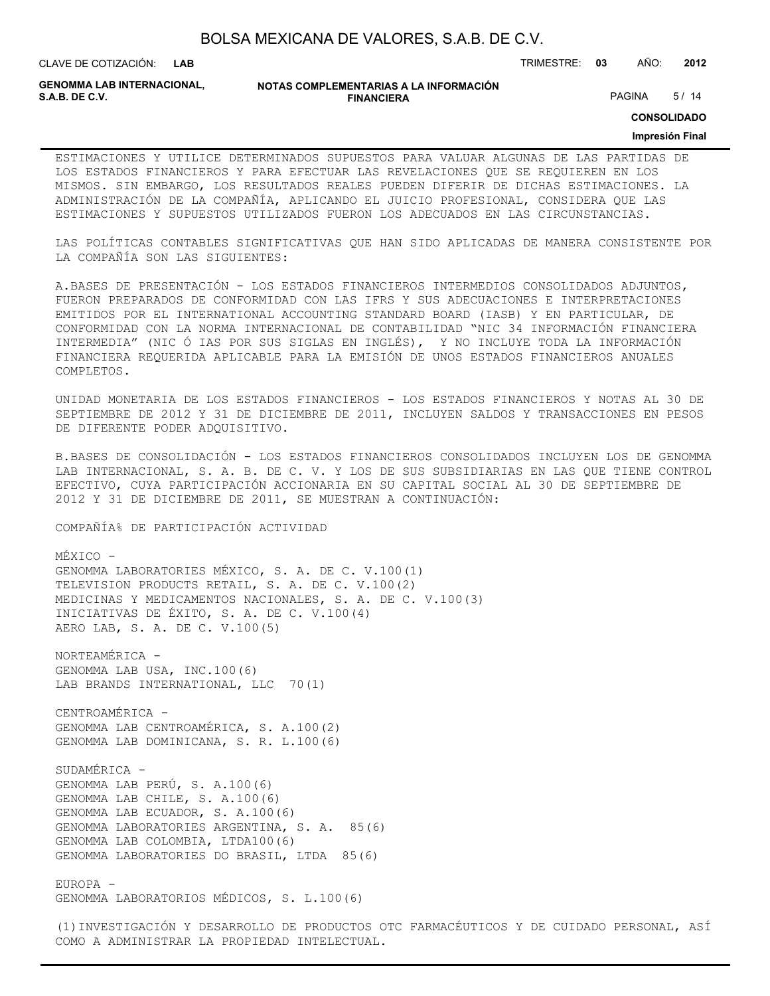| BOLSA MEXICANA DE VALORES, S.A.B. DE C.V. |  |  |
|-------------------------------------------|--|--|
|-------------------------------------------|--|--|

CLAVE DE COTIZACIÓN: TRIMESTRE: **03** AÑO: **2012**

**GENOMMA LAB INTERNACIONAL,**

**NOTAS COMPLEMENTARIAS A LA INFORMACIÓN FINANCIERA S.A.B. DE C.V.** PAGINA 5/14

**CONSOLIDADO**

#### **Impresión Final**

ESTIMACIONES Y UTILICE DETERMINADOS SUPUESTOS PARA VALUAR ALGUNAS DE LAS PARTIDAS DE LOS ESTADOS FINANCIEROS Y PARA EFECTUAR LAS REVELACIONES QUE SE REQUIEREN EN LOS MISMOS. SIN EMBARGO, LOS RESULTADOS REALES PUEDEN DIFERIR DE DICHAS ESTIMACIONES. LA ADMINISTRACIÓN DE LA COMPAÑÍA, APLICANDO EL JUICIO PROFESIONAL, CONSIDERA QUE LAS ESTIMACIONES Y SUPUESTOS UTILIZADOS FUERON LOS ADECUADOS EN LAS CIRCUNSTANCIAS.

LAS POLÍTICAS CONTABLES SIGNIFICATIVAS QUE HAN SIDO APLICADAS DE MANERA CONSISTENTE POR LA COMPAÑÍA SON LAS SIGUIENTES:

A.BASES DE PRESENTACIÓN - LOS ESTADOS FINANCIEROS INTERMEDIOS CONSOLIDADOS ADJUNTOS, FUERON PREPARADOS DE CONFORMIDAD CON LAS IFRS Y SUS ADECUACIONES E INTERPRETACIONES EMITIDOS POR EL INTERNATIONAL ACCOUNTING STANDARD BOARD (IASB) Y EN PARTICULAR, DE CONFORMIDAD CON LA NORMA INTERNACIONAL DE CONTABILIDAD "NIC 34 INFORMACIÓN FINANCIERA INTERMEDIA" (NIC Ó IAS POR SUS SIGLAS EN INGLÉS), Y NO INCLUYE TODA LA INFORMACIÓN FINANCIERA REQUERIDA APLICABLE PARA LA EMISIÓN DE UNOS ESTADOS FINANCIEROS ANUALES COMPLETOS.

UNIDAD MONETARIA DE LOS ESTADOS FINANCIEROS - LOS ESTADOS FINANCIEROS Y NOTAS AL 30 DE SEPTIEMBRE DE 2012 Y 31 DE DICIEMBRE DE 2011, INCLUYEN SALDOS Y TRANSACCIONES EN PESOS DE DIFERENTE PODER ADQUISITIVO.

B.BASES DE CONSOLIDACIÓN - LOS ESTADOS FINANCIEROS CONSOLIDADOS INCLUYEN LOS DE GENOMMA LAB INTERNACIONAL, S. A. B. DE C. V. Y LOS DE SUS SUBSIDIARIAS EN LAS QUE TIENE CONTROL EFECTIVO, CUYA PARTICIPACIÓN ACCIONARIA EN SU CAPITAL SOCIAL AL 30 DE SEPTIEMBRE DE 2012 Y 31 DE DICIEMBRE DE 2011, SE MUESTRAN A CONTINUACIÓN:

COMPAÑÍA% DE PARTICIPACIÓN ACTIVIDAD

MÉXICO - GENOMMA LABORATORIES MÉXICO, S. A. DE C. V.100(1) TELEVISION PRODUCTS RETAIL, S. A. DE C. V.100(2) MEDICINAS Y MEDICAMENTOS NACIONALES, S. A. DE C. V.100(3) INICIATIVAS DE ÉXITO, S. A. DE C. V.100(4) AERO LAB, S. A. DE C. V.100(5)

NORTEAMÉRICA - GENOMMA LAB USA, INC.100(6) LAB BRANDS INTERNATIONAL, LLC 70(1)

CENTROAMÉRICA - GENOMMA LAB CENTROAMÉRICA, S. A.100(2) GENOMMA LAB DOMINICANA, S. R. L.100(6)

SUDAMÉRICA - GENOMMA LAB PERÚ, S. A.100(6) GENOMMA LAB CHILE, S. A.100(6) GENOMMA LAB ECUADOR, S. A.100(6) GENOMMA LABORATORIES ARGENTINA, S. A. 85(6) GENOMMA LAB COLOMBIA, LTDA100(6) GENOMMA LABORATORIES DO BRASIL, LTDA 85(6)

EUROPA - GENOMMA LABORATORIOS MÉDICOS, S. L.100(6)

(1)INVESTIGACIÓN Y DESARROLLO DE PRODUCTOS OTC FARMACÉUTICOS Y DE CUIDADO PERSONAL, ASÍ COMO A ADMINISTRAR LA PROPIEDAD INTELECTUAL.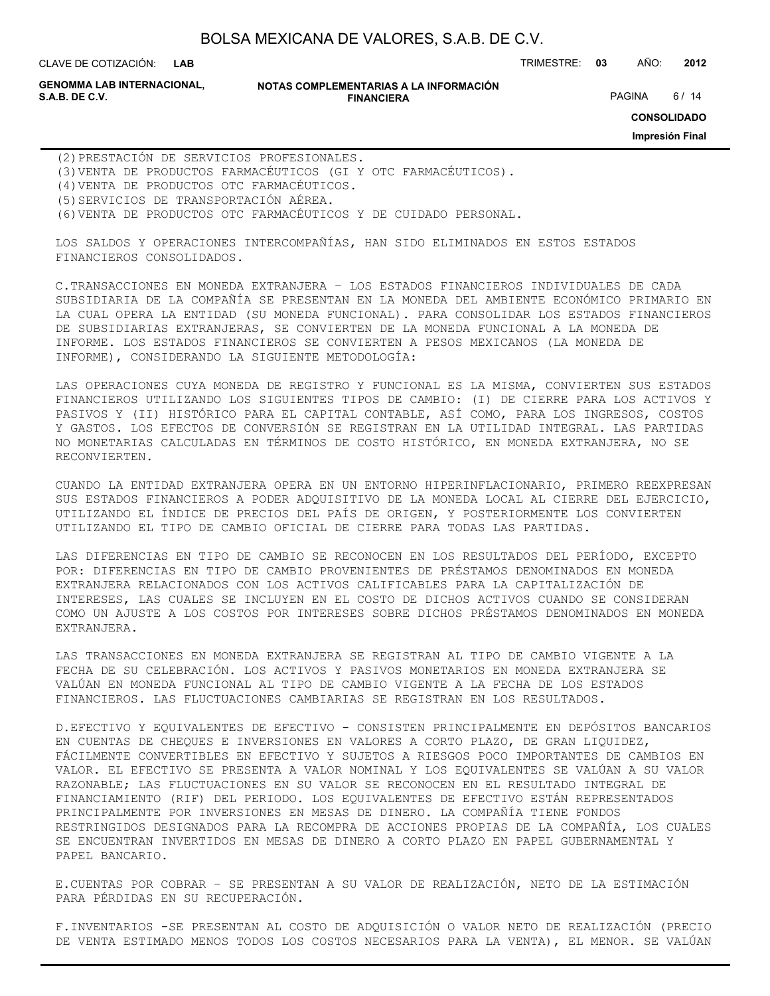**LAB**

CLAVE DE COTIZACIÓN: TRIMESTRE: **03** AÑO: **2012**

**GENOMMA LAB INTERNACIONAL,**

#### **NOTAS COMPLEMENTARIAS A LA INFORMACIÓN FINANCIERA S.A.B. DE C.V.** PAGINA 6 / 14

**CONSOLIDADO**

**Impresión Final**

(2)PRESTACIÓN DE SERVICIOS PROFESIONALES. (3)VENTA DE PRODUCTOS FARMACÉUTICOS (GI Y OTC FARMACÉUTICOS). (4)VENTA DE PRODUCTOS OTC FARMACÉUTICOS. (5)SERVICIOS DE TRANSPORTACIÓN AÉREA. (6)VENTA DE PRODUCTOS OTC FARMACÉUTICOS Y DE CUIDADO PERSONAL.

LOS SALDOS Y OPERACIONES INTERCOMPAÑÍAS, HAN SIDO ELIMINADOS EN ESTOS ESTADOS FINANCIEROS CONSOLIDADOS.

C.TRANSACCIONES EN MONEDA EXTRANJERA – LOS ESTADOS FINANCIEROS INDIVIDUALES DE CADA SUBSIDIARIA DE LA COMPAÑÍA SE PRESENTAN EN LA MONEDA DEL AMBIENTE ECONÓMICO PRIMARIO EN LA CUAL OPERA LA ENTIDAD (SU MONEDA FUNCIONAL). PARA CONSOLIDAR LOS ESTADOS FINANCIEROS DE SUBSIDIARIAS EXTRANJERAS, SE CONVIERTEN DE LA MONEDA FUNCIONAL A LA MONEDA DE INFORME. LOS ESTADOS FINANCIEROS SE CONVIERTEN A PESOS MEXICANOS (LA MONEDA DE INFORME), CONSIDERANDO LA SIGUIENTE METODOLOGÍA:

LAS OPERACIONES CUYA MONEDA DE REGISTRO Y FUNCIONAL ES LA MISMA, CONVIERTEN SUS ESTADOS FINANCIEROS UTILIZANDO LOS SIGUIENTES TIPOS DE CAMBIO: (I) DE CIERRE PARA LOS ACTIVOS Y PASIVOS Y (II) HISTÓRICO PARA EL CAPITAL CONTABLE, ASÍ COMO, PARA LOS INGRESOS, COSTOS Y GASTOS. LOS EFECTOS DE CONVERSIÓN SE REGISTRAN EN LA UTILIDAD INTEGRAL. LAS PARTIDAS NO MONETARIAS CALCULADAS EN TÉRMINOS DE COSTO HISTÓRICO, EN MONEDA EXTRANJERA, NO SE RECONVIERTEN.

CUANDO LA ENTIDAD EXTRANJERA OPERA EN UN ENTORNO HIPERINFLACIONARIO, PRIMERO REEXPRESAN SUS ESTADOS FINANCIEROS A PODER ADQUISITIVO DE LA MONEDA LOCAL AL CIERRE DEL EJERCICIO, UTILIZANDO EL ÍNDICE DE PRECIOS DEL PAÍS DE ORIGEN, Y POSTERIORMENTE LOS CONVIERTEN UTILIZANDO EL TIPO DE CAMBIO OFICIAL DE CIERRE PARA TODAS LAS PARTIDAS.

LAS DIFERENCIAS EN TIPO DE CAMBIO SE RECONOCEN EN LOS RESULTADOS DEL PERÍODO, EXCEPTO POR: DIFERENCIAS EN TIPO DE CAMBIO PROVENIENTES DE PRÉSTAMOS DENOMINADOS EN MONEDA EXTRANJERA RELACIONADOS CON LOS ACTIVOS CALIFICABLES PARA LA CAPITALIZACIÓN DE INTERESES, LAS CUALES SE INCLUYEN EN EL COSTO DE DICHOS ACTIVOS CUANDO SE CONSIDERAN COMO UN AJUSTE A LOS COSTOS POR INTERESES SOBRE DICHOS PRÉSTAMOS DENOMINADOS EN MONEDA EXTRANJERA.

LAS TRANSACCIONES EN MONEDA EXTRANJERA SE REGISTRAN AL TIPO DE CAMBIO VIGENTE A LA FECHA DE SU CELEBRACIÓN. LOS ACTIVOS Y PASIVOS MONETARIOS EN MONEDA EXTRANJERA SE VALÚAN EN MONEDA FUNCIONAL AL TIPO DE CAMBIO VIGENTE A LA FECHA DE LOS ESTADOS FINANCIEROS. LAS FLUCTUACIONES CAMBIARIAS SE REGISTRAN EN LOS RESULTADOS.

D.EFECTIVO Y EQUIVALENTES DE EFECTIVO - CONSISTEN PRINCIPALMENTE EN DEPÓSITOS BANCARIOS EN CUENTAS DE CHEQUES E INVERSIONES EN VALORES A CORTO PLAZO, DE GRAN LIQUIDEZ, FÁCILMENTE CONVERTIBLES EN EFECTIVO Y SUJETOS A RIESGOS POCO IMPORTANTES DE CAMBIOS EN VALOR. EL EFECTIVO SE PRESENTA A VALOR NOMINAL Y LOS EQUIVALENTES SE VALÚAN A SU VALOR RAZONABLE; LAS FLUCTUACIONES EN SU VALOR SE RECONOCEN EN EL RESULTADO INTEGRAL DE FINANCIAMIENTO (RIF) DEL PERIODO. LOS EQUIVALENTES DE EFECTIVO ESTÁN REPRESENTADOS PRINCIPALMENTE POR INVERSIONES EN MESAS DE DINERO. LA COMPAÑÍA TIENE FONDOS RESTRINGIDOS DESIGNADOS PARA LA RECOMPRA DE ACCIONES PROPIAS DE LA COMPAÑÍA, LOS CUALES SE ENCUENTRAN INVERTIDOS EN MESAS DE DINERO A CORTO PLAZO EN PAPEL GUBERNAMENTAL Y PAPEL BANCARIO.

E.CUENTAS POR COBRAR – SE PRESENTAN A SU VALOR DE REALIZACIÓN, NETO DE LA ESTIMACIÓN PARA PÉRDIDAS EN SU RECUPERACIÓN.

F.INVENTARIOS -SE PRESENTAN AL COSTO DE ADQUISICIÓN O VALOR NETO DE REALIZACIÓN (PRECIO DE VENTA ESTIMADO MENOS TODOS LOS COSTOS NECESARIOS PARA LA VENTA), EL MENOR. SE VALÚAN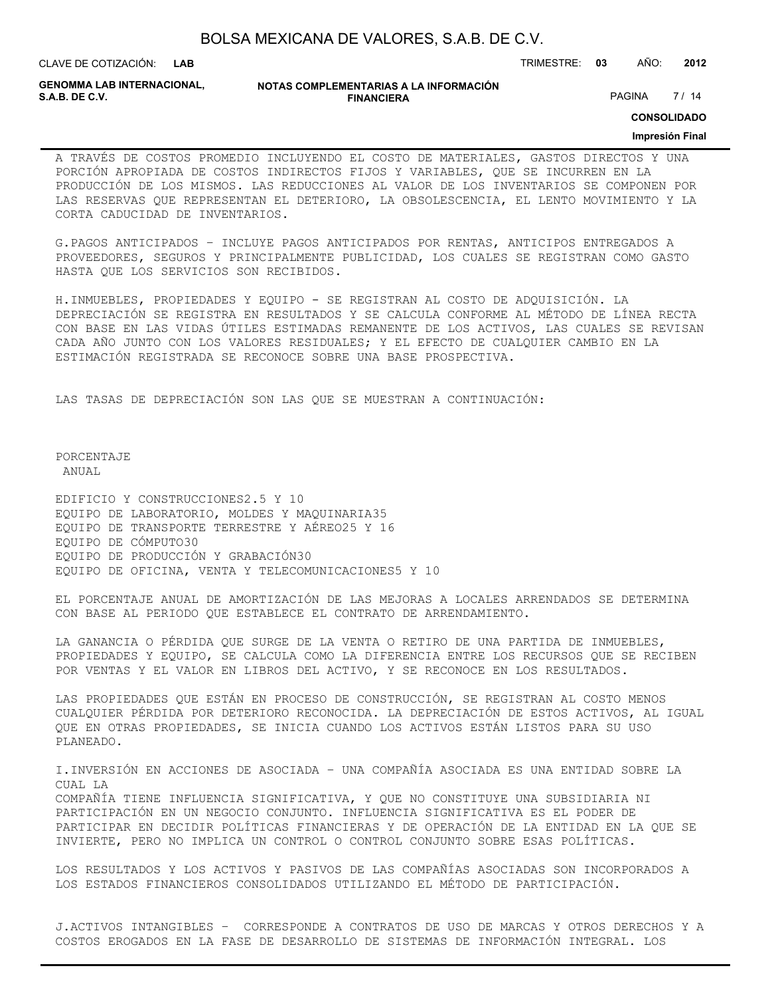| BOLSA MEXICANA DE VALORES, S.A.B. DE C.V. |
|-------------------------------------------|
|-------------------------------------------|

CLAVE DE COTIZACIÓN: TRIMESTRE: **03** AÑO: **2012**

**GENOMMA LAB INTERNACIONAL,**

#### **NOTAS COMPLEMENTARIAS A LA INFORMACIÓN FINANCIERA S.A.B. DE C.V.** PAGINA 27 / 14

**CONSOLIDADO**

#### **Impresión Final**

A TRAVÉS DE COSTOS PROMEDIO INCLUYENDO EL COSTO DE MATERIALES, GASTOS DIRECTOS Y UNA PORCIÓN APROPIADA DE COSTOS INDIRECTOS FIJOS Y VARIABLES, QUE SE INCURREN EN LA PRODUCCIÓN DE LOS MISMOS. LAS REDUCCIONES AL VALOR DE LOS INVENTARIOS SE COMPONEN POR LAS RESERVAS QUE REPRESENTAN EL DETERIORO, LA OBSOLESCENCIA, EL LENTO MOVIMIENTO Y LA CORTA CADUCIDAD DE INVENTARIOS.

G.PAGOS ANTICIPADOS – INCLUYE PAGOS ANTICIPADOS POR RENTAS, ANTICIPOS ENTREGADOS A PROVEEDORES, SEGUROS Y PRINCIPALMENTE PUBLICIDAD, LOS CUALES SE REGISTRAN COMO GASTO HASTA QUE LOS SERVICIOS SON RECIBIDOS.

H.INMUEBLES, PROPIEDADES Y EQUIPO - SE REGISTRAN AL COSTO DE ADQUISICIÓN. LA DEPRECIACIÓN SE REGISTRA EN RESULTADOS Y SE CALCULA CONFORME AL MÉTODO DE LÍNEA RECTA CON BASE EN LAS VIDAS ÚTILES ESTIMADAS REMANENTE DE LOS ACTIVOS, LAS CUALES SE REVISAN CADA AÑO JUNTO CON LOS VALORES RESIDUALES; Y EL EFECTO DE CUALQUIER CAMBIO EN LA ESTIMACIÓN REGISTRADA SE RECONOCE SOBRE UNA BASE PROSPECTIVA.

LAS TASAS DE DEPRECIACIÓN SON LAS QUE SE MUESTRAN A CONTINUACIÓN:

PORCENTAJE ANIJAT.

EDIFICIO Y CONSTRUCCIONES2.5 Y 10 EQUIPO DE LABORATORIO, MOLDES Y MAQUINARIA35 EQUIPO DE TRANSPORTE TERRESTRE Y AÉREO25 Y 16 EQUIPO DE CÓMPUTO30 EQUIPO DE PRODUCCIÓN Y GRABACIÓN30 EQUIPO DE OFICINA, VENTA Y TELECOMUNICACIONES5 Y 10

EL PORCENTAJE ANUAL DE AMORTIZACIÓN DE LAS MEJORAS A LOCALES ARRENDADOS SE DETERMINA CON BASE AL PERIODO QUE ESTABLECE EL CONTRATO DE ARRENDAMIENTO.

LA GANANCIA O PÉRDIDA QUE SURGE DE LA VENTA O RETIRO DE UNA PARTIDA DE INMUEBLES, PROPIEDADES Y EQUIPO, SE CALCULA COMO LA DIFERENCIA ENTRE LOS RECURSOS QUE SE RECIBEN POR VENTAS Y EL VALOR EN LIBROS DEL ACTIVO, Y SE RECONOCE EN LOS RESULTADOS.

LAS PROPIEDADES QUE ESTÁN EN PROCESO DE CONSTRUCCIÓN, SE REGISTRAN AL COSTO MENOS CUALQUIER PÉRDIDA POR DETERIORO RECONOCIDA. LA DEPRECIACIÓN DE ESTOS ACTIVOS, AL IGUAL QUE EN OTRAS PROPIEDADES, SE INICIA CUANDO LOS ACTIVOS ESTÁN LISTOS PARA SU USO PLANEADO.

I.INVERSIÓN EN ACCIONES DE ASOCIADA – UNA COMPAÑÍA ASOCIADA ES UNA ENTIDAD SOBRE LA CUAL LA COMPAÑÍA TIENE INFLUENCIA SIGNIFICATIVA, Y QUE NO CONSTITUYE UNA SUBSIDIARIA NI PARTICIPACIÓN EN UN NEGOCIO CONJUNTO. INFLUENCIA SIGNIFICATIVA ES EL PODER DE PARTICIPAR EN DECIDIR POLÍTICAS FINANCIERAS Y DE OPERACIÓN DE LA ENTIDAD EN LA QUE SE INVIERTE, PERO NO IMPLICA UN CONTROL O CONTROL CONJUNTO SOBRE ESAS POLÍTICAS.

LOS RESULTADOS Y LOS ACTIVOS Y PASIVOS DE LAS COMPAÑÍAS ASOCIADAS SON INCORPORADOS A LOS ESTADOS FINANCIEROS CONSOLIDADOS UTILIZANDO EL MÉTODO DE PARTICIPACIÓN.

J.ACTIVOS INTANGIBLES – CORRESPONDE A CONTRATOS DE USO DE MARCAS Y OTROS DERECHOS Y A COSTOS EROGADOS EN LA FASE DE DESARROLLO DE SISTEMAS DE INFORMACIÓN INTEGRAL. LOS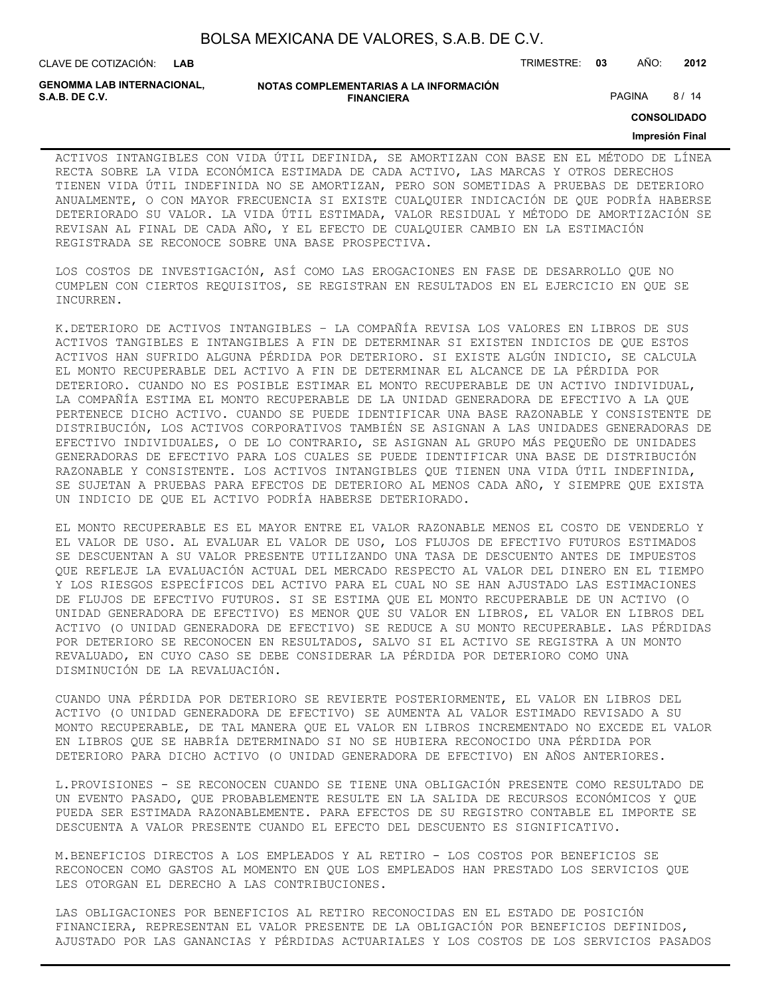CLAVE DE COTIZACIÓN: TRIMESTRE: **03** AÑO: **2012**

**GENOMMA LAB INTERNACIONAL,**

#### **NOTAS COMPLEMENTARIAS A LA INFORMACIÓN FINANCIERA S.A.B. DE C.V.** PAGINA 8 / 14

**CONSOLIDADO**

#### **Impresión Final**

ACTIVOS INTANGIBLES CON VIDA ÚTIL DEFINIDA, SE AMORTIZAN CON BASE EN EL MÉTODO DE LÍNEA RECTA SOBRE LA VIDA ECONÓMICA ESTIMADA DE CADA ACTIVO, LAS MARCAS Y OTROS DERECHOS TIENEN VIDA ÚTIL INDEFINIDA NO SE AMORTIZAN, PERO SON SOMETIDAS A PRUEBAS DE DETERIORO ANUALMENTE, O CON MAYOR FRECUENCIA SI EXISTE CUALQUIER INDICACIÓN DE QUE PODRÍA HABERSE DETERIORADO SU VALOR. LA VIDA ÚTIL ESTIMADA, VALOR RESIDUAL Y MÉTODO DE AMORTIZACIÓN SE REVISAN AL FINAL DE CADA AÑO, Y EL EFECTO DE CUALQUIER CAMBIO EN LA ESTIMACIÓN REGISTRADA SE RECONOCE SOBRE UNA BASE PROSPECTIVA.

LOS COSTOS DE INVESTIGACIÓN, ASÍ COMO LAS EROGACIONES EN FASE DE DESARROLLO QUE NO CUMPLEN CON CIERTOS REQUISITOS, SE REGISTRAN EN RESULTADOS EN EL EJERCICIO EN QUE SE INCURREN.

K.DETERIORO DE ACTIVOS INTANGIBLES – LA COMPAÑÍA REVISA LOS VALORES EN LIBROS DE SUS ACTIVOS TANGIBLES E INTANGIBLES A FIN DE DETERMINAR SI EXISTEN INDICIOS DE QUE ESTOS ACTIVOS HAN SUFRIDO ALGUNA PÉRDIDA POR DETERIORO. SI EXISTE ALGÚN INDICIO, SE CALCULA EL MONTO RECUPERABLE DEL ACTIVO A FIN DE DETERMINAR EL ALCANCE DE LA PÉRDIDA POR DETERIORO. CUANDO NO ES POSIBLE ESTIMAR EL MONTO RECUPERABLE DE UN ACTIVO INDIVIDUAL, LA COMPAÑÍA ESTIMA EL MONTO RECUPERABLE DE LA UNIDAD GENERADORA DE EFECTIVO A LA QUE PERTENECE DICHO ACTIVO. CUANDO SE PUEDE IDENTIFICAR UNA BASE RAZONABLE Y CONSISTENTE DE DISTRIBUCIÓN, LOS ACTIVOS CORPORATIVOS TAMBIÉN SE ASIGNAN A LAS UNIDADES GENERADORAS DE EFECTIVO INDIVIDUALES, O DE LO CONTRARIO, SE ASIGNAN AL GRUPO MÁS PEQUEÑO DE UNIDADES GENERADORAS DE EFECTIVO PARA LOS CUALES SE PUEDE IDENTIFICAR UNA BASE DE DISTRIBUCIÓN RAZONABLE Y CONSISTENTE. LOS ACTIVOS INTANGIBLES QUE TIENEN UNA VIDA ÚTIL INDEFINIDA, SE SUJETAN A PRUEBAS PARA EFECTOS DE DETERIORO AL MENOS CADA AÑO, Y SIEMPRE QUE EXISTA UN INDICIO DE QUE EL ACTIVO PODRÍA HABERSE DETERIORADO.

EL MONTO RECUPERABLE ES EL MAYOR ENTRE EL VALOR RAZONABLE MENOS EL COSTO DE VENDERLO Y EL VALOR DE USO. AL EVALUAR EL VALOR DE USO, LOS FLUJOS DE EFECTIVO FUTUROS ESTIMADOS SE DESCUENTAN A SU VALOR PRESENTE UTILIZANDO UNA TASA DE DESCUENTO ANTES DE IMPUESTOS QUE REFLEJE LA EVALUACIÓN ACTUAL DEL MERCADO RESPECTO AL VALOR DEL DINERO EN EL TIEMPO Y LOS RIESGOS ESPECÍFICOS DEL ACTIVO PARA EL CUAL NO SE HAN AJUSTADO LAS ESTIMACIONES DE FLUJOS DE EFECTIVO FUTUROS. SI SE ESTIMA QUE EL MONTO RECUPERABLE DE UN ACTIVO (O UNIDAD GENERADORA DE EFECTIVO) ES MENOR QUE SU VALOR EN LIBROS, EL VALOR EN LIBROS DEL ACTIVO (O UNIDAD GENERADORA DE EFECTIVO) SE REDUCE A SU MONTO RECUPERABLE. LAS PÉRDIDAS POR DETERIORO SE RECONOCEN EN RESULTADOS, SALVO SI EL ACTIVO SE REGISTRA A UN MONTO REVALUADO, EN CUYO CASO SE DEBE CONSIDERAR LA PÉRDIDA POR DETERIORO COMO UNA DISMINUCIÓN DE LA REVALUACIÓN.

CUANDO UNA PÉRDIDA POR DETERIORO SE REVIERTE POSTERIORMENTE, EL VALOR EN LIBROS DEL ACTIVO (O UNIDAD GENERADORA DE EFECTIVO) SE AUMENTA AL VALOR ESTIMADO REVISADO A SU MONTO RECUPERABLE, DE TAL MANERA QUE EL VALOR EN LIBROS INCREMENTADO NO EXCEDE EL VALOR EN LIBROS QUE SE HABRÍA DETERMINADO SI NO SE HUBIERA RECONOCIDO UNA PÉRDIDA POR DETERIORO PARA DICHO ACTIVO (O UNIDAD GENERADORA DE EFECTIVO) EN AÑOS ANTERIORES.

L.PROVISIONES - SE RECONOCEN CUANDO SE TIENE UNA OBLIGACIÓN PRESENTE COMO RESULTADO DE UN EVENTO PASADO, QUE PROBABLEMENTE RESULTE EN LA SALIDA DE RECURSOS ECONÓMICOS Y QUE PUEDA SER ESTIMADA RAZONABLEMENTE. PARA EFECTOS DE SU REGISTRO CONTABLE EL IMPORTE SE DESCUENTA A VALOR PRESENTE CUANDO EL EFECTO DEL DESCUENTO ES SIGNIFICATIVO.

M.BENEFICIOS DIRECTOS A LOS EMPLEADOS Y AL RETIRO - LOS COSTOS POR BENEFICIOS SE RECONOCEN COMO GASTOS AL MOMENTO EN QUE LOS EMPLEADOS HAN PRESTADO LOS SERVICIOS QUE LES OTORGAN EL DERECHO A LAS CONTRIBUCIONES.

LAS OBLIGACIONES POR BENEFICIOS AL RETIRO RECONOCIDAS EN EL ESTADO DE POSICIÓN FINANCIERA, REPRESENTAN EL VALOR PRESENTE DE LA OBLIGACIÓN POR BENEFICIOS DEFINIDOS, AJUSTADO POR LAS GANANCIAS Y PÉRDIDAS ACTUARIALES Y LOS COSTOS DE LOS SERVICIOS PASADOS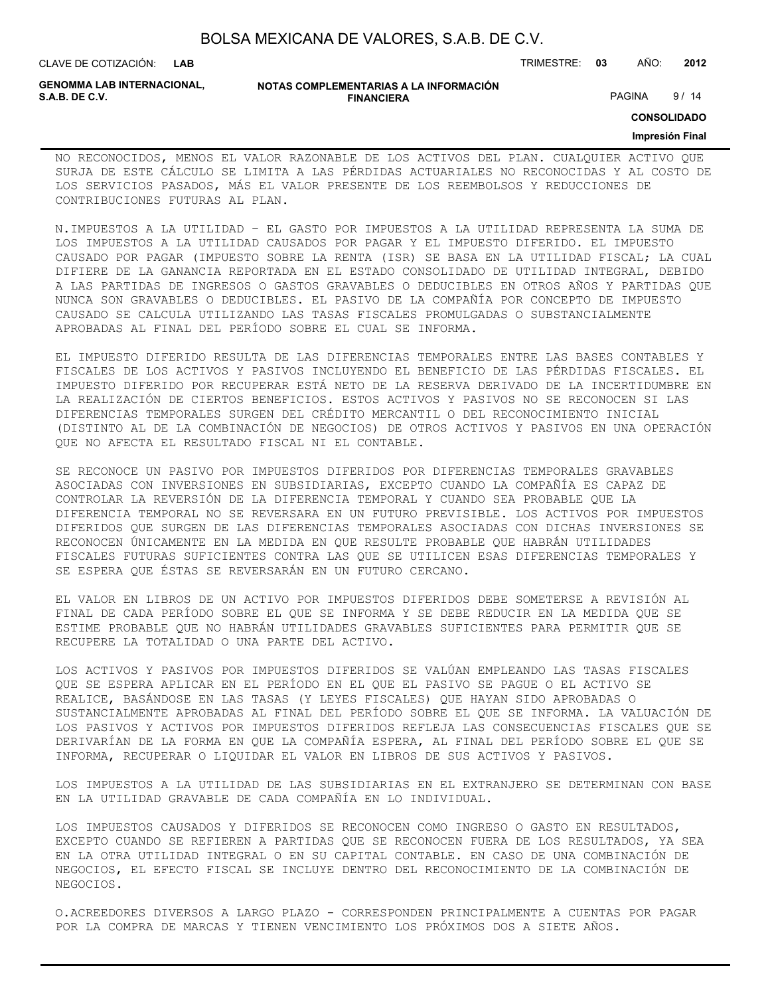| BOLSA MEXICANA DE VALORES, S.A.B. DE C.V. |  |  |
|-------------------------------------------|--|--|
|-------------------------------------------|--|--|

CLAVE DE COTIZACIÓN: TRIMESTRE: **03** AÑO: **2012**

**GENOMMA LAB INTERNACIONAL,**

#### **NOTAS COMPLEMENTARIAS A LA INFORMACIÓN FINANCIERA S.A.B. DE C.V.** PAGINA 9/14

**CONSOLIDADO**

#### **Impresión Final**

NO RECONOCIDOS, MENOS EL VALOR RAZONABLE DE LOS ACTIVOS DEL PLAN. CUALQUIER ACTIVO QUE SURJA DE ESTE CÁLCULO SE LIMITA A LAS PÉRDIDAS ACTUARIALES NO RECONOCIDAS Y AL COSTO DE LOS SERVICIOS PASADOS, MÁS EL VALOR PRESENTE DE LOS REEMBOLSOS Y REDUCCIONES DE CONTRIBUCIONES FUTURAS AL PLAN.

N.IMPUESTOS A LA UTILIDAD – EL GASTO POR IMPUESTOS A LA UTILIDAD REPRESENTA LA SUMA DE LOS IMPUESTOS A LA UTILIDAD CAUSADOS POR PAGAR Y EL IMPUESTO DIFERIDO. EL IMPUESTO CAUSADO POR PAGAR (IMPUESTO SOBRE LA RENTA (ISR) SE BASA EN LA UTILIDAD FISCAL; LA CUAL DIFIERE DE LA GANANCIA REPORTADA EN EL ESTADO CONSOLIDADO DE UTILIDAD INTEGRAL, DEBIDO A LAS PARTIDAS DE INGRESOS O GASTOS GRAVABLES O DEDUCIBLES EN OTROS AÑOS Y PARTIDAS QUE NUNCA SON GRAVABLES O DEDUCIBLES. EL PASIVO DE LA COMPAÑÍA POR CONCEPTO DE IMPUESTO CAUSADO SE CALCULA UTILIZANDO LAS TASAS FISCALES PROMULGADAS O SUBSTANCIALMENTE APROBADAS AL FINAL DEL PERÍODO SOBRE EL CUAL SE INFORMA.

EL IMPUESTO DIFERIDO RESULTA DE LAS DIFERENCIAS TEMPORALES ENTRE LAS BASES CONTABLES Y FISCALES DE LOS ACTIVOS Y PASIVOS INCLUYENDO EL BENEFICIO DE LAS PÉRDIDAS FISCALES. EL IMPUESTO DIFERIDO POR RECUPERAR ESTÁ NETO DE LA RESERVA DERIVADO DE LA INCERTIDUMBRE EN LA REALIZACIÓN DE CIERTOS BENEFICIOS. ESTOS ACTIVOS Y PASIVOS NO SE RECONOCEN SI LAS DIFERENCIAS TEMPORALES SURGEN DEL CRÉDITO MERCANTIL O DEL RECONOCIMIENTO INICIAL (DISTINTO AL DE LA COMBINACIÓN DE NEGOCIOS) DE OTROS ACTIVOS Y PASIVOS EN UNA OPERACIÓN QUE NO AFECTA EL RESULTADO FISCAL NI EL CONTABLE.

SE RECONOCE UN PASIVO POR IMPUESTOS DIFERIDOS POR DIFERENCIAS TEMPORALES GRAVABLES ASOCIADAS CON INVERSIONES EN SUBSIDIARIAS, EXCEPTO CUANDO LA COMPAÑÍA ES CAPAZ DE CONTROLAR LA REVERSIÓN DE LA DIFERENCIA TEMPORAL Y CUANDO SEA PROBABLE QUE LA DIFERENCIA TEMPORAL NO SE REVERSARA EN UN FUTURO PREVISIBLE. LOS ACTIVOS POR IMPUESTOS DIFERIDOS QUE SURGEN DE LAS DIFERENCIAS TEMPORALES ASOCIADAS CON DICHAS INVERSIONES SE RECONOCEN ÚNICAMENTE EN LA MEDIDA EN QUE RESULTE PROBABLE QUE HABRÁN UTILIDADES FISCALES FUTURAS SUFICIENTES CONTRA LAS QUE SE UTILICEN ESAS DIFERENCIAS TEMPORALES Y SE ESPERA QUE ÉSTAS SE REVERSARÁN EN UN FUTURO CERCANO.

EL VALOR EN LIBROS DE UN ACTIVO POR IMPUESTOS DIFERIDOS DEBE SOMETERSE A REVISIÓN AL FINAL DE CADA PERÍODO SOBRE EL QUE SE INFORMA Y SE DEBE REDUCIR EN LA MEDIDA QUE SE ESTIME PROBABLE QUE NO HABRÁN UTILIDADES GRAVABLES SUFICIENTES PARA PERMITIR QUE SE RECUPERE LA TOTALIDAD O UNA PARTE DEL ACTIVO.

LOS ACTIVOS Y PASIVOS POR IMPUESTOS DIFERIDOS SE VALÚAN EMPLEANDO LAS TASAS FISCALES QUE SE ESPERA APLICAR EN EL PERÍODO EN EL QUE EL PASIVO SE PAGUE O EL ACTIVO SE REALICE, BASÁNDOSE EN LAS TASAS (Y LEYES FISCALES) QUE HAYAN SIDO APROBADAS O SUSTANCIALMENTE APROBADAS AL FINAL DEL PERÍODO SOBRE EL QUE SE INFORMA. LA VALUACIÓN DE LOS PASIVOS Y ACTIVOS POR IMPUESTOS DIFERIDOS REFLEJA LAS CONSECUENCIAS FISCALES QUE SE DERIVARÍAN DE LA FORMA EN QUE LA COMPAÑÍA ESPERA, AL FINAL DEL PERÍODO SOBRE EL QUE SE INFORMA, RECUPERAR O LIQUIDAR EL VALOR EN LIBROS DE SUS ACTIVOS Y PASIVOS.

LOS IMPUESTOS A LA UTILIDAD DE LAS SUBSIDIARIAS EN EL EXTRANJERO SE DETERMINAN CON BASE EN LA UTILIDAD GRAVABLE DE CADA COMPAÑÍA EN LO INDIVIDUAL.

LOS IMPUESTOS CAUSADOS Y DIFERIDOS SE RECONOCEN COMO INGRESO O GASTO EN RESULTADOS, EXCEPTO CUANDO SE REFIEREN A PARTIDAS QUE SE RECONOCEN FUERA DE LOS RESULTADOS, YA SEA EN LA OTRA UTILIDAD INTEGRAL O EN SU CAPITAL CONTABLE. EN CASO DE UNA COMBINACIÓN DE NEGOCIOS, EL EFECTO FISCAL SE INCLUYE DENTRO DEL RECONOCIMIENTO DE LA COMBINACIÓN DE NEGOCIOS.

O.ACREEDORES DIVERSOS A LARGO PLAZO - CORRESPONDEN PRINCIPALMENTE A CUENTAS POR PAGAR POR LA COMPRA DE MARCAS Y TIENEN VENCIMIENTO LOS PRÓXIMOS DOS A SIETE AÑOS.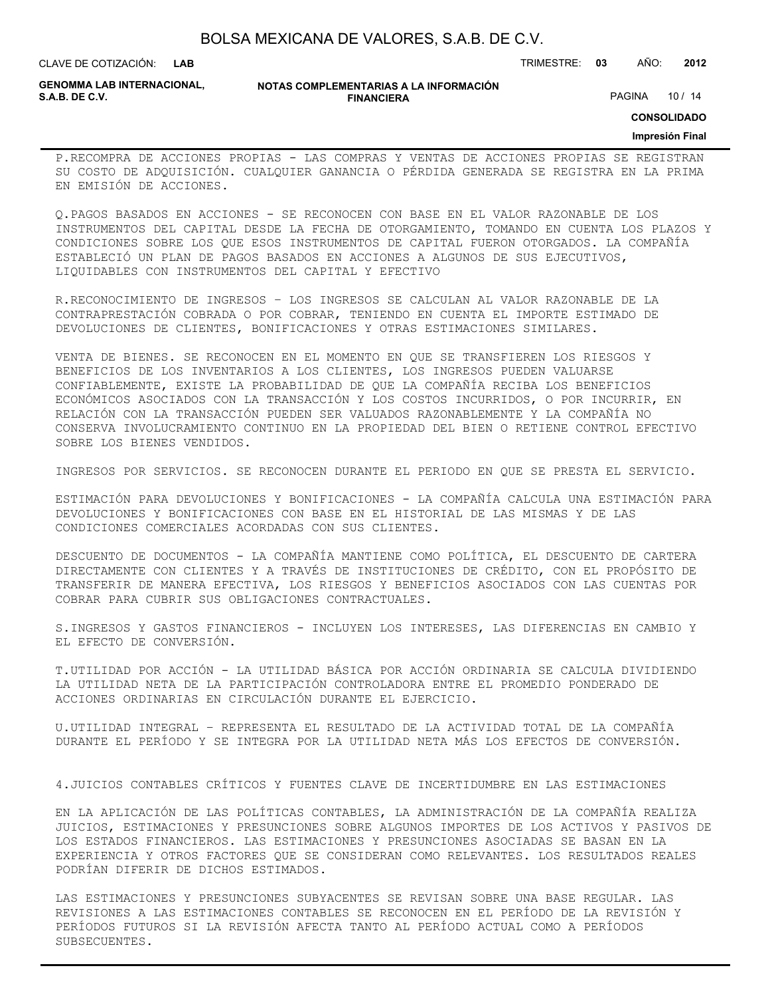| BOLSA MEXICANA DE VALORES, S.A.B. DE C.V. |  |  |
|-------------------------------------------|--|--|
|-------------------------------------------|--|--|

CLAVE DE COTIZACIÓN: TRIMESTRE: **03** AÑO: **2012**

**GENOMMA LAB INTERNACIONAL,**

**NOTAS COMPLEMENTARIAS A LA INFORMACIÓN FINANCIERA**

PAGINA 10 / 14

**CONSOLIDADO**

#### **Impresión Final**

P.RECOMPRA DE ACCIONES PROPIAS - LAS COMPRAS Y VENTAS DE ACCIONES PROPIAS SE REGISTRAN SU COSTO DE ADQUISICIÓN. CUALQUIER GANANCIA O PÉRDIDA GENERADA SE REGISTRA EN LA PRIMA EN EMISIÓN DE ACCIONES.

Q.PAGOS BASADOS EN ACCIONES - SE RECONOCEN CON BASE EN EL VALOR RAZONABLE DE LOS INSTRUMENTOS DEL CAPITAL DESDE LA FECHA DE OTORGAMIENTO, TOMANDO EN CUENTA LOS PLAZOS Y CONDICIONES SOBRE LOS QUE ESOS INSTRUMENTOS DE CAPITAL FUERON OTORGADOS. LA COMPAÑÍA ESTABLECIÓ UN PLAN DE PAGOS BASADOS EN ACCIONES A ALGUNOS DE SUS EJECUTIVOS, LIQUIDABLES CON INSTRUMENTOS DEL CAPITAL Y EFECTIVO

R.RECONOCIMIENTO DE INGRESOS – LOS INGRESOS SE CALCULAN AL VALOR RAZONABLE DE LA CONTRAPRESTACIÓN COBRADA O POR COBRAR, TENIENDO EN CUENTA EL IMPORTE ESTIMADO DE DEVOLUCIONES DE CLIENTES, BONIFICACIONES Y OTRAS ESTIMACIONES SIMILARES.

VENTA DE BIENES. SE RECONOCEN EN EL MOMENTO EN QUE SE TRANSFIEREN LOS RIESGOS Y BENEFICIOS DE LOS INVENTARIOS A LOS CLIENTES, LOS INGRESOS PUEDEN VALUARSE CONFIABLEMENTE, EXISTE LA PROBABILIDAD DE QUE LA COMPAÑÍA RECIBA LOS BENEFICIOS ECONÓMICOS ASOCIADOS CON LA TRANSACCIÓN Y LOS COSTOS INCURRIDOS, O POR INCURRIR, EN RELACIÓN CON LA TRANSACCIÓN PUEDEN SER VALUADOS RAZONABLEMENTE Y LA COMPAÑÍA NO CONSERVA INVOLUCRAMIENTO CONTINUO EN LA PROPIEDAD DEL BIEN O RETIENE CONTROL EFECTIVO SOBRE LOS BIENES VENDIDOS.

INGRESOS POR SERVICIOS. SE RECONOCEN DURANTE EL PERIODO EN QUE SE PRESTA EL SERVICIO.

ESTIMACIÓN PARA DEVOLUCIONES Y BONIFICACIONES - LA COMPAÑÍA CALCULA UNA ESTIMACIÓN PARA DEVOLUCIONES Y BONIFICACIONES CON BASE EN EL HISTORIAL DE LAS MISMAS Y DE LAS CONDICIONES COMERCIALES ACORDADAS CON SUS CLIENTES.

DESCUENTO DE DOCUMENTOS - LA COMPAÑÍA MANTIENE COMO POLÍTICA, EL DESCUENTO DE CARTERA DIRECTAMENTE CON CLIENTES Y A TRAVÉS DE INSTITUCIONES DE CRÉDITO, CON EL PROPÓSITO DE TRANSFERIR DE MANERA EFECTIVA, LOS RIESGOS Y BENEFICIOS ASOCIADOS CON LAS CUENTAS POR COBRAR PARA CUBRIR SUS OBLIGACIONES CONTRACTUALES.

S.INGRESOS Y GASTOS FINANCIEROS - INCLUYEN LOS INTERESES, LAS DIFERENCIAS EN CAMBIO Y EL EFECTO DE CONVERSIÓN.

T.UTILIDAD POR ACCIÓN - LA UTILIDAD BÁSICA POR ACCIÓN ORDINARIA SE CALCULA DIVIDIENDO LA UTILIDAD NETA DE LA PARTICIPACIÓN CONTROLADORA ENTRE EL PROMEDIO PONDERADO DE ACCIONES ORDINARIAS EN CIRCULACIÓN DURANTE EL EJERCICIO.

U.UTILIDAD INTEGRAL – REPRESENTA EL RESULTADO DE LA ACTIVIDAD TOTAL DE LA COMPAÑÍA DURANTE EL PERÍODO Y SE INTEGRA POR LA UTILIDAD NETA MÁS LOS EFECTOS DE CONVERSIÓN.

4.JUICIOS CONTABLES CRÍTICOS Y FUENTES CLAVE DE INCERTIDUMBRE EN LAS ESTIMACIONES

EN LA APLICACIÓN DE LAS POLÍTICAS CONTABLES, LA ADMINISTRACIÓN DE LA COMPAÑÍA REALIZA JUICIOS, ESTIMACIONES Y PRESUNCIONES SOBRE ALGUNOS IMPORTES DE LOS ACTIVOS Y PASIVOS DE LOS ESTADOS FINANCIEROS. LAS ESTIMACIONES Y PRESUNCIONES ASOCIADAS SE BASAN EN LA EXPERIENCIA Y OTROS FACTORES QUE SE CONSIDERAN COMO RELEVANTES. LOS RESULTADOS REALES PODRÍAN DIFERIR DE DICHOS ESTIMADOS.

LAS ESTIMACIONES Y PRESUNCIONES SUBYACENTES SE REVISAN SOBRE UNA BASE REGULAR. LAS REVISIONES A LAS ESTIMACIONES CONTABLES SE RECONOCEN EN EL PERÍODO DE LA REVISIÓN Y PERÍODOS FUTUROS SI LA REVISIÓN AFECTA TANTO AL PERÍODO ACTUAL COMO A PERÍODOS SUBSECUENTES.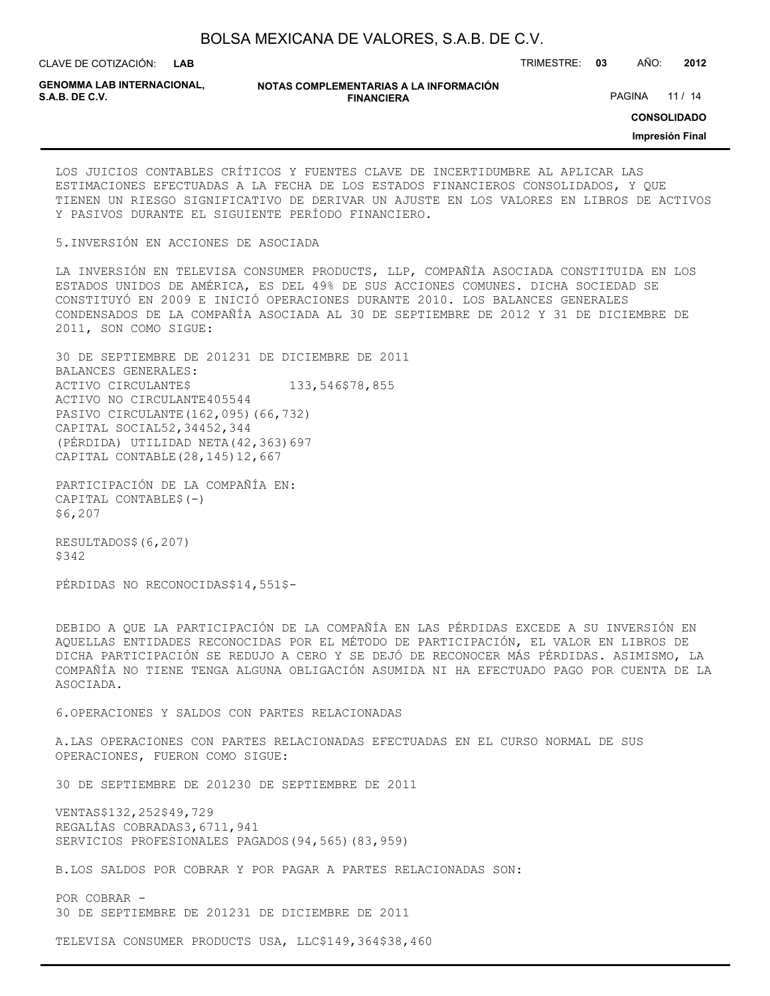CLAVE DE COTIZACIÓN: TRIMESTRE: **03** AÑO: **2012**

**GENOMMA LAB INTERNACIONAL,**

**NOTAS COMPLEMENTARIAS A LA INFORMACIÓN FINANCIERA**

PAGINA 11 / 14

**CONSOLIDADO**

**Impresión Final**

LOS JUICIOS CONTABLES CRÍTICOS Y FUENTES CLAVE DE INCERTIDUMBRE AL APLICAR LAS ESTIMACIONES EFECTUADAS A LA FECHA DE LOS ESTADOS FINANCIEROS CONSOLIDADOS, Y QUE TIENEN UN RIESGO SIGNIFICATIVO DE DERIVAR UN AJUSTE EN LOS VALORES EN LIBROS DE ACTIVOS Y PASIVOS DURANTE EL SIGUIENTE PERÍODO FINANCIERO.

5.INVERSIÓN EN ACCIONES DE ASOCIADA

LA INVERSIÓN EN TELEVISA CONSUMER PRODUCTS, LLP, COMPAÑÍA ASOCIADA CONSTITUIDA EN LOS ESTADOS UNIDOS DE AMÉRICA, ES DEL 49% DE SUS ACCIONES COMUNES. DICHA SOCIEDAD SE CONSTITUYÓ EN 2009 E INICIÓ OPERACIONES DURANTE 2010. LOS BALANCES GENERALES CONDENSADOS DE LA COMPAÑÍA ASOCIADA AL 30 DE SEPTIEMBRE DE 2012 Y 31 DE DICIEMBRE DE 2011, SON COMO SIGUE:

30 DE SEPTIEMBRE DE 201231 DE DICIEMBRE DE 2011 BALANCES GENERALES: ACTIVO CIRCULANTE\$ 133,546\$78,855 ACTIVO NO CIRCULANTE405544 PASIVO CIRCULANTE(162,095)(66,732) CAPITAL SOCIAL52,34452,344 (PÉRDIDA) UTILIDAD NETA(42,363)697 CAPITAL CONTABLE(28,145)12,667

PARTICIPACIÓN DE LA COMPAÑÍA EN: CAPITAL CONTABLE\$(-) \$6,207

RESULTADOS\$(6,207) \$342

PÉRDIDAS NO RECONOCIDAS\$14,551\$-

DEBIDO A QUE LA PARTICIPACIÓN DE LA COMPAÑÍA EN LAS PÉRDIDAS EXCEDE A SU INVERSIÓN EN AQUELLAS ENTIDADES RECONOCIDAS POR EL MÉTODO DE PARTICIPACIÓN, EL VALOR EN LIBROS DE DICHA PARTICIPACIÓN SE REDUJO A CERO Y SE DEJÓ DE RECONOCER MÁS PÉRDIDAS. ASIMISMO, LA COMPAÑÍA NO TIENE TENGA ALGUNA OBLIGACIÓN ASUMIDA NI HA EFECTUADO PAGO POR CUENTA DE LA ASOCIADA.

6.OPERACIONES Y SALDOS CON PARTES RELACIONADAS

A.LAS OPERACIONES CON PARTES RELACIONADAS EFECTUADAS EN EL CURSO NORMAL DE SUS OPERACIONES, FUERON COMO SIGUE:

30 DE SEPTIEMBRE DE 201230 DE SEPTIEMBRE DE 2011

VENTAS\$132,252\$49,729 REGALÍAS COBRADAS3,6711,941 SERVICIOS PROFESIONALES PAGADOS(94,565)(83,959)

B.LOS SALDOS POR COBRAR Y POR PAGAR A PARTES RELACIONADAS SON:

POR COBRAR - 30 DE SEPTIEMBRE DE 201231 DE DICIEMBRE DE 2011

TELEVISA CONSUMER PRODUCTS USA, LLC\$149,364\$38,460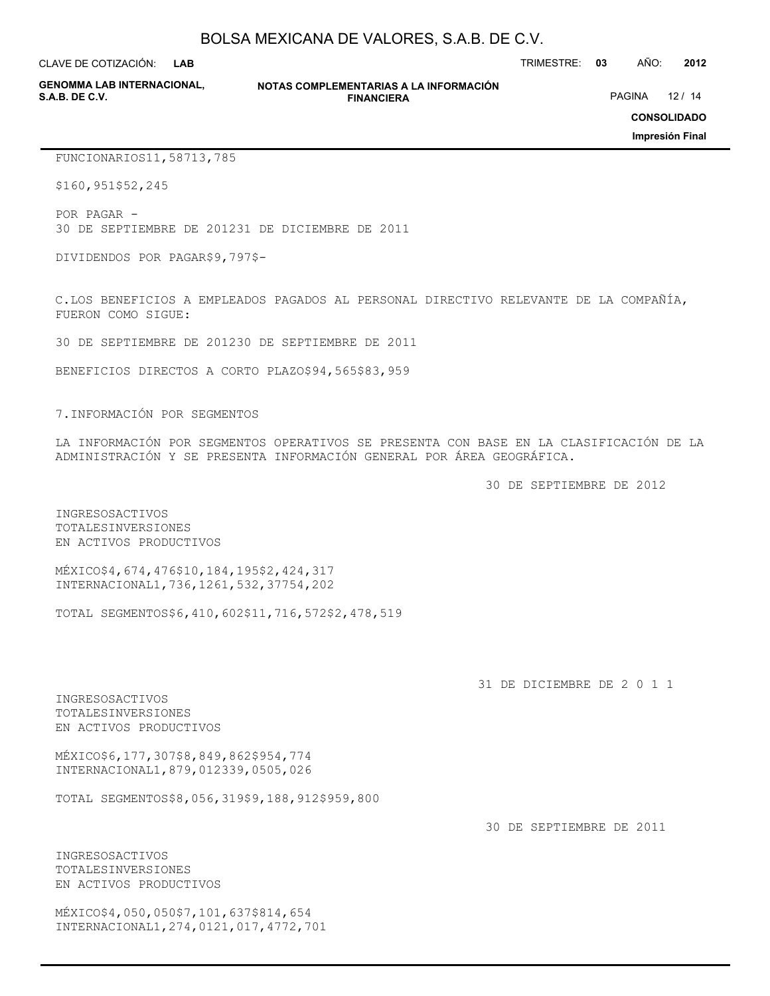CLAVE DE COTIZACIÓN: TRIMESTRE: **03** AÑO: **2012 LAB**

**GENOMMA LAB INTERNACIONAL,**

**NOTAS COMPLEMENTARIAS A LA INFORMACIÓN FINANCIERA S.A.B. DE C.V.** PAGINA 12 / 14

**CONSOLIDADO**

**Impresión Final**

FUNCIONARIOS11,58713,785

\$160,951\$52,245

POR PAGAR - 30 DE SEPTIEMBRE DE 201231 DE DICIEMBRE DE 2011

DIVIDENDOS POR PAGAR\$9,797\$-

C.LOS BENEFICIOS A EMPLEADOS PAGADOS AL PERSONAL DIRECTIVO RELEVANTE DE LA COMPAÑÍA, FUERON COMO SIGUE:

30 DE SEPTIEMBRE DE 201230 DE SEPTIEMBRE DE 2011

BENEFICIOS DIRECTOS A CORTO PLAZO\$94,565\$83,959

7.INFORMACIÓN POR SEGMENTOS

LA INFORMACIÓN POR SEGMENTOS OPERATIVOS SE PRESENTA CON BASE EN LA CLASIFICACIÓN DE LA ADMINISTRACIÓN Y SE PRESENTA INFORMACIÓN GENERAL POR ÁREA GEOGRÁFICA.

30 DE SEPTIEMBRE DE 2012

INGRESOSACTIVOS TOTALESINVERSIONES EN ACTIVOS PRODUCTIVOS

MÉXICO\$4,674,476\$10,184,195\$2,424,317 INTERNACIONAL1,736,1261,532,37754,202

TOTAL SEGMENTOS\$6,410,602\$11,716,572\$2,478,519

31 DE DICIEMBRE DE 2 0 1 1

INGRESOSACTIVOS TOTALESINVERSIONES EN ACTIVOS PRODUCTIVOS

MÉXICO\$6,177,307\$8,849,862\$954,774 INTERNACIONAL1,879,012339,0505,026

TOTAL SEGMENTOS\$8,056,319\$9,188,912\$959,800

30 DE SEPTIEMBRE DE 2011

INGRESOSACTIVOS TOTALESINVERSIONES EN ACTIVOS PRODUCTIVOS

MÉXICO\$4,050,050\$7,101,637\$814,654 INTERNACIONAL1,274,0121,017,4772,701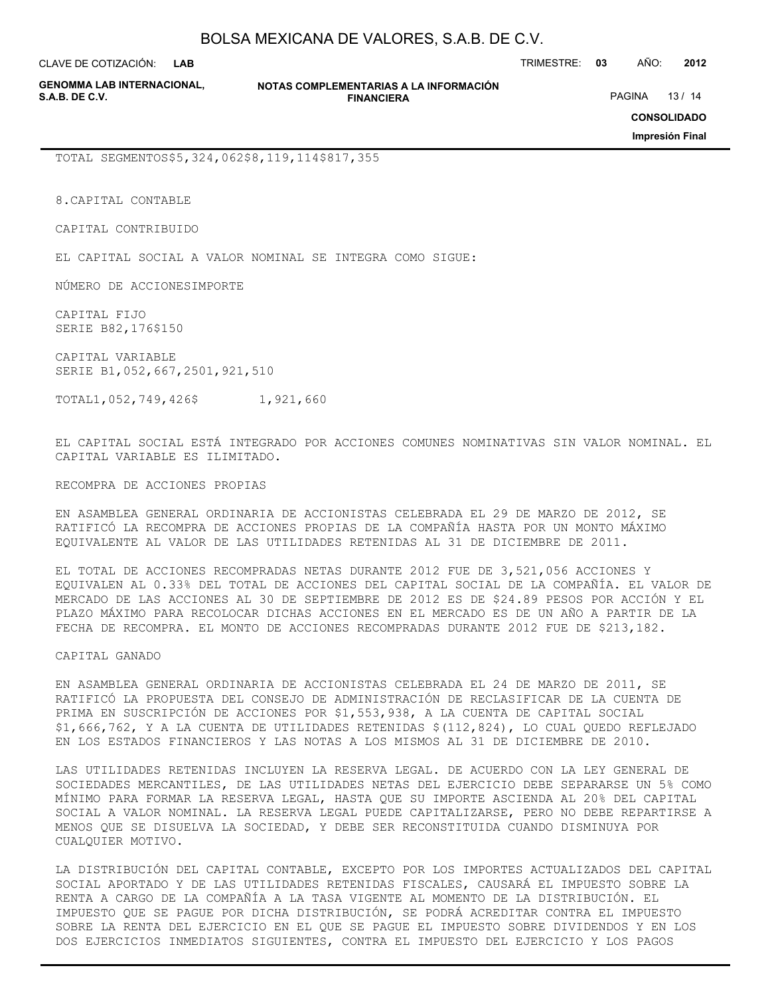**LAB**

CLAVE DE COTIZACIÓN: TRIMESTRE: **03** AÑO: **2012**

**GENOMMA LAB INTERNACIONAL,**

**NOTAS COMPLEMENTARIAS A LA INFORMACIÓN FINANCIERA**

PAGINA 13 / 14

**CONSOLIDADO**

**Impresión Final**

TOTAL SEGMENTOS\$5,324,062\$8,119,114\$817,355

8.CAPITAL CONTABLE

CAPITAL CONTRIBUIDO

EL CAPITAL SOCIAL A VALOR NOMINAL SE INTEGRA COMO SIGUE:

NÚMERO DE ACCIONESIMPORTE

CAPITAL FIJO SERIE B82,176\$150

CAPITAL VARIABLE SERIE B1,052,667,2501,921,510

TOTAL1,052,749,426\$ 1,921,660

EL CAPITAL SOCIAL ESTÁ INTEGRADO POR ACCIONES COMUNES NOMINATIVAS SIN VALOR NOMINAL. EL CAPITAL VARIABLE ES ILIMITADO.

RECOMPRA DE ACCIONES PROPIAS

EN ASAMBLEA GENERAL ORDINARIA DE ACCIONISTAS CELEBRADA EL 29 DE MARZO DE 2012, SE RATIFICÓ LA RECOMPRA DE ACCIONES PROPIAS DE LA COMPAÑÍA HASTA POR UN MONTO MÁXIMO EQUIVALENTE AL VALOR DE LAS UTILIDADES RETENIDAS AL 31 DE DICIEMBRE DE 2011.

EL TOTAL DE ACCIONES RECOMPRADAS NETAS DURANTE 2012 FUE DE 3,521,056 ACCIONES Y EQUIVALEN AL 0.33% DEL TOTAL DE ACCIONES DEL CAPITAL SOCIAL DE LA COMPAÑÍA. EL VALOR DE MERCADO DE LAS ACCIONES AL 30 DE SEPTIEMBRE DE 2012 ES DE \$24.89 PESOS POR ACCIÓN Y EL PLAZO MÁXIMO PARA RECOLOCAR DICHAS ACCIONES EN EL MERCADO ES DE UN AÑO A PARTIR DE LA FECHA DE RECOMPRA. EL MONTO DE ACCIONES RECOMPRADAS DURANTE 2012 FUE DE \$213,182.

CAPITAL GANADO

EN ASAMBLEA GENERAL ORDINARIA DE ACCIONISTAS CELEBRADA EL 24 DE MARZO DE 2011, SE RATIFICÓ LA PROPUESTA DEL CONSEJO DE ADMINISTRACIÓN DE RECLASIFICAR DE LA CUENTA DE PRIMA EN SUSCRIPCIÓN DE ACCIONES POR \$1,553,938, A LA CUENTA DE CAPITAL SOCIAL \$1,666,762, Y A LA CUENTA DE UTILIDADES RETENIDAS \$(112,824), LO CUAL QUEDO REFLEJADO EN LOS ESTADOS FINANCIEROS Y LAS NOTAS A LOS MISMOS AL 31 DE DICIEMBRE DE 2010.

LAS UTILIDADES RETENIDAS INCLUYEN LA RESERVA LEGAL. DE ACUERDO CON LA LEY GENERAL DE SOCIEDADES MERCANTILES, DE LAS UTILIDADES NETAS DEL EJERCICIO DEBE SEPARARSE UN 5% COMO MÍNIMO PARA FORMAR LA RESERVA LEGAL, HASTA QUE SU IMPORTE ASCIENDA AL 20% DEL CAPITAL SOCIAL A VALOR NOMINAL. LA RESERVA LEGAL PUEDE CAPITALIZARSE, PERO NO DEBE REPARTIRSE A MENOS QUE SE DISUELVA LA SOCIEDAD, Y DEBE SER RECONSTITUIDA CUANDO DISMINUYA POR CUALQUIER MOTIVO.

LA DISTRIBUCIÓN DEL CAPITAL CONTABLE, EXCEPTO POR LOS IMPORTES ACTUALIZADOS DEL CAPITAL SOCIAL APORTADO Y DE LAS UTILIDADES RETENIDAS FISCALES, CAUSARÁ EL IMPUESTO SOBRE LA RENTA A CARGO DE LA COMPAÑÍA A LA TASA VIGENTE AL MOMENTO DE LA DISTRIBUCIÓN. EL IMPUESTO QUE SE PAGUE POR DICHA DISTRIBUCIÓN, SE PODRÁ ACREDITAR CONTRA EL IMPUESTO SOBRE LA RENTA DEL EJERCICIO EN EL QUE SE PAGUE EL IMPUESTO SOBRE DIVIDENDOS Y EN LOS DOS EJERCICIOS INMEDIATOS SIGUIENTES, CONTRA EL IMPUESTO DEL EJERCICIO Y LOS PAGOS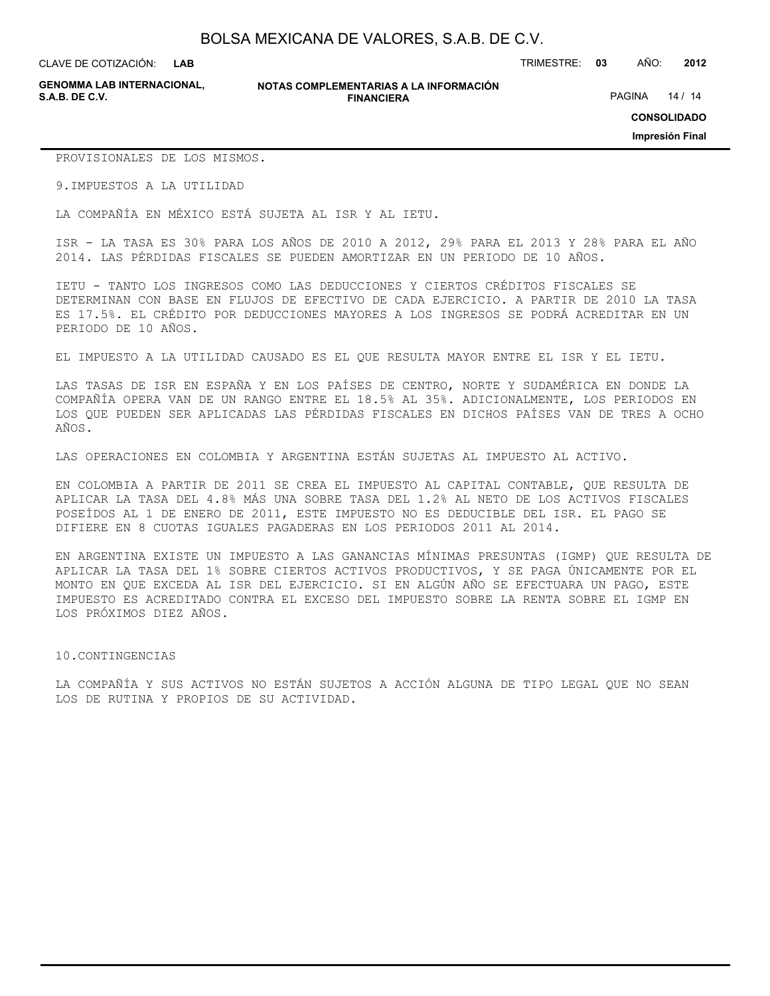CLAVE DE COTIZACIÓN: TRIMESTRE: **03** AÑO: **2012**

**GENOMMA LAB INTERNACIONAL,**

#### **NOTAS COMPLEMENTARIAS A LA INFORMACIÓN FINANCIERA**

PAGINA 14 / 14

**CONSOLIDADO**

**Impresión Final**

PROVISIONALES DE LOS MISMOS.

9.IMPUESTOS A LA UTILIDAD

LA COMPAÑÍA EN MÉXICO ESTÁ SUJETA AL ISR Y AL IETU.

ISR - LA TASA ES 30% PARA LOS AÑOS DE 2010 A 2012, 29% PARA EL 2013 Y 28% PARA EL AÑO 2014. LAS PÉRDIDAS FISCALES SE PUEDEN AMORTIZAR EN UN PERIODO DE 10 AÑOS.

IETU - TANTO LOS INGRESOS COMO LAS DEDUCCIONES Y CIERTOS CRÉDITOS FISCALES SE DETERMINAN CON BASE EN FLUJOS DE EFECTIVO DE CADA EJERCICIO. A PARTIR DE 2010 LA TASA ES 17.5%. EL CRÉDITO POR DEDUCCIONES MAYORES A LOS INGRESOS SE PODRÁ ACREDITAR EN UN PERIODO DE 10 AÑOS.

EL IMPUESTO A LA UTILIDAD CAUSADO ES EL QUE RESULTA MAYOR ENTRE EL ISR Y EL IETU.

LAS TASAS DE ISR EN ESPAÑA Y EN LOS PAÍSES DE CENTRO, NORTE Y SUDAMÉRICA EN DONDE LA COMPAÑÍA OPERA VAN DE UN RANGO ENTRE EL 18.5% AL 35%. ADICIONALMENTE, LOS PERIODOS EN LOS QUE PUEDEN SER APLICADAS LAS PÉRDIDAS FISCALES EN DICHOS PAÍSES VAN DE TRES A OCHO AÑOS.

LAS OPERACIONES EN COLOMBIA Y ARGENTINA ESTÁN SUJETAS AL IMPUESTO AL ACTIVO.

EN COLOMBIA A PARTIR DE 2011 SE CREA EL IMPUESTO AL CAPITAL CONTABLE, QUE RESULTA DE APLICAR LA TASA DEL 4.8% MÁS UNA SOBRE TASA DEL 1.2% AL NETO DE LOS ACTIVOS FISCALES POSEÍDOS AL 1 DE ENERO DE 2011, ESTE IMPUESTO NO ES DEDUCIBLE DEL ISR. EL PAGO SE DIFIERE EN 8 CUOTAS IGUALES PAGADERAS EN LOS PERIODOS 2011 AL 2014.

EN ARGENTINA EXISTE UN IMPUESTO A LAS GANANCIAS MÍNIMAS PRESUNTAS (IGMP) QUE RESULTA DE APLICAR LA TASA DEL 1% SOBRE CIERTOS ACTIVOS PRODUCTIVOS, Y SE PAGA ÚNICAMENTE POR EL MONTO EN QUE EXCEDA AL ISR DEL EJERCICIO. SI EN ALGÚN AÑO SE EFECTUARA UN PAGO, ESTE IMPUESTO ES ACREDITADO CONTRA EL EXCESO DEL IMPUESTO SOBRE LA RENTA SOBRE EL IGMP EN LOS PRÓXIMOS DIEZ AÑOS.

#### 10.CONTINGENCIAS

LA COMPAÑÍA Y SUS ACTIVOS NO ESTÁN SUJETOS A ACCIÓN ALGUNA DE TIPO LEGAL QUE NO SEAN LOS DE RUTINA Y PROPIOS DE SU ACTIVIDAD.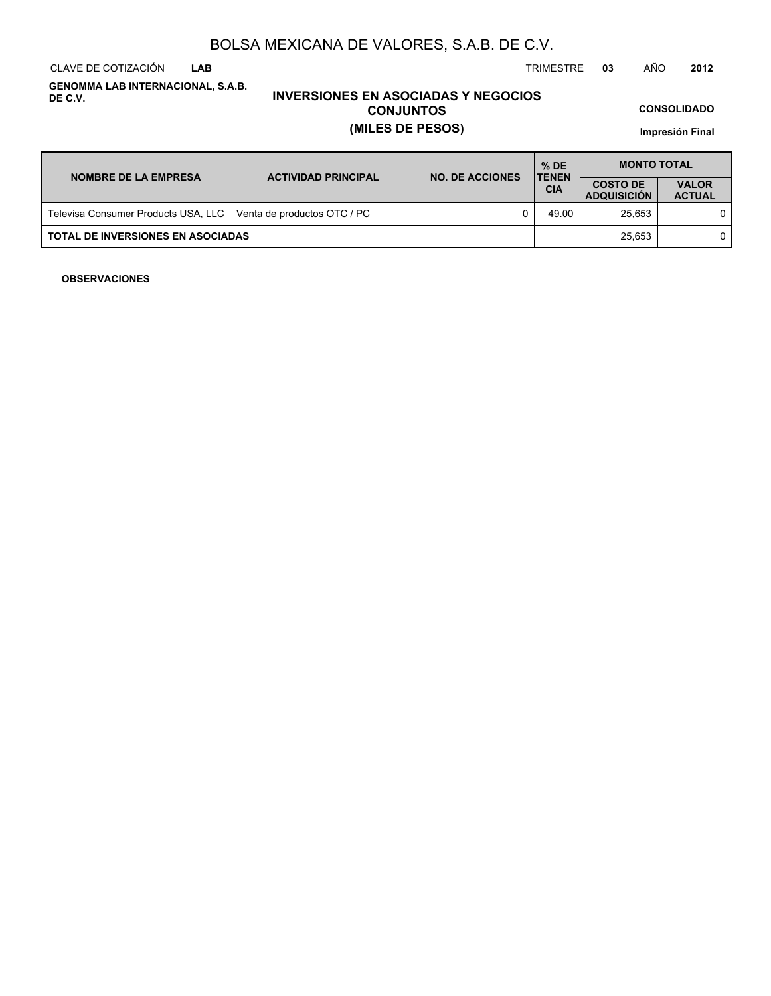CLAVE DE COTIZACIÓN TRIMESTRE **03** AÑO **2012 LAB**

**GENOMMA LAB INTERNACIONAL, S.A.B. DE C.V.**

## **INVERSIONES EN ASOCIADAS Y NEGOCIOS CONJUNTOS (MILES DE PESOS)**

**CONSOLIDADO**

**Impresión Final**

| <b>NOMBRE DE LA EMPRESA</b>              | <b>ACTIVIDAD PRINCIPAL</b>  | <b>NO. DE ACCIONES</b> | $%$ DE<br><b>TENEN</b> | <b>MONTO TOTAL</b>                    |                               |  |
|------------------------------------------|-----------------------------|------------------------|------------------------|---------------------------------------|-------------------------------|--|
|                                          |                             |                        | <b>CIA</b>             | <b>COSTO DE</b><br><b>ADQUISICION</b> | <b>VALOR</b><br><b>ACTUAL</b> |  |
| Televisa Consumer Products USA, LLC      | Venta de productos OTC / PC |                        | 49.00                  | 25.653                                |                               |  |
| <b>TOTAL DE INVERSIONES EN ASOCIADAS</b> |                             |                        |                        | 25.653                                |                               |  |

#### **OBSERVACIONES**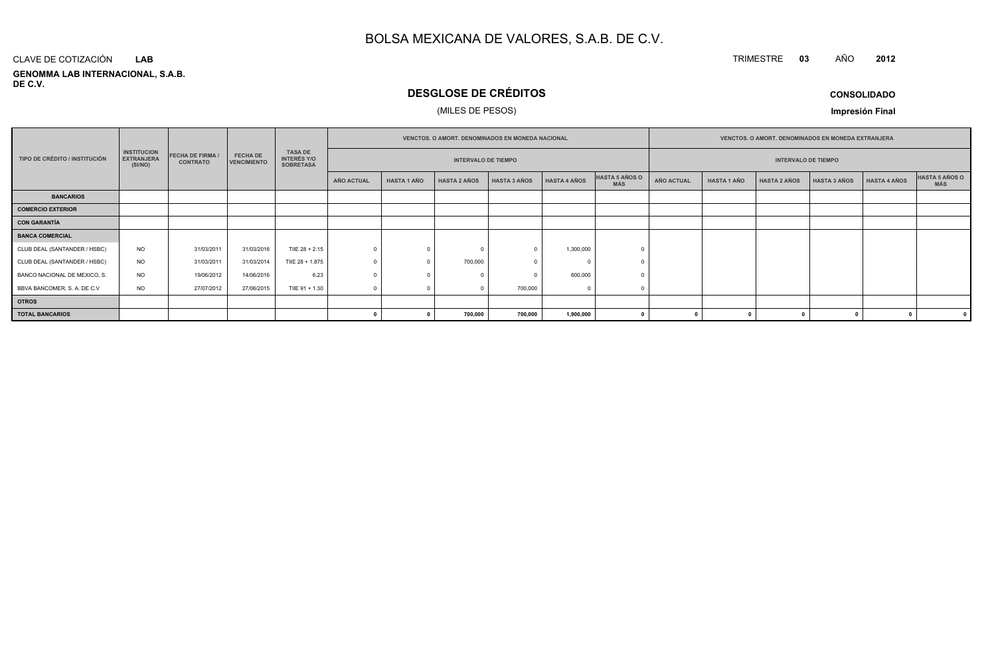#### **GENOMMA LAB INTERNACIONAL, S.A.B. DE C.V.**CLAVE DE COTIZACIÓN**LAB**

## **DESGLOSE DE CRÉDITOS**

#### (MILES DE PESOS)

**CONSOLIDADO**

**<sup>2012</sup>**

TRIMESTRE **<sup>03</sup>** AÑO

**Impresión Final**

|                               |                                                    |                                            |                                       |                                                          | <b>VENCTOS, O AMORT, DENOMINADOS EN MONEDA NACIONAL</b> |                            |                     |                     |                     |                              | <b>VENCTOS, O AMORT, DENOMINADOS EN MONEDA EXTRANJERA</b> |                    |                            |                     |              |                              |
|-------------------------------|----------------------------------------------------|--------------------------------------------|---------------------------------------|----------------------------------------------------------|---------------------------------------------------------|----------------------------|---------------------|---------------------|---------------------|------------------------------|-----------------------------------------------------------|--------------------|----------------------------|---------------------|--------------|------------------------------|
| TIPO DE CRÉDITO / INSTITUCIÓN | <b>INSTITUCION</b><br><b>EXTRANJERA</b><br>(SI/NO) | <b>FECHA DE FIRMA /</b><br><b>CONTRATO</b> | <b>FECHA DE</b><br><b>VENCIMIENTO</b> | <b>TASA DE</b><br><b>INTERÉS Y/O</b><br><b>SOBRETASA</b> |                                                         | <b>INTERVALO DE TIEMPO</b> |                     |                     |                     |                              |                                                           |                    | <b>INTERVALO DE TIEMPO</b> |                     |              |                              |
|                               |                                                    |                                            |                                       |                                                          | <b>AÑO ACTUAL</b>                                       | <b>HASTA 1 AÑO</b>         | <b>HASTA 2 AÑOS</b> | <b>HASTA 3 AÑOS</b> | <b>HASTA 4 AÑOS</b> | HASTA 5 AÑOS O<br><b>MÁS</b> | <b>AÑO ACTUAL</b>                                         | <b>HASTA 1 AÑO</b> | <b>HASTA 2 AÑOS</b>        | <b>HASTA 3 AÑOS</b> | HASTA 4 AÑOS | <b>HASTA 5 AÑOS O</b><br>MÁS |
| <b>BANCARIOS</b>              |                                                    |                                            |                                       |                                                          |                                                         |                            |                     |                     |                     |                              |                                                           |                    |                            |                     |              |                              |
| <b>COMERCIO EXTERIOR</b>      |                                                    |                                            |                                       |                                                          |                                                         |                            |                     |                     |                     |                              |                                                           |                    |                            |                     |              |                              |
| CON GARANTÍA                  |                                                    |                                            |                                       |                                                          |                                                         |                            |                     |                     |                     |                              |                                                           |                    |                            |                     |              |                              |
| <b>BANCA COMERCIAL</b>        |                                                    |                                            |                                       |                                                          |                                                         |                            |                     |                     |                     |                              |                                                           |                    |                            |                     |              |                              |
| CLUB DEAL (SANTANDER / HSBC)  | <b>NO</b>                                          | 31/03/2011                                 | 31/03/2016                            | TIIE 28 + 2.15                                           |                                                         |                            |                     |                     | 1,300,000           |                              |                                                           |                    |                            |                     |              |                              |
| CLUB DEAL (SANTANDER / HSBC)  | <b>NO</b>                                          | 31/03/2011                                 | 31/03/2014                            | TIIE 28 + 1.875                                          |                                                         |                            | 700,000             |                     |                     |                              |                                                           |                    |                            |                     |              |                              |
| BANCO NACIONAL DE MEXICO, S.  | <b>NO</b>                                          | 19/06/2012                                 | 14/06/2016                            | 6.23                                                     |                                                         |                            |                     |                     | 600,000             |                              |                                                           |                    |                            |                     |              |                              |
| BBVA BANCOMER, S. A. DE C.V   | <b>NO</b>                                          | 27/07/2012                                 | 27/06/2015                            | TIIE 91 + 1.30                                           |                                                         |                            |                     | 700,000             |                     |                              |                                                           |                    |                            |                     |              |                              |
| <b>OTROS</b>                  |                                                    |                                            |                                       |                                                          |                                                         |                            |                     |                     |                     |                              |                                                           |                    |                            |                     |              |                              |
| <b>TOTAL BANCARIOS</b>        |                                                    |                                            |                                       |                                                          |                                                         |                            | 700,000             | 700,000             | 1,900,000           |                              |                                                           |                    |                            |                     |              |                              |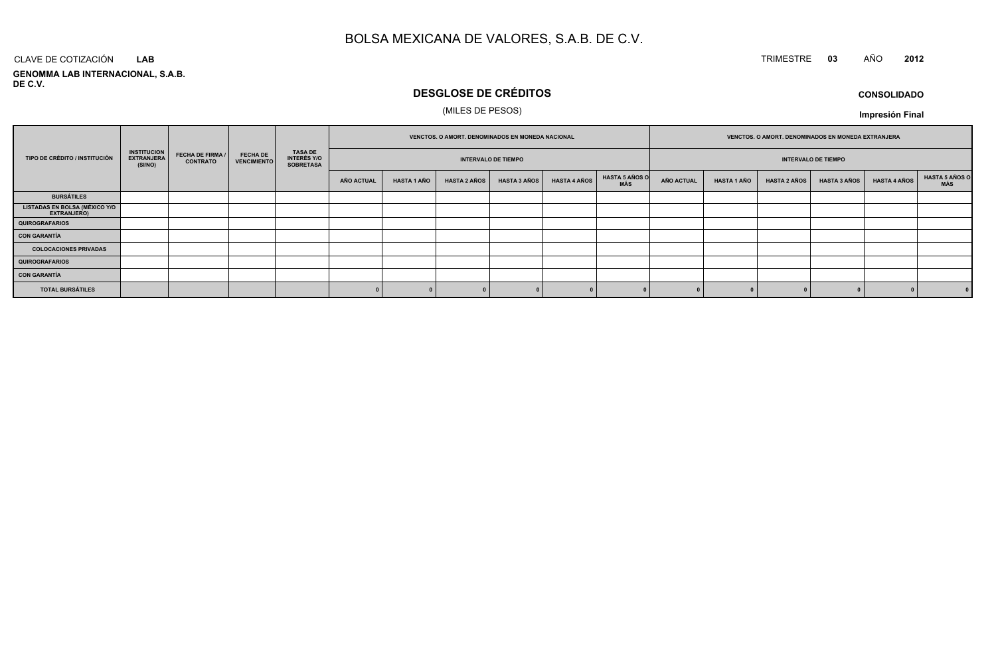## TRIMESTRE **<sup>03</sup>** AÑO **<sup>2012</sup>**

**GENOMMA LAB INTERNACIONAL, S.A.B. DE C.V.**CLAVE DE COTIZACIÓN**LAB**

## **DESGLOSE DE CRÉDITOS**

#### (MILES DE PESOS)

**CONSOLIDADOImpresión Final**

|                                                                                                                                                                            |  |                                                          |                            |            | VENCTOS. O AMORT. DENOMINADOS EN MONEDA NACIONAL |                     |                     |                            | VENCTOS. O AMORT. DENOMINADOS EN MONEDA EXTRANJERA |                   |                    |                     |                     |                     |                       |
|----------------------------------------------------------------------------------------------------------------------------------------------------------------------------|--|----------------------------------------------------------|----------------------------|------------|--------------------------------------------------|---------------------|---------------------|----------------------------|----------------------------------------------------|-------------------|--------------------|---------------------|---------------------|---------------------|-----------------------|
| <b>INSTITUCION</b><br><b>FECHA DE FIRMA /</b><br><b>FECHA DE</b><br>TIPO DE CRÉDITO / INSTITUCIÓN<br><b>EXTRANJERA</b><br><b>VENCIMIENTO</b><br><b>CONTRATO</b><br>(SI/NO) |  | <b>TASA DE</b><br><b>INTERÉS Y/O</b><br><b>SOBRETASA</b> | <b>INTERVALO DE TIEMPO</b> |            |                                                  |                     |                     | <b>INTERVALO DE TIEMPO</b> |                                                    |                   |                    |                     |                     |                     |                       |
|                                                                                                                                                                            |  |                                                          |                            | AÑO ACTUAL | <b>HASTA 1 AÑO</b>                               | <b>HASTA 2 AÑOS</b> | <b>HASTA 3 AÑOS</b> | <b>HASTA 4 AÑOS</b>        | <b>HASTA 5 AÑOS O</b><br>MÁS                       | <b>AÑO ACTUAL</b> | <b>HASTA 1 AÑO</b> | <b>HASTA 2 AÑOS</b> | <b>HASTA 3 AÑOS</b> | <b>HASTA 4 AÑOS</b> | HASTA 5 AÑOS C<br>MÁS |
| <b>BURSÁTILES</b>                                                                                                                                                          |  |                                                          |                            |            |                                                  |                     |                     |                            |                                                    |                   |                    |                     |                     |                     |                       |
| <b>LISTADAS EN BOLSA (MÉXICO Y/O<br/>EXTRANJERO)</b>                                                                                                                       |  |                                                          |                            |            |                                                  |                     |                     |                            |                                                    |                   |                    |                     |                     |                     |                       |
| <b>QUIROGRAFARIOS</b>                                                                                                                                                      |  |                                                          |                            |            |                                                  |                     |                     |                            |                                                    |                   |                    |                     |                     |                     |                       |
| <b>CON GARANTÍA</b>                                                                                                                                                        |  |                                                          |                            |            |                                                  |                     |                     |                            |                                                    |                   |                    |                     |                     |                     |                       |
| <b>COLOCACIONES PRIVADAS</b>                                                                                                                                               |  |                                                          |                            |            |                                                  |                     |                     |                            |                                                    |                   |                    |                     |                     |                     |                       |
| <b>QUIROGRAFARIOS</b>                                                                                                                                                      |  |                                                          |                            |            |                                                  |                     |                     |                            |                                                    |                   |                    |                     |                     |                     |                       |
| <b>CON GARANTÍA</b>                                                                                                                                                        |  |                                                          |                            |            |                                                  |                     |                     |                            |                                                    |                   |                    |                     |                     |                     |                       |
| <b>TOTAL BURSÁTILES</b>                                                                                                                                                    |  |                                                          |                            |            |                                                  |                     |                     |                            |                                                    |                   |                    |                     |                     |                     | 0                     |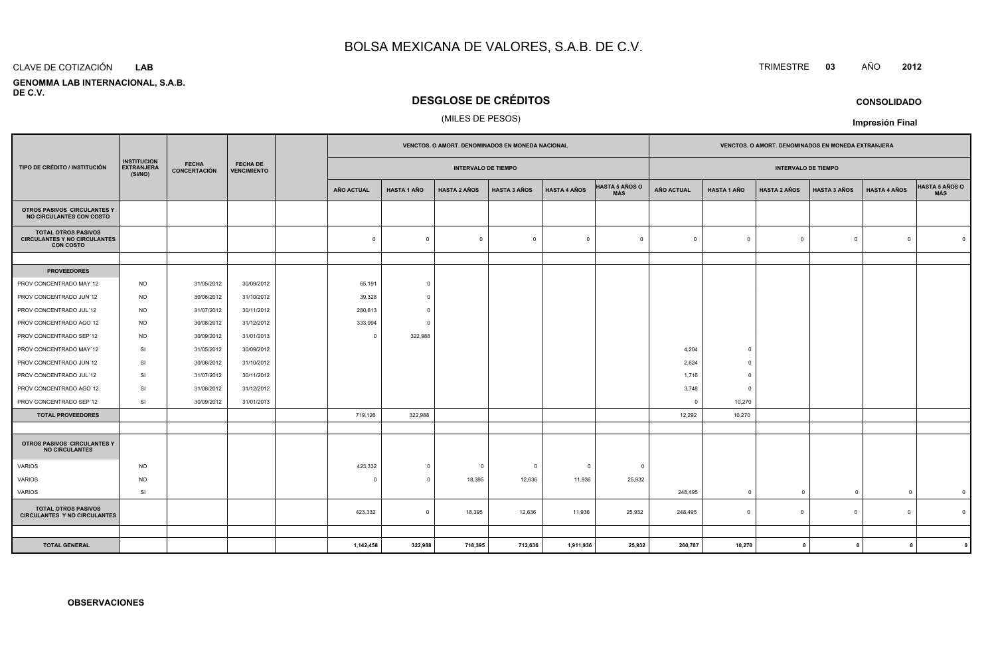#### CLAVE DE COTIZACIÓN**LAB**

 **GENOMMA LAB INTERNACIONAL, S.A.B.DE C.V.**

## **DESGLOSE DE CRÉDITOS**

#### (MILES DE PESOS)

|                                                                                                     |           |                     |                                       | VENCTOS. O AMORT. DENOMINADOS EN MONEDA NACIONAL |                         |                            |                         |                         | VENCTOS. O AMORT. DENOMINADOS EN MONEDA EXTRANJERA |            |                    |                            |                     |                         |                |
|-----------------------------------------------------------------------------------------------------|-----------|---------------------|---------------------------------------|--------------------------------------------------|-------------------------|----------------------------|-------------------------|-------------------------|----------------------------------------------------|------------|--------------------|----------------------------|---------------------|-------------------------|----------------|
| <b>INSTITUCION</b><br><b>FECHA</b><br><b>EXTRANJERA</b><br>TIPO DE CRÉDITO / INSTITUCIÓN<br>(SI/NO) |           | <b>CONCERTACIÓN</b> | <b>FECHA DE</b><br><b>VENCIMIENTO</b> |                                                  |                         | <b>INTERVALO DE TIEMPO</b> |                         |                         |                                                    |            |                    | <b>INTERVALO DE TIEMPO</b> |                     |                         |                |
|                                                                                                     |           |                     |                                       | <b>AÑO ACTUAL</b>                                | <b>HASTA 1 AÑO</b>      | <b>HASTA 2 AÑOS</b>        | <b>HASTA 3 AÑOS</b>     | <b>HASTA 4 AÑOS</b>     | <b>HASTA 5 AÑOS O</b><br>MÁS                       | AÑO ACTUAL | <b>HASTA 1 AÑO</b> | <b>HASTA 2 AÑOS</b>        | <b>HASTA 3 AÑOS</b> | <b>HASTA 4 AÑOS</b>     | HASTA 5 AÑOS O |
| OTROS PASIVOS CIRCULANTES Y<br>NO CIRCULANTES CON COSTO                                             |           |                     |                                       |                                                  |                         |                            |                         |                         |                                                    |            |                    |                            |                     |                         |                |
| <b>TOTAL OTROS PASIVOS</b><br><b>CIRCULANTES Y NO CIRCULANTES</b><br><b>CON COSTO</b>               |           |                     |                                       | $\mathbf 0$                                      | $\Omega$                | $\mathbf 0$                | $\overline{\mathbf{0}}$ | $\overline{0}$          | $\overline{0}$                                     | $\Omega$   | $\overline{0}$     | $\Omega$                   | $\mathsf 0$         | $\Omega$                | $\Omega$       |
|                                                                                                     |           |                     |                                       |                                                  |                         |                            |                         |                         |                                                    |            |                    |                            |                     |                         |                |
| <b>PROVEEDORES</b>                                                                                  |           |                     |                                       |                                                  |                         |                            |                         |                         |                                                    |            |                    |                            |                     |                         |                |
| PROV CONCENTRADO MAY'12                                                                             | <b>NO</b> | 31/05/2012          | 30/09/2012                            | 65,191                                           | $\circ$                 |                            |                         |                         |                                                    |            |                    |                            |                     |                         |                |
| PROV CONCENTRADO JUN'12                                                                             | <b>NO</b> | 30/06/2012          | 31/10/2012                            | 39,328                                           | $\Omega$                |                            |                         |                         |                                                    |            |                    |                            |                     |                         |                |
| PROV CONCENTRADO JUL'12                                                                             | <b>NO</b> | 31/07/2012          | 30/11/2012                            | 280,613                                          | $\Omega$                |                            |                         |                         |                                                    |            |                    |                            |                     |                         |                |
| PROV CONCENTRADO AGO'12                                                                             | <b>NO</b> | 30/08/2012          | 31/12/2012                            | 333,994                                          | $\Omega$                |                            |                         |                         |                                                    |            |                    |                            |                     |                         |                |
| PROV CONCENTRADO SEP'12                                                                             | <b>NO</b> | 30/09/2012          | 31/01/2013                            | $\mathbf{0}$                                     | 322,988                 |                            |                         |                         |                                                    |            |                    |                            |                     |                         |                |
| PROV CONCENTRADO MAY'12                                                                             | SI        | 31/05/2012          | 30/09/2012                            |                                                  |                         |                            |                         |                         |                                                    | 4,204      | $\Omega$           |                            |                     |                         |                |
| PROV CONCENTRADO JUN'12                                                                             | SI        | 30/06/2012          | 31/10/2012                            |                                                  |                         |                            |                         |                         |                                                    | 2,624      | $\overline{0}$     |                            |                     |                         |                |
| PROV CONCENTRADO JUL'12                                                                             | SI        | 31/07/2012          | 30/11/2012                            |                                                  |                         |                            |                         |                         |                                                    | 1,716      | $\Omega$           |                            |                     |                         |                |
| PROV CONCENTRADO AGO'12                                                                             | <b>SI</b> | 31/08/2012          | 31/12/2012                            |                                                  |                         |                            |                         |                         |                                                    | 3,748      | $\overline{0}$     |                            |                     |                         |                |
| PROV CONCENTRADO SEP'12                                                                             | SI        | 30/09/2012          | 31/01/2013                            |                                                  |                         |                            |                         |                         |                                                    | $\Omega$   | 10,270             |                            |                     |                         |                |
| <b>TOTAL PROVEEDORES</b>                                                                            |           |                     |                                       | 719,126                                          | 322,988                 |                            |                         |                         |                                                    | 12,292     | 10,270             |                            |                     |                         |                |
|                                                                                                     |           |                     |                                       |                                                  |                         |                            |                         |                         |                                                    |            |                    |                            |                     |                         |                |
| OTROS PASIVOS CIRCULANTES Y<br><b>NO CIRCULANTES</b>                                                |           |                     |                                       |                                                  |                         |                            |                         |                         |                                                    |            |                    |                            |                     |                         |                |
| VARIOS                                                                                              | <b>NO</b> |                     |                                       | 423,332                                          | $\mathbf 0$             | $\mathbf 0$                | $\overline{\mathbf{0}}$ | $\overline{\mathbf{0}}$ | $\Omega$                                           |            |                    |                            |                     |                         |                |
| <b>VARIOS</b>                                                                                       | <b>NO</b> |                     |                                       | $\Omega$                                         | $\Omega$                | 18,395                     | 12,636                  | 11,936                  | 25,932                                             |            |                    |                            |                     |                         |                |
| VARIOS                                                                                              | SI        |                     |                                       |                                                  |                         |                            |                         |                         |                                                    | 248,495    | $\overline{0}$     | $\overline{0}$             | $\mathbf 0$         | $\overline{0}$          | $\mathbf{0}$   |
| <b>TOTAL OTROS PASIVOS</b><br><b>CIRCULANTES Y NO CIRCULANTES</b>                                   |           |                     |                                       | 423,332                                          | $\overline{\mathbf{0}}$ | 18,395                     | 12,636                  | 11,936                  | 25,932                                             | 248,495    | $\mathbf 0$        | $\Omega$                   | $\mathbf 0$         | $\mathbf 0$             | $\Omega$       |
|                                                                                                     |           |                     |                                       |                                                  |                         |                            |                         |                         |                                                    |            |                    |                            |                     |                         |                |
| <b>TOTAL GENERAL</b>                                                                                |           |                     |                                       | 1,142,458                                        | 322,988                 | 718,395                    | 712,636                 | 1,911,936               | 25,932                                             | 260,787    | 10,270             | $\mathbf{0}$               | $\mathbf{0}$        | $\overline{\mathbf{0}}$ |                |

## TRIMESTRE **<sup>03</sup>** AÑO **<sup>2012</sup>**

**CONSOLIDADO**

**Impresión Final**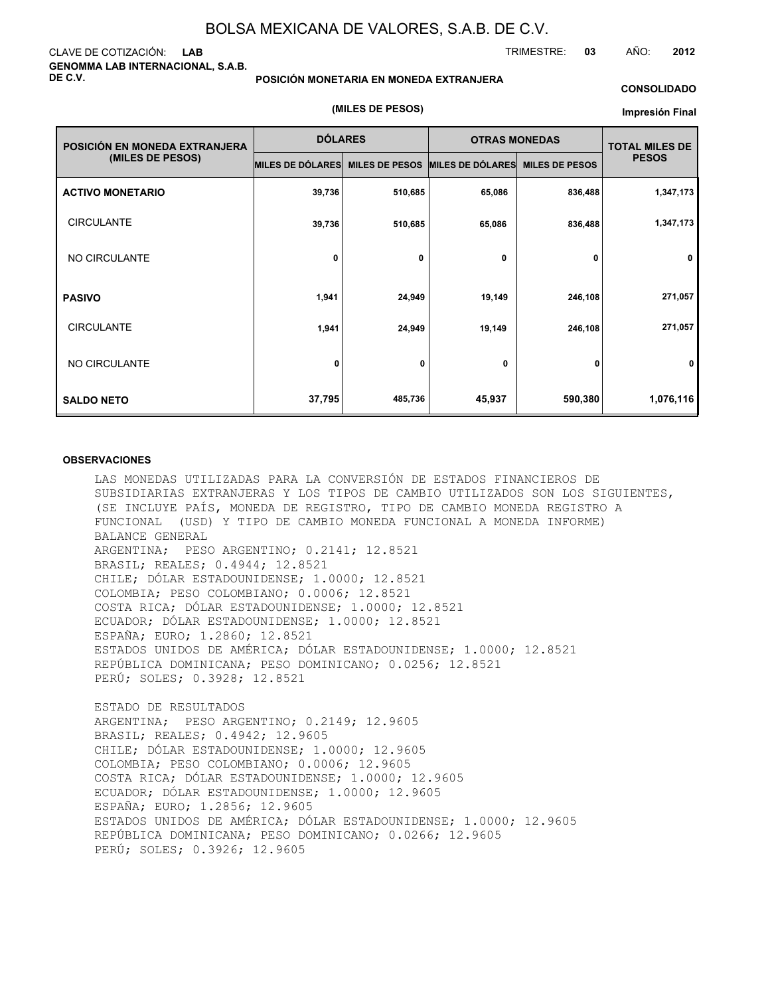#### CLAVE DE COTIZACIÓN: **LAB GENOMMA LAB INTERNACIONAL, S.A.B. DE C.V.**

#### **POSICIÓN MONETARIA EN MONEDA EXTRANJERA**

**(MILES DE PESOS)**

#### **CONSOLIDADO**

TRIMESTRE: **03** AÑO: **2012**

#### **Impresión Final**

| POSICIÓN EN MONEDA EXTRANJERA | <b>DÓLARES</b>   |                       | <b>OTRAS MONEDAS</b>    | <b>TOTAL MILES DE</b> |              |
|-------------------------------|------------------|-----------------------|-------------------------|-----------------------|--------------|
| (MILES DE PESOS)              | MILES DE DÓLARES | <b>MILES DE PESOS</b> | <b>MILES DE DÓLARES</b> | <b>MILES DE PESOS</b> | <b>PESOS</b> |
| <b>ACTIVO MONETARIO</b>       | 39,736           | 510,685               | 65,086                  | 836,488               | 1,347,173    |
| <b>CIRCULANTE</b>             | 39,736           | 510,685               | 65,086                  | 836,488               | 1,347,173    |
| NO CIRCULANTE                 | 0                | 0                     | 0                       | 0                     | 0            |
| <b>PASIVO</b>                 | 1,941            | 24,949                | 19,149                  | 246,108               | 271,057      |
| <b>CIRCULANTE</b>             | 1,941            | 24,949                | 19,149                  | 246,108               | 271,057      |
| NO CIRCULANTE                 | 0                | 0                     | 0                       | 0                     | 0            |
| <b>SALDO NETO</b>             | 37,795           | 485,736               | 45,937                  | 590,380               | 1,076,116    |

#### **OBSERVACIONES**

LAS MONEDAS UTILIZADAS PARA LA CONVERSIÓN DE ESTADOS FINANCIEROS DE SUBSIDIARIAS EXTRANJERAS Y LOS TIPOS DE CAMBIO UTILIZADOS SON LOS SIGUIENTES, (SE INCLUYE PAÍS, MONEDA DE REGISTRO, TIPO DE CAMBIO MONEDA REGISTRO A FUNCIONAL (USD) Y TIPO DE CAMBIO MONEDA FUNCIONAL A MONEDA INFORME) BALANCE GENERAL ARGENTINA; PESO ARGENTINO; 0.2141; 12.8521 BRASIL; REALES; 0.4944; 12.8521 CHILE; DÓLAR ESTADOUNIDENSE; 1.0000; 12.8521 COLOMBIA; PESO COLOMBIANO; 0.0006; 12.8521 COSTA RICA; DÓLAR ESTADOUNIDENSE; 1.0000; 12.8521 ECUADOR; DÓLAR ESTADOUNIDENSE; 1.0000; 12.8521 ESPAÑA; EURO; 1.2860; 12.8521 ESTADOS UNIDOS DE AMÉRICA; DÓLAR ESTADOUNIDENSE; 1.0000; 12.8521 REPÚBLICA DOMINICANA; PESO DOMINICANO; 0.0256; 12.8521 PERÚ; SOLES; 0.3928; 12.8521

ESTADO DE RESULTADOS ARGENTINA; PESO ARGENTINO; 0.2149; 12.9605 BRASIL; REALES; 0.4942; 12.9605 CHILE; DÓLAR ESTADOUNIDENSE; 1.0000; 12.9605 COLOMBIA; PESO COLOMBIANO; 0.0006; 12.9605 COSTA RICA; DÓLAR ESTADOUNIDENSE; 1.0000; 12.9605 ECUADOR; DÓLAR ESTADOUNIDENSE; 1.0000; 12.9605 ESPAÑA; EURO; 1.2856; 12.9605 ESTADOS UNIDOS DE AMÉRICA; DÓLAR ESTADOUNIDENSE; 1.0000; 12.9605 REPÚBLICA DOMINICANA; PESO DOMINICANO; 0.0266; 12.9605 PERÚ; SOLES; 0.3926; 12.9605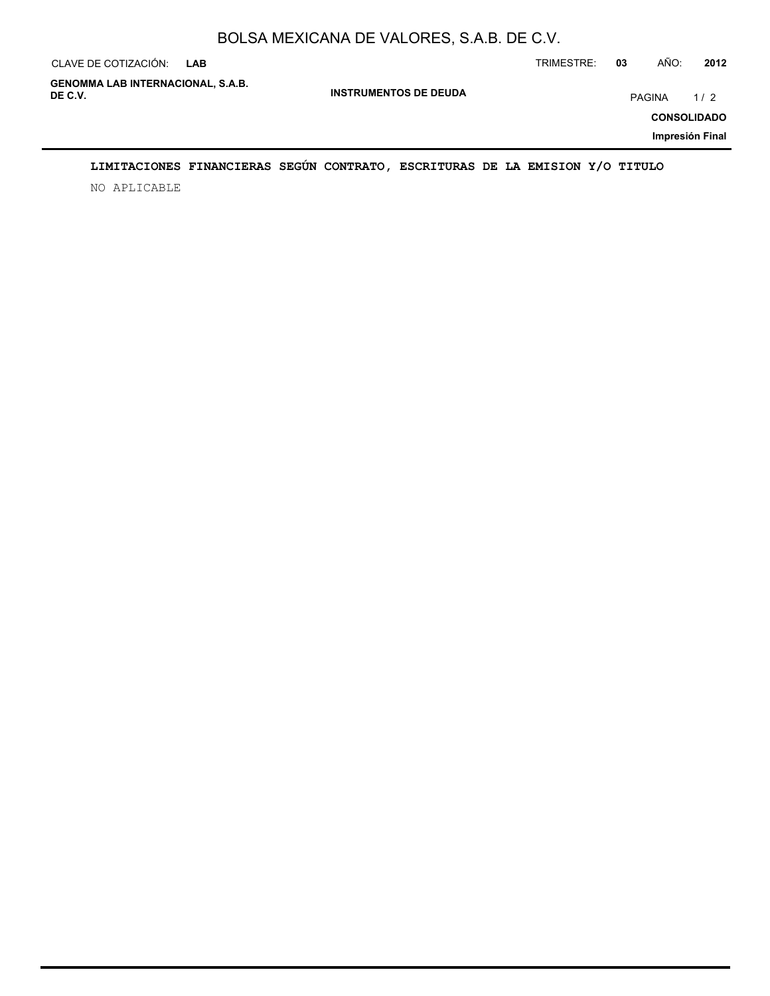| CLAVE DE COTIZACIÓN:                                | <b>LAB</b> |                              | TRIMESTRE: | 03     | AÑO: | 2012                      |
|-----------------------------------------------------|------------|------------------------------|------------|--------|------|---------------------------|
| <b>GENOMMA LAB INTERNACIONAL, S.A.B.</b><br>DE C.V. |            | <b>INSTRUMENTOS DE DEUDA</b> |            | PAGINA |      | 1/2<br><b>CONSOLIDADO</b> |
|                                                     |            |                              |            |        |      | Impresión Final           |

## **LIMITACIONES FINANCIERAS SEGÚN CONTRATO, ESCRITURAS DE LA EMISION Y/O TITULO**

NO APLICABLE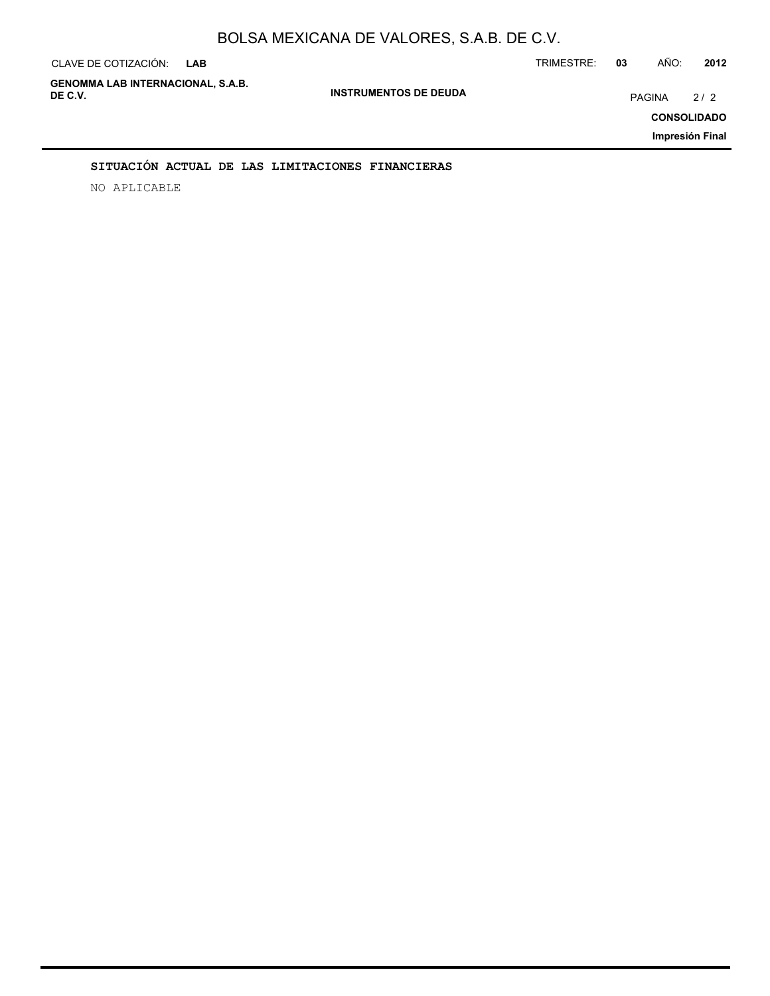| CLAVE DE COTIZACIÓN:<br><b>LAB</b>                  |                              | TRIMESTRE: | 03     | AÑO: | 2012                                         |
|-----------------------------------------------------|------------------------------|------------|--------|------|----------------------------------------------|
| <b>GENOMMA LAB INTERNACIONAL, S.A.B.</b><br>DE C.V. | <b>INSTRUMENTOS DE DEUDA</b> |            | PAGINA |      | 2/2<br><b>CONSOLIDADO</b><br>Impresión Final |
|                                                     |                              |            |        |      |                                              |

#### **SITUACIÓN ACTUAL DE LAS LIMITACIONES FINANCIERAS**

NO APLICABLE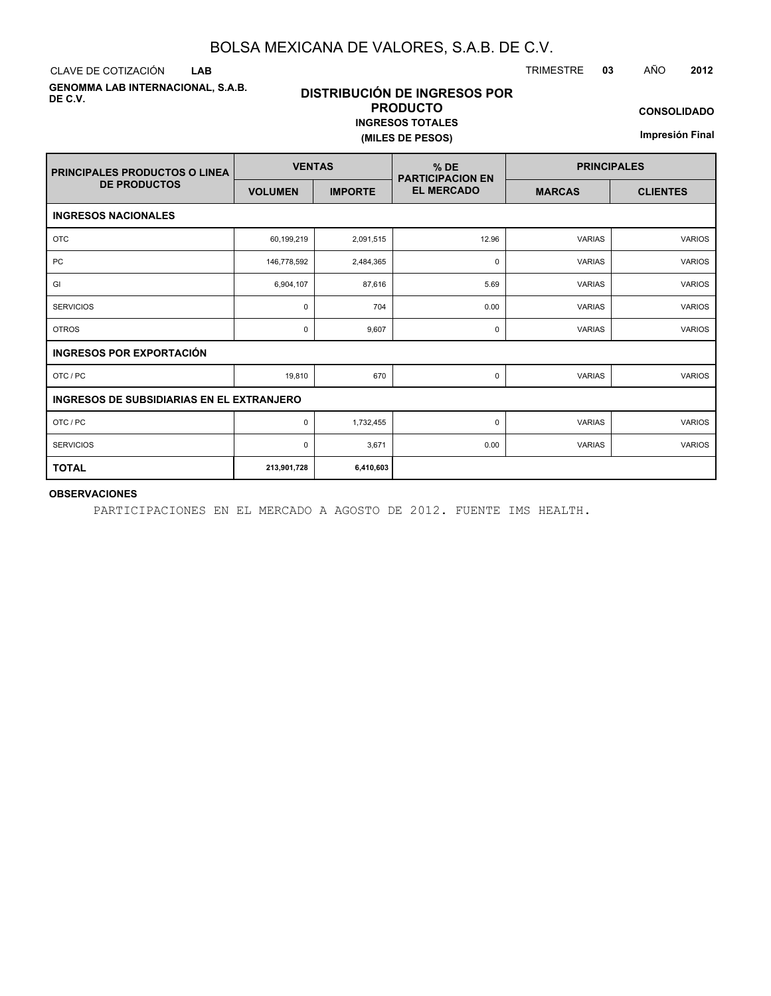**LAB**

**GENOMMA LAB INTERNACIONAL, S.A.B. DE C.V.**

## **DISTRIBUCIÓN DE INGRESOS POR PRODUCTO INGRESOS TOTALES (MILES DE PESOS)**

**CONSOLIDADO**

**Impresión Final**

| <b>PRINCIPALES PRODUCTOS O LINEA</b>             | <b>VENTAS</b>  |                | $%$ DE<br><b>PARTICIPACION EN</b> | <b>PRINCIPALES</b> |                 |  |  |
|--------------------------------------------------|----------------|----------------|-----------------------------------|--------------------|-----------------|--|--|
| <b>DE PRODUCTOS</b>                              | <b>VOLUMEN</b> | <b>IMPORTE</b> | <b>EL MERCADO</b>                 | <b>MARCAS</b>      | <b>CLIENTES</b> |  |  |
| <b>INGRESOS NACIONALES</b>                       |                |                |                                   |                    |                 |  |  |
| <b>OTC</b>                                       | 60,199,219     | 2,091,515      | 12.96                             | <b>VARIAS</b>      | <b>VARIOS</b>   |  |  |
| PC                                               | 146,778,592    | 2,484,365      | 0                                 | <b>VARIAS</b>      | <b>VARIOS</b>   |  |  |
| GI                                               | 6,904,107      | 87,616         | 5.69                              | <b>VARIAS</b>      | <b>VARIOS</b>   |  |  |
| <b>SERVICIOS</b>                                 | 0              | 704            | 0.00                              | <b>VARIAS</b>      | <b>VARIOS</b>   |  |  |
| <b>OTROS</b>                                     | 0              | 9,607          | 0                                 | <b>VARIAS</b>      | <b>VARIOS</b>   |  |  |
| <b>INGRESOS POR EXPORTACIÓN</b>                  |                |                |                                   |                    |                 |  |  |
| OTC / PC                                         | 19,810         | 670            | 0                                 | <b>VARIAS</b>      | <b>VARIOS</b>   |  |  |
| <b>INGRESOS DE SUBSIDIARIAS EN EL EXTRANJERO</b> |                |                |                                   |                    |                 |  |  |
| OTC / PC                                         | 0              | 1,732,455      | 0                                 | <b>VARIAS</b>      | <b>VARIOS</b>   |  |  |
| <b>SERVICIOS</b>                                 | 0              | 3,671          | 0.00                              | <b>VARIAS</b>      | <b>VARIOS</b>   |  |  |
| <b>TOTAL</b>                                     | 213,901,728    | 6,410,603      |                                   |                    |                 |  |  |

#### **OBSERVACIONES**

PARTICIPACIONES EN EL MERCADO A AGOSTO DE 2012. FUENTE IMS HEALTH.

CLAVE DE COTIZACIÓN TRIMESTRE **03** AÑO **2012**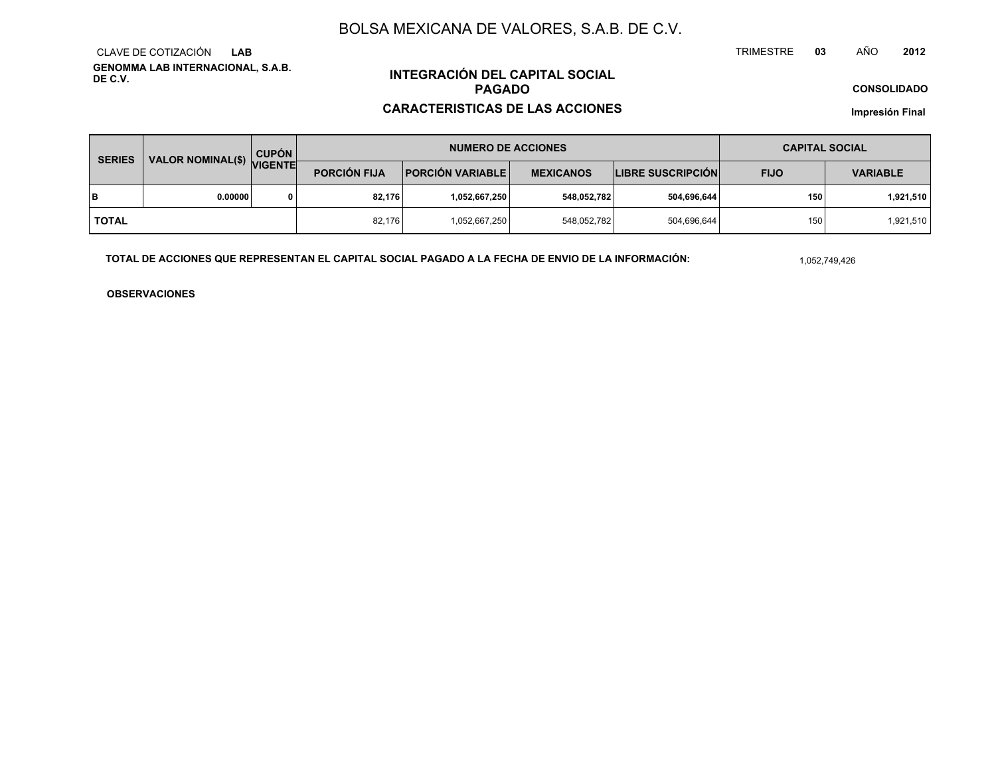**GENOMMA LAB INTERNACIONAL, S.A.B. DE C.V.**CLAVE DE COTIZACIÓN**LAB**

## **INTEGRACIÓN DEL CAPITAL SOCIALPAGADO**

#### **CARACTERISTICAS DE LAS ACCIONES**

**CONSOLIDADO**

**Impresión Final**

| VALOR NOMINAL(\$) VIGENTE<br><b>SERIES</b> |         | <b>CUPÓN</b> | <b>NUMERO DE ACCIONES</b>                      |                  |                  |                          | <b>CAPITAL SOCIAL</b> |                 |  |
|--------------------------------------------|---------|--------------|------------------------------------------------|------------------|------------------|--------------------------|-----------------------|-----------------|--|
|                                            |         |              | <b>PORCIÓN FIJA</b><br><b>PORCIÓN VARIABLE</b> |                  | <b>MEXICANOS</b> | <b>LIBRE SUSCRIPCIÓN</b> | <b>FIJO</b>           | <b>VARIABLE</b> |  |
| lв                                         | 0.00000 |              | 82.176                                         | ا 1,052,667,250. | 548,052,782      | 504,696,644              | 150                   | 1,921,510       |  |
| I TOTAL                                    |         |              | 82.176                                         | 1,052,667,250    | 548,052,782      | 504,696,644              | 150                   | 1,921,510       |  |

**TOTAL DE ACCIONES QUE REPRESENTAN EL CAPITAL SOCIAL PAGADO A LA FECHA DE ENVIO DE LA INFORMACIÓN:**

1,052,749,426

TRIMESTRE

**OBSERVACIONES**

 **<sup>03</sup>** AÑO**<sup>2012</sup>**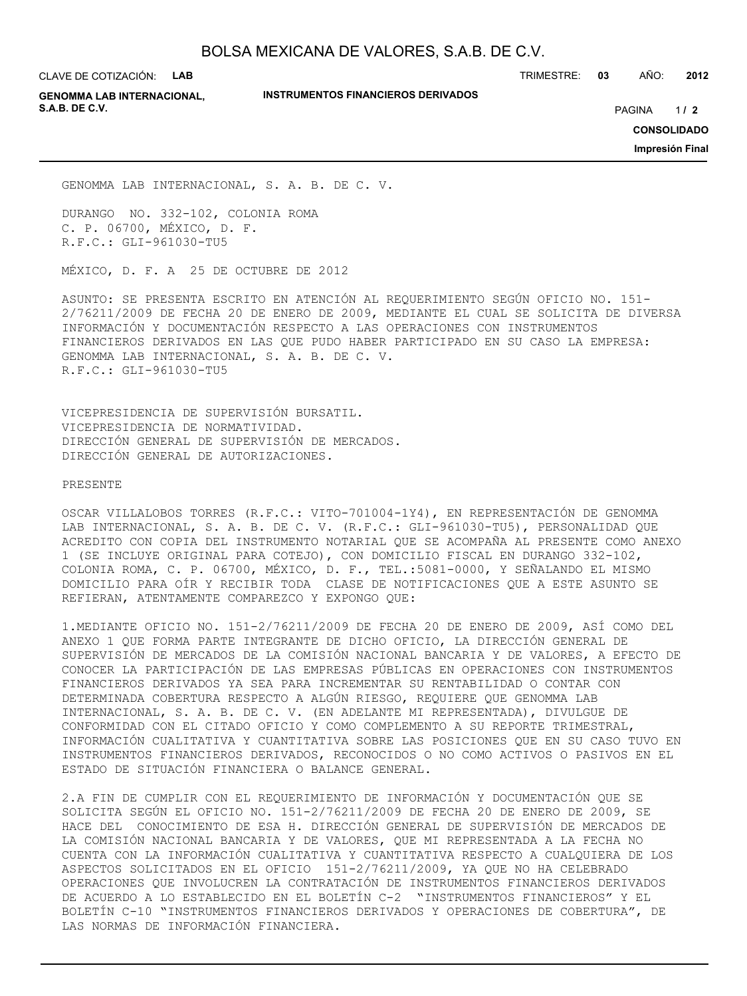CLAVE DE COTIZACIÓN: **LAB**

**INSTRUMENTOS FINANCIEROS DERIVADOS**

TRIMESTRE: **03** AÑO: **2012**

**GENOMMA LAB INTERNACIONAL, S.A.B. DE C.V.** PAGINA **/ 2**

 $1/2$ 

**CONSOLIDADO**

**Impresión Final**

GENOMMA LAB INTERNACIONAL, S. A. B. DE C. V.

DURANGO NO. 332-102, COLONIA ROMA C. P. 06700, MÉXICO, D. F. R.F.C.: GLI-961030-TU5

MÉXICO, D. F. A 25 DE OCTUBRE DE 2012

ASUNTO: SE PRESENTA ESCRITO EN ATENCIÓN AL REQUERIMIENTO SEGÚN OFICIO NO. 151- 2/76211/2009 DE FECHA 20 DE ENERO DE 2009, MEDIANTE EL CUAL SE SOLICITA DE DIVERSA INFORMACIÓN Y DOCUMENTACIÓN RESPECTO A LAS OPERACIONES CON INSTRUMENTOS FINANCIEROS DERIVADOS EN LAS QUE PUDO HABER PARTICIPADO EN SU CASO LA EMPRESA: GENOMMA LAB INTERNACIONAL, S. A. B. DE C. V. R.F.C.: GLI-961030-TU5

VICEPRESIDENCIA DE SUPERVISIÓN BURSATIL. VICEPRESIDENCIA DE NORMATIVIDAD. DIRECCIÓN GENERAL DE SUPERVISIÓN DE MERCADOS. DIRECCIÓN GENERAL DE AUTORIZACIONES.

PRESENTE

OSCAR VILLALOBOS TORRES (R.F.C.: VITO-701004-1Y4), EN REPRESENTACIÓN DE GENOMMA LAB INTERNACIONAL, S. A. B. DE C. V. (R.F.C.: GLI-961030-TU5), PERSONALIDAD QUE ACREDITO CON COPIA DEL INSTRUMENTO NOTARIAL QUE SE ACOMPAÑA AL PRESENTE COMO ANEXO 1 (SE INCLUYE ORIGINAL PARA COTEJO), CON DOMICILIO FISCAL EN DURANGO 332-102, COLONIA ROMA, C. P. 06700, MÉXICO, D. F., TEL.:5081-0000, Y SEÑALANDO EL MISMO DOMICILIO PARA OÍR Y RECIBIR TODA CLASE DE NOTIFICACIONES QUE A ESTE ASUNTO SE REFIERAN, ATENTAMENTE COMPAREZCO Y EXPONGO QUE:

1.MEDIANTE OFICIO NO. 151-2/76211/2009 DE FECHA 20 DE ENERO DE 2009, ASÍ COMO DEL ANEXO 1 QUE FORMA PARTE INTEGRANTE DE DICHO OFICIO, LA DIRECCIÓN GENERAL DE SUPERVISIÓN DE MERCADOS DE LA COMISIÓN NACIONAL BANCARIA Y DE VALORES, A EFECTO DE CONOCER LA PARTICIPACIÓN DE LAS EMPRESAS PÚBLICAS EN OPERACIONES CON INSTRUMENTOS FINANCIEROS DERIVADOS YA SEA PARA INCREMENTAR SU RENTABILIDAD O CONTAR CON DETERMINADA COBERTURA RESPECTO A ALGÚN RIESGO, REQUIERE QUE GENOMMA LAB INTERNACIONAL, S. A. B. DE C. V. (EN ADELANTE MI REPRESENTADA), DIVULGUE DE CONFORMIDAD CON EL CITADO OFICIO Y COMO COMPLEMENTO A SU REPORTE TRIMESTRAL, INFORMACIÓN CUALITATIVA Y CUANTITATIVA SOBRE LAS POSICIONES QUE EN SU CASO TUVO EN INSTRUMENTOS FINANCIEROS DERIVADOS, RECONOCIDOS O NO COMO ACTIVOS O PASIVOS EN EL ESTADO DE SITUACIÓN FINANCIERA O BALANCE GENERAL.

2.A FIN DE CUMPLIR CON EL REQUERIMIENTO DE INFORMACIÓN Y DOCUMENTACIÓN QUE SE SOLICITA SEGÚN EL OFICIO NO. 151-2/76211/2009 DE FECHA 20 DE ENERO DE 2009, SE HACE DEL CONOCIMIENTO DE ESA H. DIRECCIÓN GENERAL DE SUPERVISIÓN DE MERCADOS DE LA COMISIÓN NACIONAL BANCARIA Y DE VALORES, QUE MI REPRESENTADA A LA FECHA NO CUENTA CON LA INFORMACIÓN CUALITATIVA Y CUANTITATIVA RESPECTO A CUALQUIERA DE LOS ASPECTOS SOLICITADOS EN EL OFICIO 151-2/76211/2009, YA QUE NO HA CELEBRADO OPERACIONES QUE INVOLUCREN LA CONTRATACIÓN DE INSTRUMENTOS FINANCIEROS DERIVADOS DE ACUERDO A LO ESTABLECIDO EN EL BOLETÍN C-2 "INSTRUMENTOS FINANCIEROS" Y EL BOLETÍN C-10 "INSTRUMENTOS FINANCIEROS DERIVADOS Y OPERACIONES DE COBERTURA", DE LAS NORMAS DE INFORMACIÓN FINANCIERA.